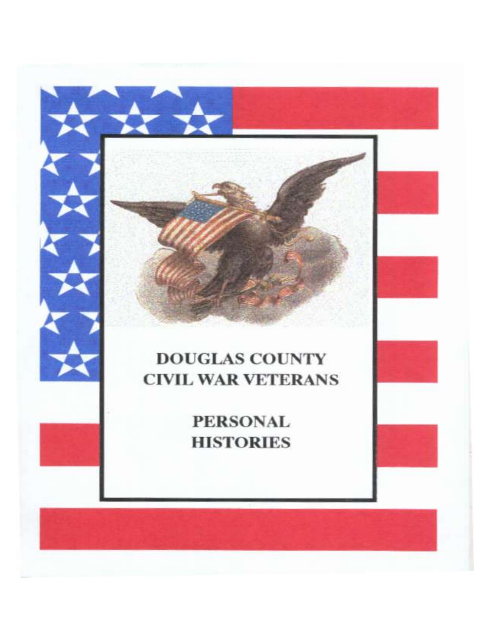# **DOUGLAS COUNTY CIVIL WAR VETERANS**

**PERSONAL HISTORIES**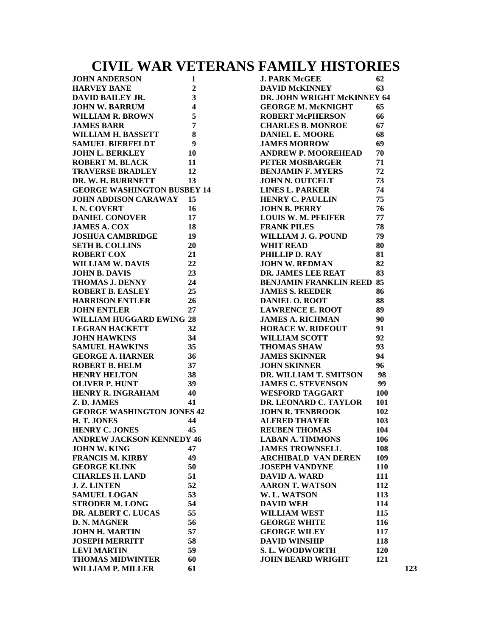# **CIVIL WAR VETERANS FAMILY HISTORIES**

| <b>JOHN ANDERSON<br/>HARVEY BANE</b>                     | $\mathbf{1}$                            | <b>J. PARK McGEE</b>             | 62  |
|----------------------------------------------------------|-----------------------------------------|----------------------------------|-----|
|                                                          | $\overline{2}$                          | <b>DAVID McKINNEY</b>            | 63  |
| DAVID BAILEY JR.                                         | $\mathbf{3}$                            | DR. JOHN WRIGHT McKINNEY 64      |     |
| <b>JOHN W. BARRUM</b>                                    | $\overline{\mathbf{4}}$                 | <b>GEORGE M. McKNIGHT</b>        | 65  |
| <b>WILLIAM R. BROWN</b>                                  | 5                                       | <b>ROBERT McPHERSON</b>          | 66  |
| JAMES BARR<br>WILLIAM H. BASSETT                         | $\overline{7}$                          | <b>CHARLES B. MONROE</b>         | 67  |
|                                                          | $\bf{8}$                                | <b>DANIEL E. MOORE</b>           | 68  |
| <b>SAMUEL BIERFELDT</b>                                  | $\overline{\mathbf{9}}$                 | <b>JAMES MORROW</b>              | 69  |
| <b>JOHN L. BERKLEY</b>                                   | <b>10</b>                               | <b>ANDREW P. MOOREHEAD</b>       | 70  |
| <b>ROBERT M. BLACK</b>                                   | 11                                      | PETER MOSBARGER                  | 71  |
| TRAVERSE BRADLEY 12                                      |                                         | <b>BENJAMIN F. MYERS</b>         | 72  |
| DR. W. H. BURRNETT                                       | 13                                      | <b>JOHN N. OUTCELT</b>           | 73  |
| <b>GEORGE WASHINGTON BUSBEY 14</b>                       |                                         | <b>LINES L. PARKER</b>           | 74  |
| <b>JOHN ADDISON CARAWAY 15</b>                           |                                         | <b>HENRY C. PAULLIN</b>          | 75  |
| <b>I. N. COVERT</b>                                      | <b>16</b>                               | JOHN B. PERRY                    | 76  |
| <b>DANIEL CONOVER</b>                                    | 17                                      | <b>LOUIS W. M. PFEIFER</b>       | 77  |
| <b>JAMES A. COX</b>                                      | <b>18</b>                               | <b>FRANK PILES</b>               | 78  |
|                                                          |                                         |                                  | 79  |
| <b>JOSHUA CAMBRIDGE</b>                                  | 19                                      | WILLIAM J. G. POUND              |     |
| 20<br><b>SETH B. COLLINS</b>                             |                                         | <b>WHIT READ</b>                 | 80  |
| <b>ROBERT COX</b>                                        | $\begin{array}{c} 21 \\ 22 \end{array}$ | PHILLIP D. RAY                   | 81  |
| <b>ROBERT COX<br/>WILLIAM W. DAVIS<br/>JOUN B. DAVIS</b> |                                         | JOHN W. REDMAN                   | 82  |
| <b>JOHN B. DAVIS</b>                                     | 23                                      | <b>DR. JAMES LEE REAT</b>        | 83  |
| <b>THOMAS J. DENNY</b><br>24                             |                                         | <b>BENJAMIN FRANKLIN REED 85</b> |     |
| <b>ROBERT B. EASLEY</b><br>25                            |                                         | <b>JAMES S. REEDER</b>           | 86  |
| <b>HARRISON ENTLER</b>                                   | 26                                      | <b>DANIEL O. ROOT</b>            | 88  |
| <b>JOHN ENTLER</b>                                       | 27                                      | <b>LAWRENCE E. ROOT</b>          | 89  |
| <b>WILLIAM HUGGARD EWING 28</b>                          |                                         | <b>JAMES A. RICHMAN</b>          | 90  |
| <b>LEGRAN HACKETT</b>                                    | 32                                      | <b>HORACE W. RIDEOUT</b>         | 91  |
| <b>JOHN HAWKINS</b>                                      | 34                                      | <b>WILLIAM SCOTT</b>             | 92  |
| <b>SAMUEL HAWKINS</b>                                    | 35                                      | <b>THOMAS SHAW</b>               | 93  |
| <b>GEORGE A. HARNER</b>                                  | 36                                      | <b>JAMES SKINNER</b>             | 94  |
| $\frac{3}{38}$<br>38                                     |                                         | <b>JOHN SKINNER</b>              | 96  |
| <b>ROBERT B. HELM<br/>HENRY HELTON</b>                   |                                         | DR. WILLIAM T. SMITSON           | 98  |
| <b>OLIVER P. HUNT</b>                                    | 39                                      | <b>JAMES C. STEVENSON</b>        | 99  |
| <b>HENRY R. INGRAHAM</b>                                 | 40                                      | <b>WESFORD TAGGART</b>           | 100 |
| Z.D. JAMES                                               | 41                                      | DR. LEONARD C. TAYLOR            | 101 |
| <b>GEORGE WASHINGTON JONES 42</b>                        |                                         | <b>JOHN R. TENBROOK</b>          | 102 |
| H.T. JONES                                               | 44                                      | <b>ALFRED THAYER</b>             | 103 |
| <b>HENRY C. JONES</b>                                    | 45                                      | <b>REUBEN THOMAS</b>             | 104 |
| <b>ANDREW JACKSON KENNEDY 46</b>                         |                                         | <b>LABAN A. TIMMONS</b>          | 106 |
| <b>JOHN W. KING</b>                                      | 47                                      | <b>JAMES TROWNSELL</b>           | 108 |
| <b>FRANCIS M. KIRBY</b>                                  | 49                                      | <b>ARCHIBALD VAN DEREN</b>       | 109 |
| <b>GEORGE KLINK</b>                                      | 50                                      | <b>JOSEPH VANDYNE</b>            | 110 |
| <b>CHARLES H. LAND</b>                                   | 51                                      | <b>DAVID A. WARD</b>             | 111 |
| <b>J. Z. LINTEN</b>                                      | 52                                      | <b>AARON T. WATSON</b>           | 112 |
|                                                          |                                         |                                  |     |
| <b>SAMUEL LOGAN</b>                                      | 53                                      | W. L. WATSON                     | 113 |
| <b>STRODER M. LONG</b>                                   | 54                                      | <b>DAVID WEH</b>                 | 114 |
| DR. ALBERT C. LUCAS                                      | 55                                      | <b>WILLIAM WEST</b>              | 115 |
| <b>D. N. MAGNER</b>                                      | 56                                      | <b>GEORGE WHITE</b>              | 116 |
| <b>JOHN H. MARTIN</b>                                    | 57                                      | <b>GEORGE WILEY</b>              | 117 |
| <b>JOSEPH MERRITT</b>                                    | 58                                      | <b>DAVID WINSHIP</b>             | 118 |
| <b>LEVI MARTIN</b>                                       | 59                                      | <b>S. L. WOODWORTH</b>           | 120 |
| <b>THOMAS MIDWINTER</b>                                  | 60                                      | <b>JOHN BEARD WRIGHT</b>         | 121 |
| <b>WILLIAM P. MILLER</b>                                 | 61                                      |                                  |     |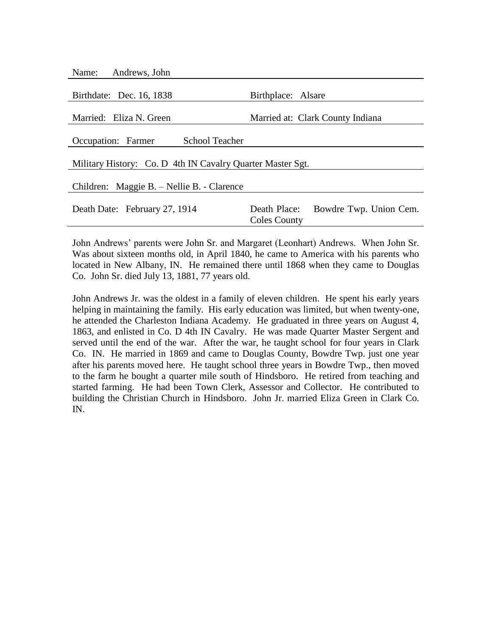| Name:<br>Andrews, John                                     |                                                               |
|------------------------------------------------------------|---------------------------------------------------------------|
| Birthdate: Dec. 16, 1838                                   | Birthplace: Alsare                                            |
| Married: Eliza N. Green                                    | Married at: Clark County Indiana                              |
| <b>School Teacher</b><br>Occupation: Farmer                |                                                               |
| Military History: Co. D 4th IN Cavalry Quarter Master Sgt. |                                                               |
| Children: Maggie B. – Nellie B. - Clarence                 |                                                               |
| Death Date: February 27, 1914                              | Death Place:<br>Bowdre Twp. Union Cem.<br><b>Coles County</b> |
|                                                            |                                                               |

John Andrews' parents were John Sr. and Margaret (Leonhart) Andrews. When John Sr. Was about sixteen months old, in April 1840, he came to America with his parents who located in New Albany, IN. He remained there until 1868 when they came to Douglas Co. John Sr. died July 13, 1881, 77 years old.

John Andrews Jr. was the oldest in a family of eleven children. He spent his early years helping in maintaining the family. His early education was limited, but when twenty-one, he attended the Charleston Indiana Academy. He graduated in three years on August 4, 1863, and enlisted in Co. D 4th IN Cavalry. He was made Quarter Master Sergent and served until the end of the war. After the war, he taught school for four years in Clark Co. IN. He married in 1869 and came to Douglas County, Bowdre Twp. just one year after his parents moved here. He taught school three years in Bowdre Twp., then moved to the farm he bought a quarter mile south of Hindsboro. He retired from teaching and started farming. He had been Town Clerk, Assessor and Collector. He contributed to building the Christian Church in Hindsboro. John Jr. married Eliza Green in Clark Co. IN.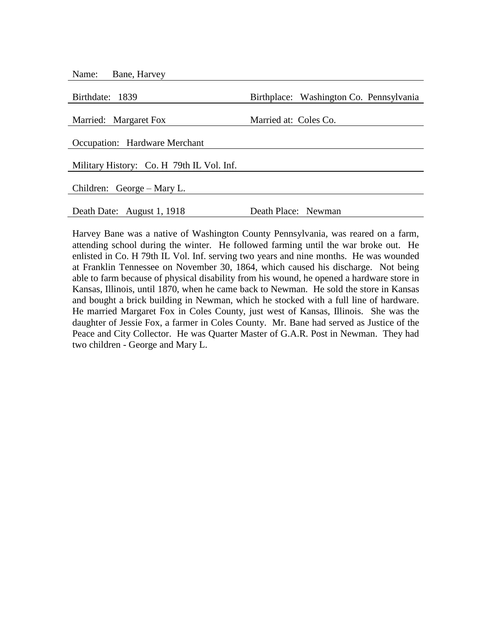| Bane, Harvey<br>Name:                     |                                         |
|-------------------------------------------|-----------------------------------------|
| Birthdate: 1839                           | Birthplace: Washington Co. Pennsylvania |
| Married: Margaret Fox                     | Married at: Coles Co.                   |
| Occupation: Hardware Merchant             |                                         |
| Military History: Co. H 79th IL Vol. Inf. |                                         |
| Children: George – Mary L.                |                                         |
| Death Date: August 1, 1918                | Death Place: Newman                     |

Harvey Bane was a native of Washington County Pennsylvania, was reared on a farm, attending school during the winter. He followed farming until the war broke out. He enlisted in Co. H 79th IL Vol. Inf. serving two years and nine months. He was wounded at Franklin Tennessee on November 30, 1864, which caused his discharge. Not being able to farm because of physical disability from his wound, he opened a hardware store in Kansas, Illinois, until 1870, when he came back to Newman. He sold the store in Kansas and bought a brick building in Newman, which he stocked with a full line of hardware. He married Margaret Fox in Coles County, just west of Kansas, Illinois. She was the daughter of Jessie Fox, a farmer in Coles County. Mr. Bane had served as Justice of the Peace and City Collector. He was Quarter Master of G.A.R. Post in Newman. They had two children - George and Mary L.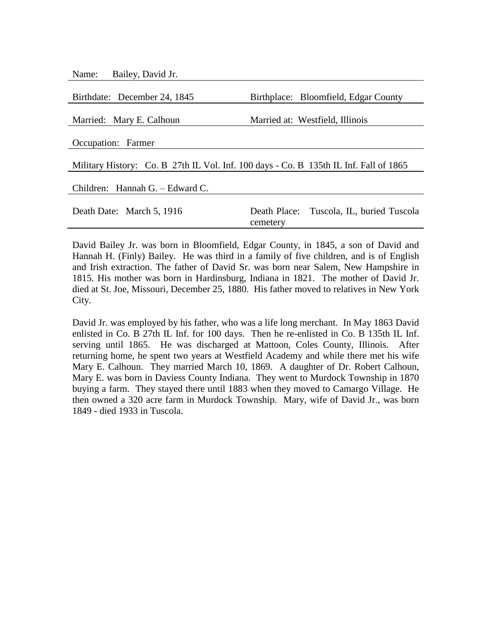Name: Bailey, David Jr.

| Birthdate: December 24, 1845                                                          | Birthplace: Bloomfield, Edgar County                 |
|---------------------------------------------------------------------------------------|------------------------------------------------------|
| Married: Mary E. Calhoun                                                              | Married at: Westfield, Illinois                      |
|                                                                                       |                                                      |
| Occupation: Farmer                                                                    |                                                      |
| Military History: Co. B 27th IL Vol. Inf. 100 days - Co. B 135th IL Inf. Fall of 1865 |                                                      |
| Children: Hannah G. – Edward C.                                                       |                                                      |
| Death Date: March 5, 1916                                                             | Death Place: Tuscola, IL, buried Tuscola<br>cemetery |

David Bailey Jr. was born in Bloomfield, Edgar County, in 1845, a son of David and Hannah H. (Finly) Bailey. He was third in a family of five children, and is of English and Irish extraction. The father of David Sr. was born near Salem, New Hampshire in 1815. His mother was born in Hardinsburg, Indiana in 1821. The mother of David Jr. died at St. Joe, Missouri, December 25, 1880. His father moved to relatives in New York City.

David Jr. was employed by his father, who was a life long merchant. In May 1863 David enlisted in Co. B 27th IL Inf. for 100 days. Then he re-enlisted in Co. B 135th IL Inf. serving until 1865. He was discharged at Mattoon, Coles County, Illinois. After returning home, he spent two years at Westfield Academy and while there met his wife Mary E. Calhoun. They married March 10, 1869. A daughter of Dr. Robert Calhoun, Mary E. was born in Daviess County Indiana. They went to Murdock Township in 1870 buying a farm. They stayed there until 1883 when they moved to Camargo Village. He then owned a 320 acre farm in Murdock Township. Mary, wife of David Jr., was born 1849 - died 1933 in Tuscola.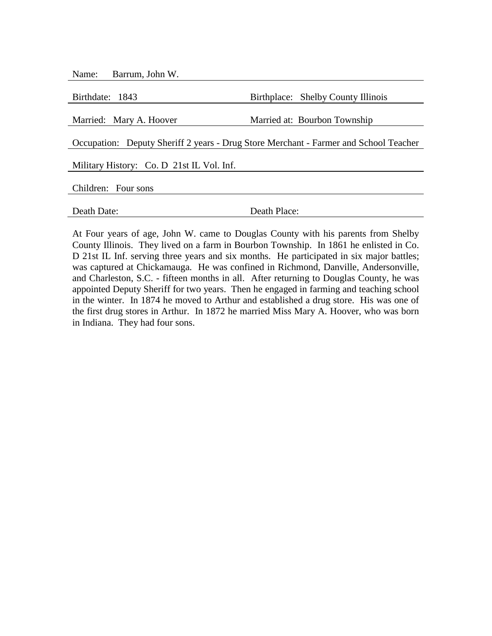| Barrum, John W.<br>Name:                  |                                                                                      |
|-------------------------------------------|--------------------------------------------------------------------------------------|
|                                           |                                                                                      |
| Birthdate: 1843                           | Birthplace: Shelby County Illinois                                                   |
|                                           |                                                                                      |
| Married: Mary A. Hoover                   | Married at: Bourbon Township                                                         |
|                                           | Occupation: Deputy Sheriff 2 years - Drug Store Merchant - Farmer and School Teacher |
| Military History: Co. D 21st IL Vol. Inf. |                                                                                      |
| Children: Four sons                       |                                                                                      |
|                                           |                                                                                      |
| Death Date:                               | Death Place:                                                                         |

At Four years of age, John W. came to Douglas County with his parents from Shelby County Illinois. They lived on a farm in Bourbon Township. In 1861 he enlisted in Co. D 21st IL Inf. serving three years and six months. He participated in six major battles; was captured at Chickamauga. He was confined in Richmond, Danville, Andersonville, and Charleston, S.C. - fifteen months in all. After returning to Douglas County, he was appointed Deputy Sheriff for two years. Then he engaged in farming and teaching school in the winter. In 1874 he moved to Arthur and established a drug store. His was one of the first drug stores in Arthur. In 1872 he married Miss Mary A. Hoover, who was born in Indiana. They had four sons.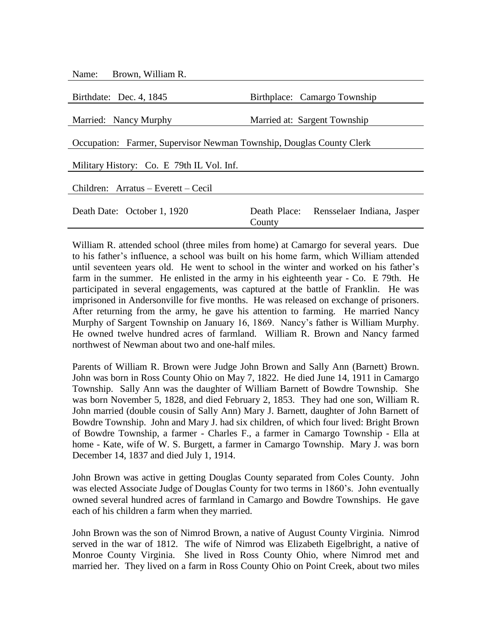| Name: Brown, William R.                                              |                                                   |  |
|----------------------------------------------------------------------|---------------------------------------------------|--|
| Birthdate: Dec. 4, 1845                                              | Birthplace: Camargo Township                      |  |
| Married: Nancy Murphy                                                | Married at: Sargent Township                      |  |
| Occupation: Farmer, Supervisor Newman Township, Douglas County Clerk |                                                   |  |
| Military History: Co. E 79th IL Vol. Inf.                            |                                                   |  |
| Children: Arratus – Everett – Cecil                                  |                                                   |  |
| Death Date: October 1, 1920                                          | Death Place: Rensselaer Indiana, Jasper<br>County |  |

William R. attended school (three miles from home) at Camargo for several years. Due to his father's influence, a school was built on his home farm, which William attended until seventeen years old. He went to school in the winter and worked on his father's farm in the summer. He enlisted in the army in his eighteenth year - Co. E 79th. He participated in several engagements, was captured at the battle of Franklin. He was imprisoned in Andersonville for five months. He was released on exchange of prisoners. After returning from the army, he gave his attention to farming. He married Nancy Murphy of Sargent Township on January 16, 1869. Nancy's father is William Murphy. He owned twelve hundred acres of farmland. William R. Brown and Nancy farmed northwest of Newman about two and one-half miles.

Parents of William R. Brown were Judge John Brown and Sally Ann (Barnett) Brown. John was born in Ross County Ohio on May 7, 1822. He died June 14, 1911 in Camargo Township. Sally Ann was the daughter of William Barnett of Bowdre Township. She was born November 5, 1828, and died February 2, 1853. They had one son, William R. John married (double cousin of Sally Ann) Mary J. Barnett, daughter of John Barnett of Bowdre Township. John and Mary J. had six children, of which four lived: Bright Brown of Bowdre Township, a farmer - Charles F., a farmer in Camargo Township - Ella at home - Kate, wife of W. S. Burgett, a farmer in Camargo Township. Mary J. was born December 14, 1837 and died July 1, 1914.

John Brown was active in getting Douglas County separated from Coles County. John was elected Associate Judge of Douglas County for two terms in 1860's. John eventually owned several hundred acres of farmland in Camargo and Bowdre Townships. He gave each of his children a farm when they married.

John Brown was the son of Nimrod Brown, a native of August County Virginia. Nimrod served in the war of 1812. The wife of Nimrod was Elizabeth Eigelbright, a native of Monroe County Virginia. She lived in Ross County Ohio, where Nimrod met and married her. They lived on a farm in Ross County Ohio on Point Creek, about two miles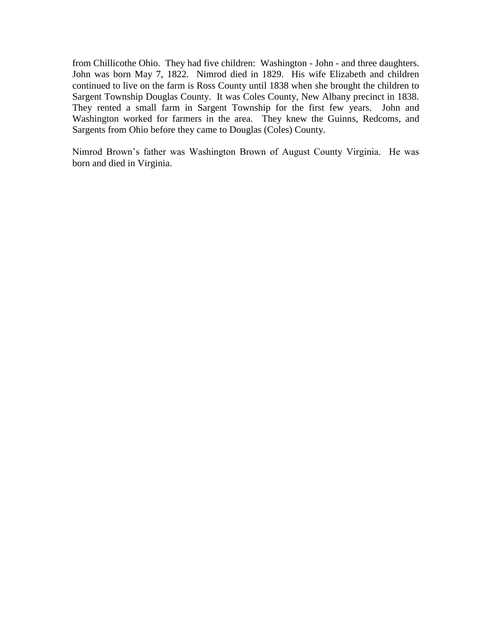from Chillicothe Ohio. They had five children: Washington - John - and three daughters. John was born May 7, 1822. Nimrod died in 1829. His wife Elizabeth and children continued to live on the farm is Ross County until 1838 when she brought the children to Sargent Township Douglas County. It was Coles County, New Albany precinct in 1838. They rented a small farm in Sargent Township for the first few years. John and Washington worked for farmers in the area. They knew the Guinns, Redcoms, and Sargents from Ohio before they came to Douglas (Coles) County.

Nimrod Brown's father was Washington Brown of August County Virginia. He was born and died in Virginia.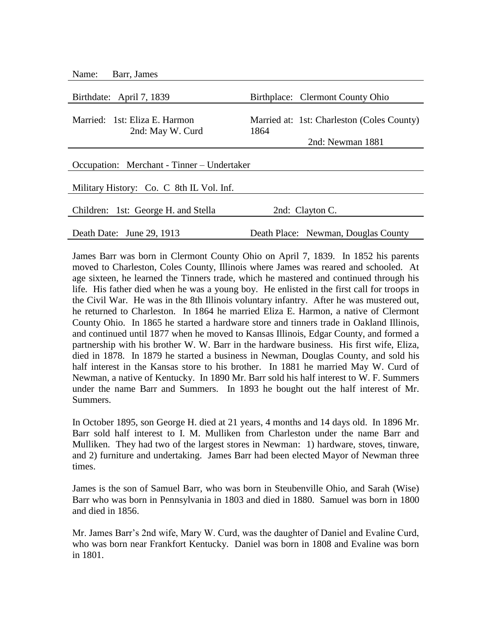| Name:<br>Barr, James                              |                                                    |
|---------------------------------------------------|----------------------------------------------------|
| Birthdate: April 7, 1839                          | Birthplace: Clermont County Ohio                   |
| Married: 1st: Eliza E. Harmon<br>2nd: May W. Curd | Married at: 1st: Charleston (Coles County)<br>1864 |
|                                                   | 2nd: Newman 1881                                   |
| Occupation: Merchant - Tinner – Undertaker        |                                                    |
| Military History: Co. C 8th IL Vol. Inf.          |                                                    |
| Children: 1st: George H. and Stella               | 2nd: Clayton C.                                    |
| Death Date: June 29, 1913                         | Death Place: Newman, Douglas County                |

James Barr was born in Clermont County Ohio on April 7, 1839. In 1852 his parents moved to Charleston, Coles County, Illinois where James was reared and schooled. At age sixteen, he learned the Tinners trade, which he mastered and continued through his life. His father died when he was a young boy. He enlisted in the first call for troops in the Civil War. He was in the 8th Illinois voluntary infantry. After he was mustered out, he returned to Charleston. In 1864 he married Eliza E. Harmon, a native of Clermont County Ohio. In 1865 he started a hardware store and tinners trade in Oakland Illinois, and continued until 1877 when he moved to Kansas Illinois, Edgar County, and formed a partnership with his brother W. W. Barr in the hardware business. His first wife, Eliza, died in 1878. In 1879 he started a business in Newman, Douglas County, and sold his half interest in the Kansas store to his brother. In 1881 he married May W. Curd of Newman, a native of Kentucky. In 1890 Mr. Barr sold his half interest to W. F. Summers under the name Barr and Summers. In 1893 he bought out the half interest of Mr. Summers.

In October 1895, son George H. died at 21 years, 4 months and 14 days old. In 1896 Mr. Barr sold half interest to I. M. Mulliken from Charleston under the name Barr and Mulliken. They had two of the largest stores in Newman: 1) hardware, stoves, tinware, and 2) furniture and undertaking. James Barr had been elected Mayor of Newman three times.

James is the son of Samuel Barr, who was born in Steubenville Ohio, and Sarah (Wise) Barr who was born in Pennsylvania in 1803 and died in 1880. Samuel was born in 1800 and died in 1856.

Mr. James Barr's 2nd wife, Mary W. Curd, was the daughter of Daniel and Evaline Curd, who was born near Frankfort Kentucky. Daniel was born in 1808 and Evaline was born in 1801.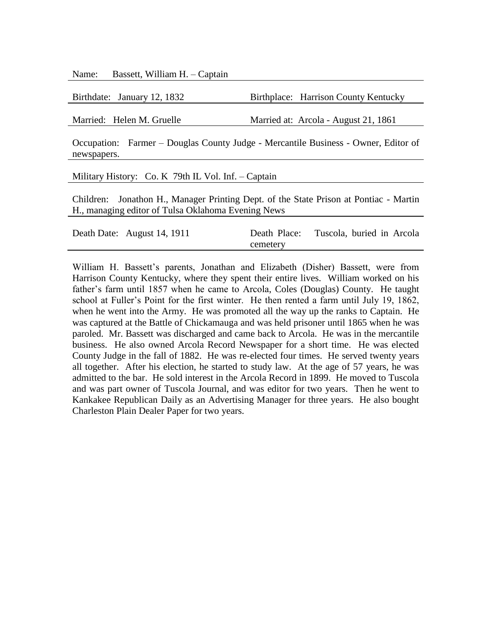Name: Bassett, William H. – Captain

Birthdate: January 12, 1832 Birthplace: Harrison County Kentucky

Married: Helen M. Gruelle Married at: Arcola - August 21, 1861

Occupation: Farmer – Douglas County Judge - Mercantile Business - Owner, Editor of newspapers.

Military History: Co. K 79th IL Vol. Inf. – Captain

Children: Jonathon H., Manager Printing Dept. of the State Prison at Pontiac - Martin H., managing editor of Tulsa Oklahoma Evening News

| Death Date: August 14, 1911 | Death Place: | Tuscola, buried in Arcola |  |
|-----------------------------|--------------|---------------------------|--|
|                             | cemetery     |                           |  |

William H. Bassett's parents, Jonathan and Elizabeth (Disher) Bassett, were from Harrison County Kentucky, where they spent their entire lives. William worked on his father's farm until 1857 when he came to Arcola, Coles (Douglas) County. He taught school at Fuller's Point for the first winter. He then rented a farm until July 19, 1862, when he went into the Army. He was promoted all the way up the ranks to Captain. He was captured at the Battle of Chickamauga and was held prisoner until 1865 when he was paroled. Mr. Bassett was discharged and came back to Arcola. He was in the mercantile business. He also owned Arcola Record Newspaper for a short time. He was elected County Judge in the fall of 1882. He was re-elected four times. He served twenty years all together. After his election, he started to study law. At the age of 57 years, he was admitted to the bar. He sold interest in the Arcola Record in 1899. He moved to Tuscola and was part owner of Tuscola Journal, and was editor for two years. Then he went to Kankakee Republican Daily as an Advertising Manager for three years. He also bought Charleston Plain Dealer Paper for two years.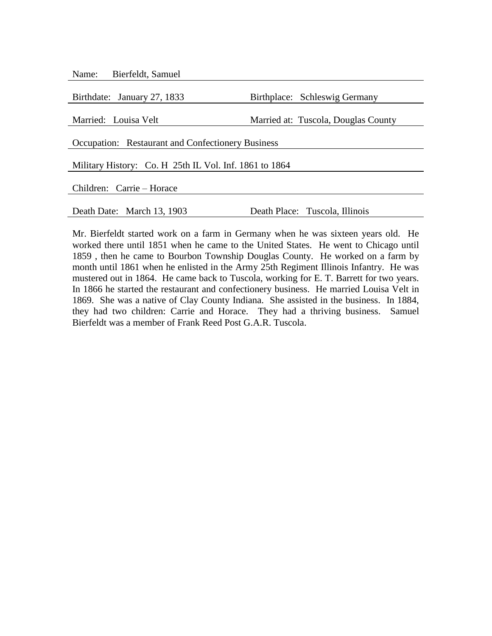| Name: Bierfeldt, Samuel                                |                                     |  |
|--------------------------------------------------------|-------------------------------------|--|
|                                                        |                                     |  |
| Birthdate: January 27, 1833                            | Birthplace: Schleswig Germany       |  |
|                                                        |                                     |  |
| Married: Louisa Velt                                   | Married at: Tuscola, Douglas County |  |
| Occupation: Restaurant and Confectionery Business      |                                     |  |
| Military History: Co. H 25th IL Vol. Inf. 1861 to 1864 |                                     |  |
| Children: Carrie – Horace                              |                                     |  |
|                                                        |                                     |  |
| Death Date: March 13, 1903                             | Death Place: Tuscola, Illinois      |  |

Mr. Bierfeldt started work on a farm in Germany when he was sixteen years old. He worked there until 1851 when he came to the United States. He went to Chicago until 1859 , then he came to Bourbon Township Douglas County. He worked on a farm by month until 1861 when he enlisted in the Army 25th Regiment Illinois Infantry. He was mustered out in 1864. He came back to Tuscola, working for E. T. Barrett for two years. In 1866 he started the restaurant and confectionery business. He married Louisa Velt in 1869. She was a native of Clay County Indiana. She assisted in the business. In 1884, they had two children: Carrie and Horace. They had a thriving business. Samuel Bierfeldt was a member of Frank Reed Post G.A.R. Tuscola.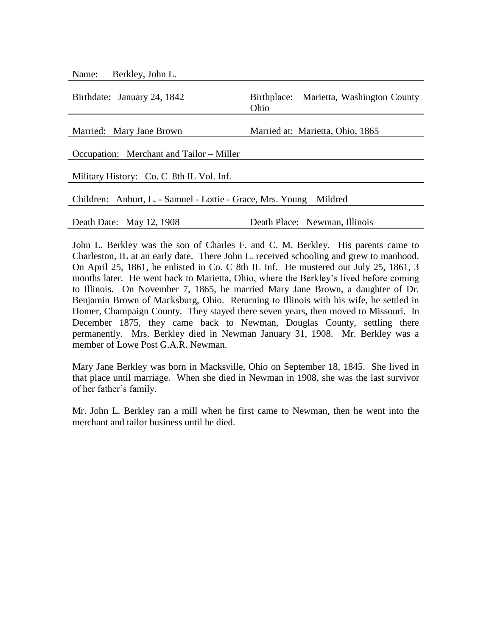Name: Berkley, John L.

| Birthdate: January 24, 1842                                          | Birthplace: Marietta, Washington County<br>Ohio |  |
|----------------------------------------------------------------------|-------------------------------------------------|--|
| Married: Mary Jane Brown                                             | Married at: Marietta, Ohio, 1865                |  |
| Occupation: Merchant and Tailor – Miller                             |                                                 |  |
| Military History: Co. C 8th IL Vol. Inf.                             |                                                 |  |
| Children: Anburt, L. - Samuel - Lottie - Grace, Mrs. Young – Mildred |                                                 |  |
| Death Date: May 12, 1908                                             | Death Place: Newman, Illinois                   |  |

John L. Berkley was the son of Charles F. and C. M. Berkley. His parents came to Charleston, IL at an early date. There John L. received schooling and grew to manhood. On April 25, 1861, he enlisted in Co. C 8th IL Inf. He mustered out July 25, 1861, 3 months later. He went back to Marietta, Ohio, where the Berkley's lived before coming to Illinois. On November 7, 1865, he married Mary Jane Brown, a daughter of Dr. Benjamin Brown of Macksburg, Ohio. Returning to Illinois with his wife, he settled in Homer, Champaign County. They stayed there seven years, then moved to Missouri. In December 1875, they came back to Newman, Douglas County, settling there permanently. Mrs. Berkley died in Newman January 31, 1908. Mr. Berkley was a member of Lowe Post G.A.R. Newman.

Mary Jane Berkley was born in Macksville, Ohio on September 18, 1845. She lived in that place until marriage. When she died in Newman in 1908, she was the last survivor of her father's family.

Mr. John L. Berkley ran a mill when he first came to Newman, then he went into the merchant and tailor business until he died.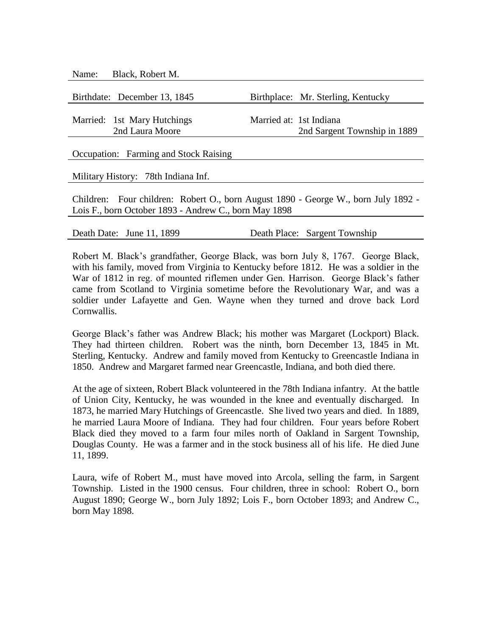| Black, Robert M.<br>Name:                                                          |                                    |
|------------------------------------------------------------------------------------|------------------------------------|
|                                                                                    |                                    |
| Birthdate: December 13, 1845                                                       | Birthplace: Mr. Sterling, Kentucky |
|                                                                                    |                                    |
| Married: 1st Mary Hutchings                                                        | Married at: 1st Indiana            |
| 2nd Laura Moore                                                                    | 2nd Sargent Township in 1889       |
|                                                                                    |                                    |
| Occupation: Farming and Stock Raising                                              |                                    |
|                                                                                    |                                    |
| Military History: 78th Indiana Inf.                                                |                                    |
|                                                                                    |                                    |
| Children: Four children: Robert O., born August 1890 - George W., born July 1892 - |                                    |
| Lois F., born October 1893 - Andrew C., born May 1898                              |                                    |
|                                                                                    |                                    |

Death Date: June 11, 1899 Death Place: Sargent Township

Robert M. Black's grandfather, George Black, was born July 8, 1767. George Black, with his family, moved from Virginia to Kentucky before 1812. He was a soldier in the War of 1812 in reg. of mounted riflemen under Gen. Harrison. George Black's father came from Scotland to Virginia sometime before the Revolutionary War, and was a soldier under Lafayette and Gen. Wayne when they turned and drove back Lord Cornwallis.

George Black's father was Andrew Black; his mother was Margaret (Lockport) Black. They had thirteen children. Robert was the ninth, born December 13, 1845 in Mt. Sterling, Kentucky. Andrew and family moved from Kentucky to Greencastle Indiana in 1850. Andrew and Margaret farmed near Greencastle, Indiana, and both died there.

At the age of sixteen, Robert Black volunteered in the 78th Indiana infantry. At the battle of Union City, Kentucky, he was wounded in the knee and eventually discharged. In 1873, he married Mary Hutchings of Greencastle. She lived two years and died. In 1889, he married Laura Moore of Indiana. They had four children. Four years before Robert Black died they moved to a farm four miles north of Oakland in Sargent Township, Douglas County. He was a farmer and in the stock business all of his life. He died June 11, 1899.

Laura, wife of Robert M., must have moved into Arcola, selling the farm, in Sargent Township. Listed in the 1900 census. Four children, three in school: Robert O., born August 1890; George W., born July 1892; Lois F., born October 1893; and Andrew C., born May 1898.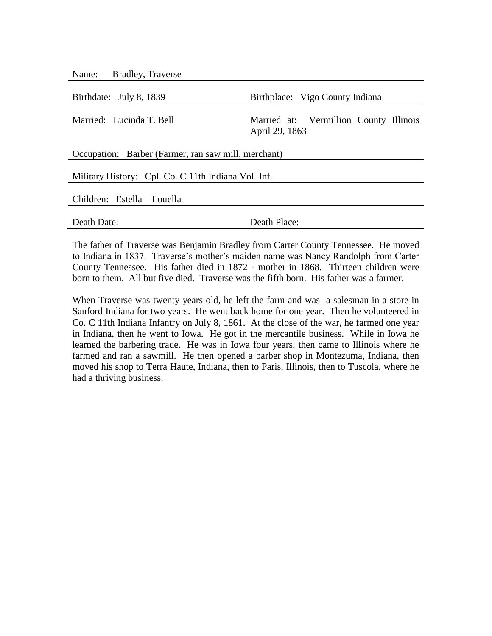| <b>Bradley, Traverse</b><br>Name:                   |                                                          |  |
|-----------------------------------------------------|----------------------------------------------------------|--|
| Birthdate: July 8, 1839                             | Birthplace: Vigo County Indiana                          |  |
| Married: Lucinda T. Bell                            | Married at: Vermillion County Illinois<br>April 29, 1863 |  |
| Occupation: Barber (Farmer, ran saw mill, merchant) |                                                          |  |
| Military History: Cpl. Co. C 11th Indiana Vol. Inf. |                                                          |  |
| Children: Estella – Louella                         |                                                          |  |
| Death Date:                                         | Death Place:                                             |  |

The father of Traverse was Benjamin Bradley from Carter County Tennessee. He moved to Indiana in 1837. Traverse's mother's maiden name was Nancy Randolph from Carter County Tennessee. His father died in 1872 - mother in 1868. Thirteen children were born to them. All but five died. Traverse was the fifth born. His father was a farmer.

When Traverse was twenty years old, he left the farm and was a salesman in a store in Sanford Indiana for two years. He went back home for one year. Then he volunteered in Co. C 11th Indiana Infantry on July 8, 1861. At the close of the war, he farmed one year in Indiana, then he went to Iowa. He got in the mercantile business. While in Iowa he learned the barbering trade. He was in Iowa four years, then came to Illinois where he farmed and ran a sawmill. He then opened a barber shop in Montezuma, Indiana, then moved his shop to Terra Haute, Indiana, then to Paris, Illinois, then to Tuscola, where he had a thriving business.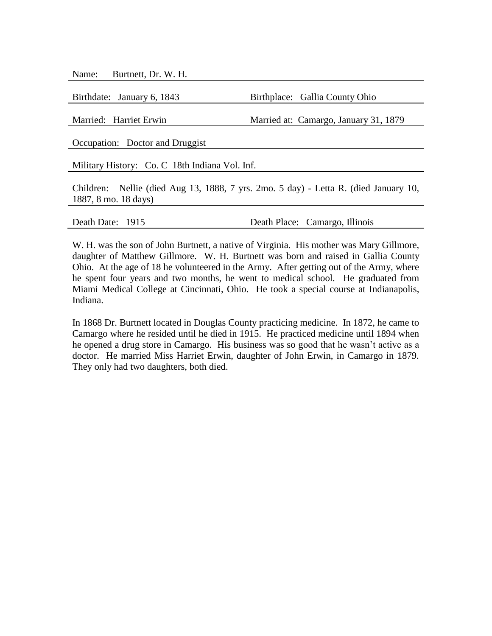Name: Burtnett, Dr. W. H.

Birthdate: January 6, 1843 Birthplace: Gallia County Ohio

Married: Harriet Erwin Married at: Camargo, January 31, 1879

Occupation: Doctor and Druggist

Military History: Co. C 18th Indiana Vol. Inf.

Children: Nellie (died Aug 13, 1888, 7 yrs. 2mo. 5 day) - Letta R. (died January 10, 1887, 8 mo. 18 days)

Death Date: 1915 Death Place: Camargo, Illinois

W. H. was the son of John Burtnett, a native of Virginia. His mother was Mary Gillmore, daughter of Matthew Gillmore. W. H. Burtnett was born and raised in Gallia County Ohio. At the age of 18 he volunteered in the Army. After getting out of the Army, where he spent four years and two months, he went to medical school. He graduated from Miami Medical College at Cincinnati, Ohio. He took a special course at Indianapolis, Indiana.

In 1868 Dr. Burtnett located in Douglas County practicing medicine. In 1872, he came to Camargo where he resided until he died in 1915. He practiced medicine until 1894 when he opened a drug store in Camargo. His business was so good that he wasn't active as a doctor. He married Miss Harriet Erwin, daughter of John Erwin, in Camargo in 1879. They only had two daughters, both died.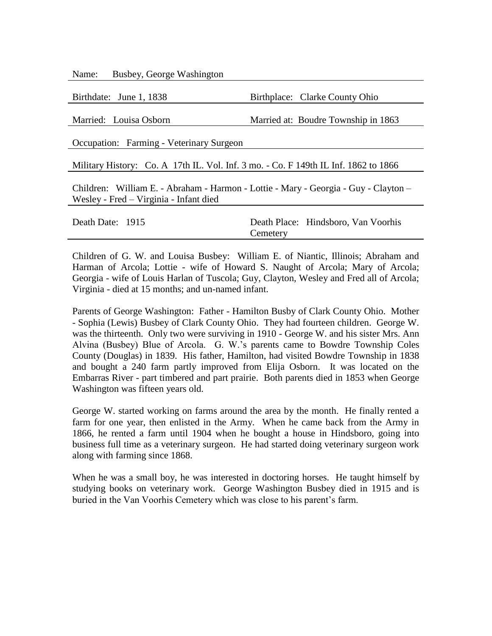Name: Busbey, George Washington

Birthdate: June 1, 1838 Birthplace: Clarke County Ohio

Married: Louisa Osborn Married at: Boudre Township in 1863

Occupation: Farming - Veterinary Surgeon

Military History: Co. A 17th IL. Vol. Inf. 3 mo. - Co. F 149th IL Inf. 1862 to 1866

Children: William E. - Abraham - Harmon - Lottie - Mary - Georgia - Guy - Clayton – Wesley - Fred – Virginia - Infant died

| Death Date: 1915 |          | Death Place: Hindsboro, Van Voorhis |
|------------------|----------|-------------------------------------|
|                  | Cemetery |                                     |

Children of G. W. and Louisa Busbey: William E. of Niantic, Illinois; Abraham and Harman of Arcola; Lottie - wife of Howard S. Naught of Arcola; Mary of Arcola; Georgia - wife of Louis Harlan of Tuscola; Guy, Clayton, Wesley and Fred all of Arcola; Virginia - died at 15 months; and un-named infant.

Parents of George Washington: Father - Hamilton Busby of Clark County Ohio. Mother - Sophia (Lewis) Busbey of Clark County Ohio. They had fourteen children. George W. was the thirteenth. Only two were surviving in 1910 - George W. and his sister Mrs. Ann Alvina (Busbey) Blue of Arcola. G. W.'s parents came to Bowdre Township Coles County (Douglas) in 1839. His father, Hamilton, had visited Bowdre Township in 1838 and bought a 240 farm partly improved from Elija Osborn. It was located on the Embarras River - part timbered and part prairie. Both parents died in 1853 when George Washington was fifteen years old.

George W. started working on farms around the area by the month. He finally rented a farm for one year, then enlisted in the Army. When he came back from the Army in 1866, he rented a farm until 1904 when he bought a house in Hindsboro, going into business full time as a veterinary surgeon. He had started doing veterinary surgeon work along with farming since 1868.

When he was a small boy, he was interested in doctoring horses. He taught himself by studying books on veterinary work. George Washington Busbey died in 1915 and is buried in the Van Voorhis Cemetery which was close to his parent's farm.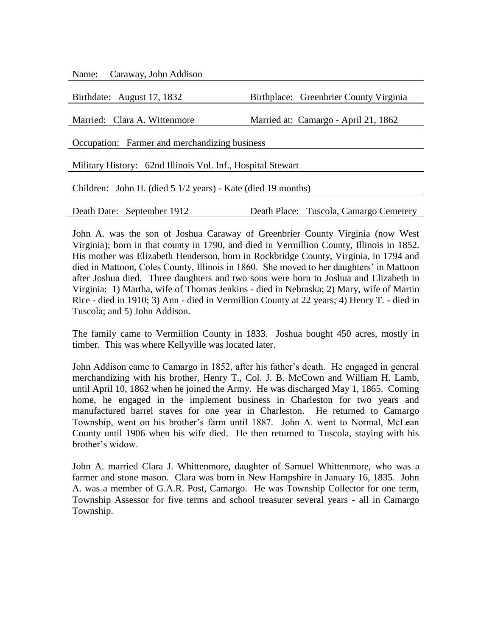| Name: Caraway, John Addison                                  |                                        |  |
|--------------------------------------------------------------|----------------------------------------|--|
|                                                              |                                        |  |
| Birthdate: August 17, 1832                                   | Birthplace: Greenbrier County Virginia |  |
|                                                              |                                        |  |
| Married: Clara A. Wittenmore                                 | Married at: Camargo - April 21, 1862   |  |
|                                                              |                                        |  |
| Occupation: Farmer and merchandizing business                |                                        |  |
|                                                              |                                        |  |
| Military History: 62nd Illinois Vol. Inf., Hospital Stewart  |                                        |  |
|                                                              |                                        |  |
| Children: John H. (died 5 1/2 years) - Kate (died 19 months) |                                        |  |
|                                                              |                                        |  |
| Death Date: September 1912                                   | Death Place: Tuscola, Camargo Cemetery |  |

John A. was the son of Joshua Caraway of Greenbrier County Virginia (now West Virginia); born in that county in 1790, and died in Vermillion County, Illinois in 1852. His mother was Elizabeth Henderson, born in Rockbridge County, Virginia, in 1794 and died in Mattoon, Coles County, Illinois in 1860. She moved to her daughters' in Mattoon after Joshua died. Three daughters and two sons were born to Joshua and Elizabeth in Virginia: 1) Martha, wife of Thomas Jenkins - died in Nebraska; 2) Mary, wife of Martin Rice - died in 1910; 3) Ann - died in Vermillion County at 22 years; 4) Henry T. - died in Tuscola; and 5) John Addison.

The family came to Vermillion County in 1833. Joshua bought 450 acres, mostly in timber. This was where Kellyville was located later.

John Addison came to Camargo in 1852, after his father's death. He engaged in general merchandizing with his brother, Henry T., Col. J. B. McCown and William H. Lamb, until April 10, 1862 when he joined the Army. He was discharged May 1, 1865. Coming home, he engaged in the implement business in Charleston for two years and manufactured barrel staves for one year in Charleston. He returned to Camargo Township, went on his brother's farm until 1887. John A. went to Normal, McLean County until 1906 when his wife died. He then returned to Tuscola, staying with his brother's widow.

John A. married Clara J. Whittenmore, daughter of Samuel Whittenmore, who was a farmer and stone mason. Clara was born in New Hampshire in January 16, 1835. John A. was a member of G.A.R. Post, Camargo. He was Township Collector for one term, Township Assessor for five terms and school treasurer several years - all in Camargo Township.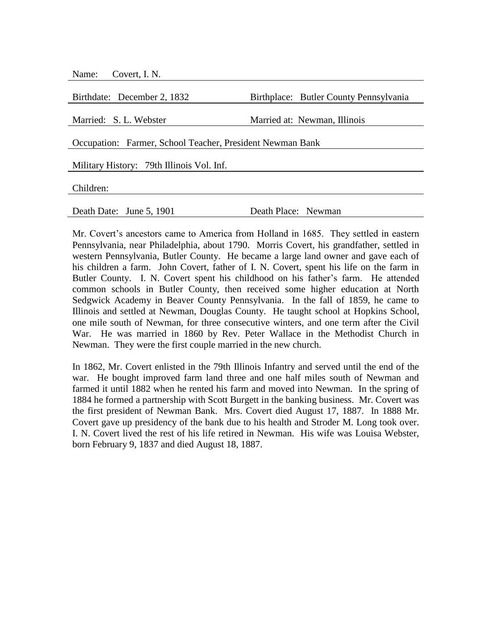| Birthplace: Butler County Pennsylvania                    |
|-----------------------------------------------------------|
|                                                           |
| Married at: Newman, Illinois                              |
|                                                           |
| Occupation: Farmer, School Teacher, President Newman Bank |
|                                                           |
|                                                           |
|                                                           |
|                                                           |
|                                                           |
| Death Place: Newman                                       |
|                                                           |

Mr. Covert's ancestors came to America from Holland in 1685. They settled in eastern Pennsylvania, near Philadelphia, about 1790. Morris Covert, his grandfather, settled in western Pennsylvania, Butler County. He became a large land owner and gave each of his children a farm. John Covert, father of I. N. Covert, spent his life on the farm in Butler County. I. N. Covert spent his childhood on his father's farm. He attended common schools in Butler County, then received some higher education at North Sedgwick Academy in Beaver County Pennsylvania. In the fall of 1859, he came to Illinois and settled at Newman, Douglas County. He taught school at Hopkins School, one mile south of Newman, for three consecutive winters, and one term after the Civil War. He was married in 1860 by Rev. Peter Wallace in the Methodist Church in Newman. They were the first couple married in the new church.

In 1862, Mr. Covert enlisted in the 79th Illinois Infantry and served until the end of the war. He bought improved farm land three and one half miles south of Newman and farmed it until 1882 when he rented his farm and moved into Newman. In the spring of 1884 he formed a partnership with Scott Burgett in the banking business. Mr. Covert was the first president of Newman Bank. Mrs. Covert died August 17, 1887. In 1888 Mr. Covert gave up presidency of the bank due to his health and Stroder M. Long took over. I. N. Covert lived the rest of his life retired in Newman. His wife was Louisa Webster, born February 9, 1837 and died August 18, 1887.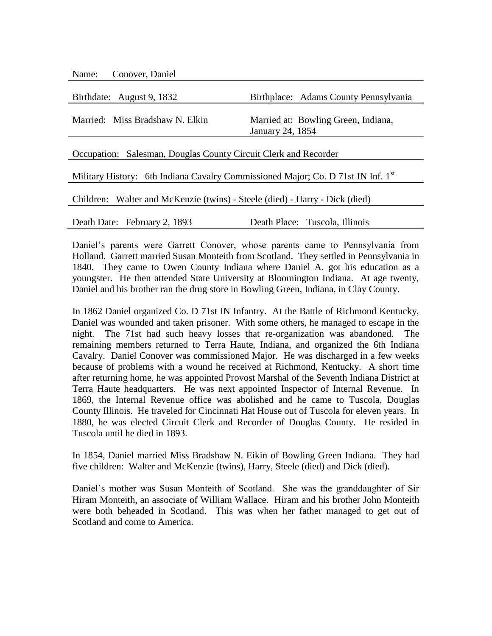| Name: Conover, Daniel                                                            |                                                         |  |
|----------------------------------------------------------------------------------|---------------------------------------------------------|--|
|                                                                                  |                                                         |  |
| Birthdate: August 9, 1832                                                        | Birthplace: Adams County Pennsylvania                   |  |
| Married: Miss Bradshaw N. Elkin                                                  | Married at: Bowling Green, Indiana,<br>January 24, 1854 |  |
| Occupation: Salesman, Douglas County Circuit Clerk and Recorder                  |                                                         |  |
| Military History: 6th Indiana Cavalry Commissioned Major; Co. D 71st IN Inf. 1st |                                                         |  |
| Children: Walter and McKenzie (twins) - Steele (died) - Harry - Dick (died)      |                                                         |  |
| Death Date: February 2, 1893                                                     | Death Place: Tuscola, Illinois                          |  |

Daniel's parents were Garrett Conover, whose parents came to Pennsylvania from Holland. Garrett married Susan Monteith from Scotland. They settled in Pennsylvania in 1840. They came to Owen County Indiana where Daniel A. got his education as a youngster. He then attended State University at Bloomington Indiana. At age twenty, Daniel and his brother ran the drug store in Bowling Green, Indiana, in Clay County.

In 1862 Daniel organized Co. D 71st IN Infantry. At the Battle of Richmond Kentucky, Daniel was wounded and taken prisoner. With some others, he managed to escape in the night. The 71st had such heavy losses that re-organization was abandoned. The remaining members returned to Terra Haute, Indiana, and organized the 6th Indiana Cavalry. Daniel Conover was commissioned Major. He was discharged in a few weeks because of problems with a wound he received at Richmond, Kentucky. A short time after returning home, he was appointed Provost Marshal of the Seventh Indiana District at Terra Haute headquarters. He was next appointed Inspector of Internal Revenue. In 1869, the Internal Revenue office was abolished and he came to Tuscola, Douglas County Illinois. He traveled for Cincinnati Hat House out of Tuscola for eleven years. In 1880, he was elected Circuit Clerk and Recorder of Douglas County. He resided in Tuscola until he died in 1893.

In 1854, Daniel married Miss Bradshaw N. Eikin of Bowling Green Indiana. They had five children: Walter and McKenzie (twins), Harry, Steele (died) and Dick (died).

Daniel's mother was Susan Monteith of Scotland. She was the granddaughter of Sir Hiram Monteith, an associate of William Wallace. Hiram and his brother John Monteith were both beheaded in Scotland. This was when her father managed to get out of Scotland and come to America.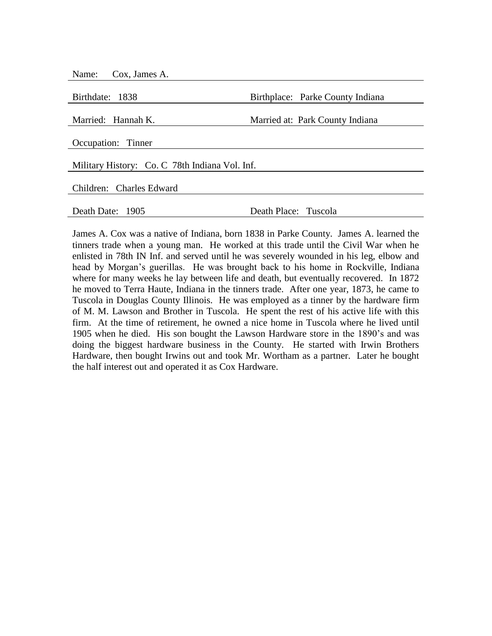| Name: Cox, James A.                            |                                  |  |
|------------------------------------------------|----------------------------------|--|
| Birthdate: 1838                                | Birthplace: Parke County Indiana |  |
| Married: Hannah K.                             | Married at: Park County Indiana  |  |
| Occupation: Tinner                             |                                  |  |
| Military History: Co. C 78th Indiana Vol. Inf. |                                  |  |
| Children: Charles Edward                       |                                  |  |
| Death Date: 1905                               | Death Place: Tuscola             |  |

James A. Cox was a native of Indiana, born 1838 in Parke County. James A. learned the tinners trade when a young man. He worked at this trade until the Civil War when he enlisted in 78th IN Inf. and served until he was severely wounded in his leg, elbow and head by Morgan's guerillas. He was brought back to his home in Rockville, Indiana where for many weeks he lay between life and death, but eventually recovered. In 1872 he moved to Terra Haute, Indiana in the tinners trade. After one year, 1873, he came to Tuscola in Douglas County Illinois. He was employed as a tinner by the hardware firm of M. M. Lawson and Brother in Tuscola. He spent the rest of his active life with this firm. At the time of retirement, he owned a nice home in Tuscola where he lived until 1905 when he died. His son bought the Lawson Hardware store in the 1890's and was doing the biggest hardware business in the County. He started with Irwin Brothers Hardware, then bought Irwins out and took Mr. Wortham as a partner. Later he bought the half interest out and operated it as Cox Hardware.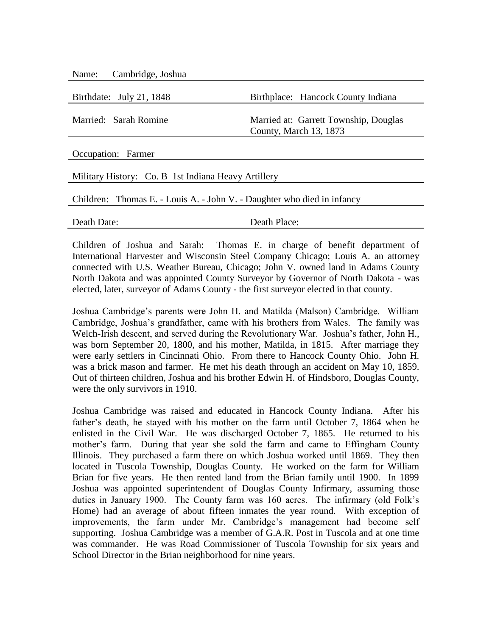Name: Cambridge, Joshua

Birthdate: July 21, 1848 Birthplace: Hancock County Indiana Married: Sarah Romine Married at: Garrett Township, Douglas County, March 13, 1873 Occupation: Farmer Military History: Co. B 1st Indiana Heavy Artillery Children: Thomas E. - Louis A. - John V. - Daughter who died in infancy

Death Date: Death Place:

Children of Joshua and Sarah: Thomas E. in charge of benefit department of International Harvester and Wisconsin Steel Company Chicago; Louis A. an attorney connected with U.S. Weather Bureau, Chicago; John V. owned land in Adams County North Dakota and was appointed County Surveyor by Governor of North Dakota - was elected, later, surveyor of Adams County - the first surveyor elected in that county.

Joshua Cambridge's parents were John H. and Matilda (Malson) Cambridge. William Cambridge, Joshua's grandfather, came with his brothers from Wales. The family was Welch-Irish descent, and served during the Revolutionary War. Joshua's father, John H., was born September 20, 1800, and his mother, Matilda, in 1815. After marriage they were early settlers in Cincinnati Ohio. From there to Hancock County Ohio. John H. was a brick mason and farmer. He met his death through an accident on May 10, 1859. Out of thirteen children, Joshua and his brother Edwin H. of Hindsboro, Douglas County, were the only survivors in 1910.

Joshua Cambridge was raised and educated in Hancock County Indiana. After his father's death, he stayed with his mother on the farm until October 7, 1864 when he enlisted in the Civil War. He was discharged October 7, 1865. He returned to his mother's farm. During that year she sold the farm and came to Effingham County Illinois. They purchased a farm there on which Joshua worked until 1869. They then located in Tuscola Township, Douglas County. He worked on the farm for William Brian for five years. He then rented land from the Brian family until 1900. In 1899 Joshua was appointed superintendent of Douglas County Infirmary, assuming those duties in January 1900. The County farm was 160 acres. The infirmary (old Folk's Home) had an average of about fifteen inmates the year round. With exception of improvements, the farm under Mr. Cambridge's management had become self supporting. Joshua Cambridge was a member of G.A.R. Post in Tuscola and at one time was commander. He was Road Commissioner of Tuscola Township for six years and School Director in the Brian neighborhood for nine years.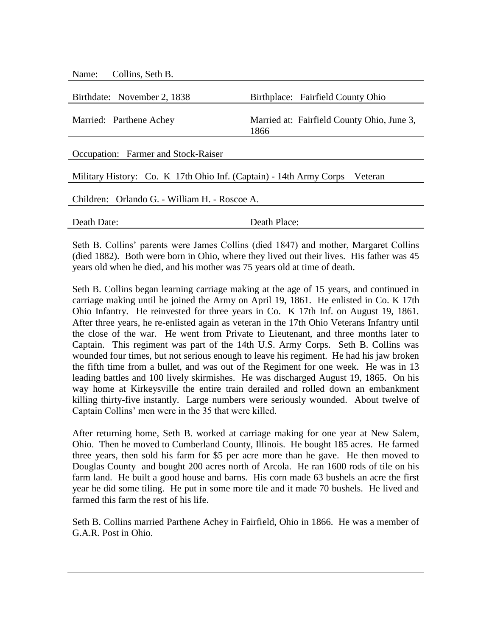| Collins, Seth B.<br>Name:                                                    |                                                    |  |
|------------------------------------------------------------------------------|----------------------------------------------------|--|
|                                                                              |                                                    |  |
| Birthdate: November 2, 1838                                                  | Birthplace: Fairfield County Ohio                  |  |
| Married: Parthene Achey                                                      | Married at: Fairfield County Ohio, June 3,<br>1866 |  |
| Occupation: Farmer and Stock-Raiser                                          |                                                    |  |
| Military History: Co. K 17th Ohio Inf. (Captain) - 14th Army Corps – Veteran |                                                    |  |
| Children: Orlando G. - William H. - Roscoe A.                                |                                                    |  |
| Death Date:                                                                  | Death Place:                                       |  |

Seth B. Collins' parents were James Collins (died 1847) and mother, Margaret Collins (died 1882). Both were born in Ohio, where they lived out their lives. His father was 45 years old when he died, and his mother was 75 years old at time of death.

Seth B. Collins began learning carriage making at the age of 15 years, and continued in carriage making until he joined the Army on April 19, 1861. He enlisted in Co. K 17th Ohio Infantry. He reinvested for three years in Co. K 17th Inf. on August 19, 1861. After three years, he re-enlisted again as veteran in the 17th Ohio Veterans Infantry until the close of the war. He went from Private to Lieutenant, and three months later to Captain. This regiment was part of the 14th U.S. Army Corps. Seth B. Collins was wounded four times, but not serious enough to leave his regiment. He had his jaw broken the fifth time from a bullet, and was out of the Regiment for one week. He was in 13 leading battles and 100 lively skirmishes. He was discharged August 19, 1865. On his way home at Kirkeysville the entire train derailed and rolled down an embankment killing thirty-five instantly. Large numbers were seriously wounded. About twelve of Captain Collins' men were in the 35 that were killed.

After returning home, Seth B. worked at carriage making for one year at New Salem, Ohio. Then he moved to Cumberland County, Illinois. He bought 185 acres. He farmed three years, then sold his farm for \$5 per acre more than he gave. He then moved to Douglas County and bought 200 acres north of Arcola. He ran 1600 rods of tile on his farm land. He built a good house and barns. His corn made 63 bushels an acre the first year he did some tiling. He put in some more tile and it made 70 bushels. He lived and farmed this farm the rest of his life.

Seth B. Collins married Parthene Achey in Fairfield, Ohio in 1866. He was a member of G.A.R. Post in Ohio.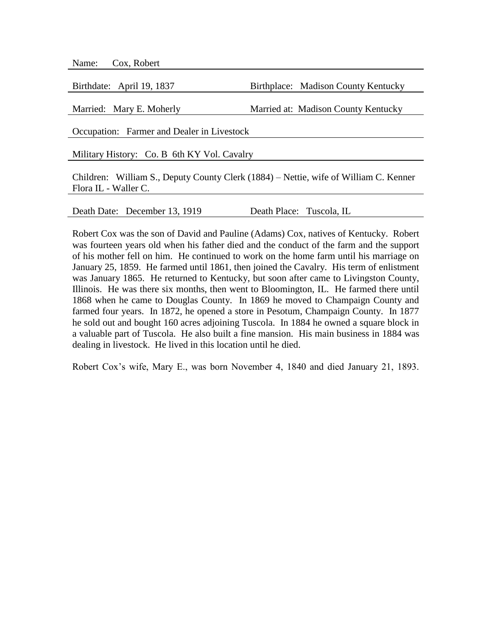| Cox, Robert<br>Name:                                                                                         |                                     |  |
|--------------------------------------------------------------------------------------------------------------|-------------------------------------|--|
|                                                                                                              |                                     |  |
| Birthdate: April 19, 1837                                                                                    | Birthplace: Madison County Kentucky |  |
|                                                                                                              |                                     |  |
| Married: Mary E. Moherly                                                                                     | Married at: Madison County Kentucky |  |
| Occupation: Farmer and Dealer in Livestock                                                                   |                                     |  |
| Military History: Co. B 6th KY Vol. Cavalry                                                                  |                                     |  |
| Children: William S., Deputy County Clerk (1884) – Nettie, wife of William C. Kenner<br>Flora IL - Waller C. |                                     |  |
|                                                                                                              |                                     |  |

Death Date: December 13, 1919 Death Place: Tuscola, IL

Robert Cox was the son of David and Pauline (Adams) Cox, natives of Kentucky. Robert was fourteen years old when his father died and the conduct of the farm and the support of his mother fell on him. He continued to work on the home farm until his marriage on January 25, 1859. He farmed until 1861, then joined the Cavalry. His term of enlistment was January 1865. He returned to Kentucky, but soon after came to Livingston County, Illinois. He was there six months, then went to Bloomington, IL. He farmed there until 1868 when he came to Douglas County. In 1869 he moved to Champaign County and farmed four years. In 1872, he opened a store in Pesotum, Champaign County. In 1877 he sold out and bought 160 acres adjoining Tuscola. In 1884 he owned a square block in a valuable part of Tuscola. He also built a fine mansion. His main business in 1884 was dealing in livestock. He lived in this location until he died.

Robert Cox's wife, Mary E., was born November 4, 1840 and died January 21, 1893.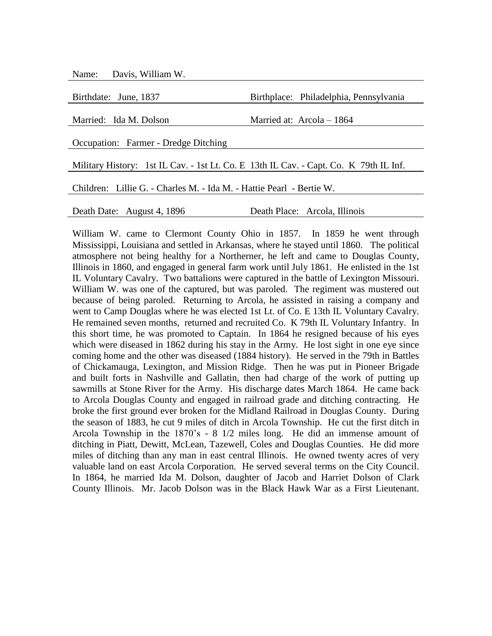Name: Davis, William W.

| Birthdate: June, 1837                                                                 | Birthplace: Philadelphia, Pennsylvania |  |
|---------------------------------------------------------------------------------------|----------------------------------------|--|
| Married: Ida M. Dolson                                                                | Married at: $Arcola - 1864$            |  |
|                                                                                       |                                        |  |
| Occupation: Farmer - Dredge Ditching                                                  |                                        |  |
| Military History: 1st IL Cav. - 1st Lt. Co. E 13th IL Cav. - Capt. Co. K 79th IL Inf. |                                        |  |
| Children: Lillie G. - Charles M. - Ida M. - Hattie Pearl - Bertie W.                  |                                        |  |
| Death Date: August 4, 1896                                                            | Death Place: Arcola, Illinois          |  |

William W. came to Clermont County Ohio in 1857. In 1859 he went through Mississippi, Louisiana and settled in Arkansas, where he stayed until 1860. The political atmosphere not being healthy for a Northerner, he left and came to Douglas County, Illinois in 1860, and engaged in general farm work until July 1861. He enlisted in the 1st IL Voluntary Cavalry. Two battalions were captured in the battle of Lexington Missouri. William W. was one of the captured, but was paroled. The regiment was mustered out because of being paroled. Returning to Arcola, he assisted in raising a company and went to Camp Douglas where he was elected 1st Lt. of Co. E 13th IL Voluntary Cavalry. He remained seven months, returned and recruited Co. K 79th IL Voluntary Infantry. In this short time, he was promoted to Captain. In 1864 he resigned because of his eyes which were diseased in 1862 during his stay in the Army. He lost sight in one eye since coming home and the other was diseased (1884 history). He served in the 79th in Battles of Chickamauga, Lexington, and Mission Ridge. Then he was put in Pioneer Brigade and built forts in Nashville and Gallatin, then had charge of the work of putting up sawmills at Stone River for the Army. His discharge dates March 1864. He came back to Arcola Douglas County and engaged in railroad grade and ditching contracting. He broke the first ground ever broken for the Midland Railroad in Douglas County. During the season of 1883, he cut 9 miles of ditch in Arcola Township. He cut the first ditch in Arcola Township in the 1870's - 8 1/2 miles long. He did an immense amount of ditching in Piatt, Dewitt, McLean, Tazewell, Coles and Douglas Counties. He did more miles of ditching than any man in east central Illinois. He owned twenty acres of very valuable land on east Arcola Corporation. He served several terms on the City Council. In 1864, he married Ida M. Dolson, daughter of Jacob and Harriet Dolson of Clark County Illinois. Mr. Jacob Dolson was in the Black Hawk War as a First Lieutenant.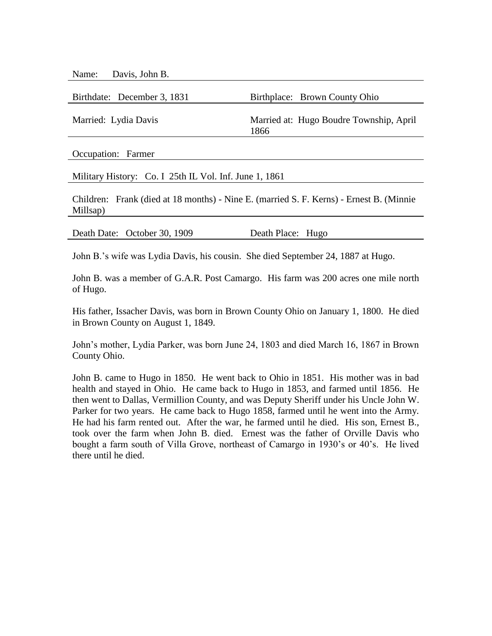Name: Davis, John B.

| Birthdate: December 3, 1831 | Birthplace: Brown County Ohio                   |
|-----------------------------|-------------------------------------------------|
| Married: Lydia Davis        | Married at: Hugo Boudre Township, April<br>1866 |
|                             |                                                 |

Occupation: Farmer

Military History: Co. I 25th IL Vol. Inf. June 1, 1861

Children: Frank (died at 18 months) - Nine E. (married S. F. Kerns) - Ernest B. (Minnie Millsap)

Death Date: October 30, 1909 Death Place: Hugo

John B.'s wife was Lydia Davis, his cousin. She died September 24, 1887 at Hugo.

John B. was a member of G.A.R. Post Camargo. His farm was 200 acres one mile north of Hugo.

His father, Issacher Davis, was born in Brown County Ohio on January 1, 1800. He died in Brown County on August 1, 1849.

John's mother, Lydia Parker, was born June 24, 1803 and died March 16, 1867 in Brown County Ohio.

John B. came to Hugo in 1850. He went back to Ohio in 1851. His mother was in bad health and stayed in Ohio. He came back to Hugo in 1853, and farmed until 1856. He then went to Dallas, Vermillion County, and was Deputy Sheriff under his Uncle John W. Parker for two years. He came back to Hugo 1858, farmed until he went into the Army. He had his farm rented out. After the war, he farmed until he died. His son, Ernest B., took over the farm when John B. died. Ernest was the father of Orville Davis who bought a farm south of Villa Grove, northeast of Camargo in 1930's or 40's. He lived there until he died.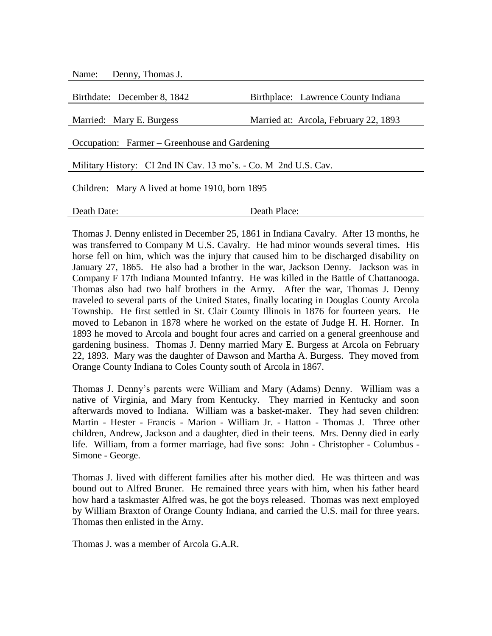| Denny, Thomas J.<br>Name:                                       |                                       |  |
|-----------------------------------------------------------------|---------------------------------------|--|
|                                                                 |                                       |  |
| Birthdate: December 8, 1842                                     | Birthplace: Lawrence County Indiana   |  |
| Married: Mary E. Burgess                                        | Married at: Arcola, February 22, 1893 |  |
| Occupation: Farmer – Greenhouse and Gardening                   |                                       |  |
| Military History: CI 2nd IN Cav. 13 mo's. - Co. M 2nd U.S. Cav. |                                       |  |
| Children: Mary A lived at home 1910, born 1895                  |                                       |  |
|                                                                 |                                       |  |
| Death Date:                                                     | Death Place:                          |  |

Thomas J. Denny enlisted in December 25, 1861 in Indiana Cavalry. After 13 months, he was transferred to Company M U.S. Cavalry. He had minor wounds several times. His horse fell on him, which was the injury that caused him to be discharged disability on January 27, 1865. He also had a brother in the war, Jackson Denny. Jackson was in Company F 17th Indiana Mounted Infantry. He was killed in the Battle of Chattanooga. Thomas also had two half brothers in the Army. After the war, Thomas J. Denny traveled to several parts of the United States, finally locating in Douglas County Arcola Township. He first settled in St. Clair County Illinois in 1876 for fourteen years. He moved to Lebanon in 1878 where he worked on the estate of Judge H. H. Horner. In 1893 he moved to Arcola and bought four acres and carried on a general greenhouse and gardening business. Thomas J. Denny married Mary E. Burgess at Arcola on February 22, 1893. Mary was the daughter of Dawson and Martha A. Burgess. They moved from Orange County Indiana to Coles County south of Arcola in 1867.

Thomas J. Denny's parents were William and Mary (Adams) Denny. William was a native of Virginia, and Mary from Kentucky. They married in Kentucky and soon afterwards moved to Indiana. William was a basket-maker. They had seven children: Martin - Hester - Francis - Marion - William Jr. - Hatton - Thomas J. Three other children, Andrew, Jackson and a daughter, died in their teens. Mrs. Denny died in early life. William, from a former marriage, had five sons: John - Christopher - Columbus - Simone - George.

Thomas J. lived with different families after his mother died. He was thirteen and was bound out to Alfred Bruner. He remained three years with him, when his father heard how hard a taskmaster Alfred was, he got the boys released. Thomas was next employed by William Braxton of Orange County Indiana, and carried the U.S. mail for three years. Thomas then enlisted in the Arny.

Thomas J. was a member of Arcola G.A.R.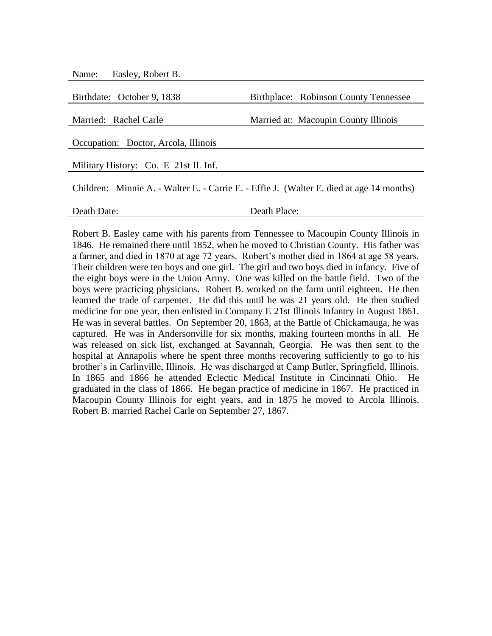| Easley, Robert B.<br>Name:                                                               |                                       |  |
|------------------------------------------------------------------------------------------|---------------------------------------|--|
|                                                                                          |                                       |  |
| Birthdate: October 9, 1838                                                               | Birthplace: Robinson County Tennessee |  |
| Married: Rachel Carle                                                                    | Married at: Macoupin County Illinois  |  |
|                                                                                          |                                       |  |
| Occupation: Doctor, Arcola, Illinois                                                     |                                       |  |
| Military History: Co. E 21st IL Inf.                                                     |                                       |  |
| Children: Minnie A. - Walter E. - Carrie E. - Effie J. (Walter E. died at age 14 months) |                                       |  |
| Death Date:                                                                              | Death Place:                          |  |

Robert B. Easley came with his parents from Tennessee to Macoupin County Illinois in 1846. He remained there until 1852, when he moved to Christian County. His father was a farmer, and died in 1870 at age 72 years. Robert's mother died in 1864 at age 58 years. Their children were ten boys and one girl. The girl and two boys died in infancy. Five of the eight boys were in the Union Army. One was killed on the battle field. Two of the boys were practicing physicians. Robert B. worked on the farm until eighteen. He then learned the trade of carpenter. He did this until he was 21 years old. He then studied medicine for one year, then enlisted in Company E 21st Illinois Infantry in August 1861. He was in several battles. On September 20, 1863, at the Battle of Chickamauga, he was captured. He was in Andersonville for six months, making fourteen months in all. He was released on sick list, exchanged at Savannah, Georgia. He was then sent to the hospital at Annapolis where he spent three months recovering sufficiently to go to his brother's in Carlinville, Illinois. He was discharged at Camp Butler, Springfield, Illinois. In 1865 and 1866 he attended Eclectic Medical Institute in Cincinnati Ohio. He graduated in the class of 1866. He began practice of medicine in 1867. He practiced in Macoupin County Illinois for eight years, and in 1875 he moved to Arcola Illinois. Robert B. married Rachel Carle on September 27, 1867.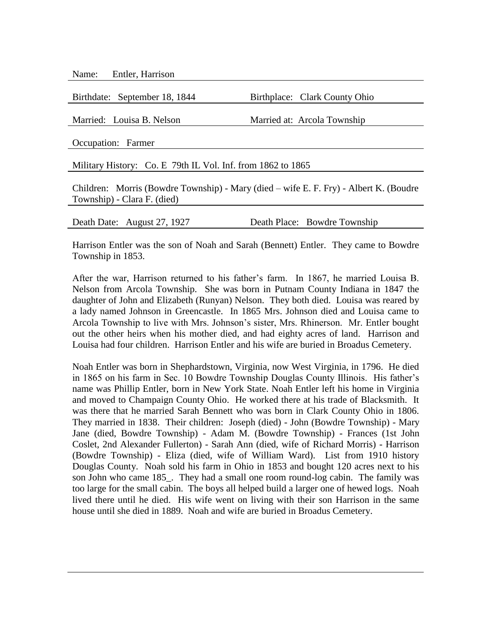Name: Entler, Harrison

Birthdate: September 18, 1844 Birthplace: Clark County Ohio Married: Louisa B. Nelson Married at: Arcola Township Occupation: Farmer Military History: Co. E 79th IL Vol. Inf. from 1862 to 1865 Children: Morris (Bowdre Township) - Mary (died – wife E. F. Fry) - Albert K. (Boudre Township) - Clara F. (died)

Death Date: August 27, 1927 Death Place: Bowdre Township

Harrison Entler was the son of Noah and Sarah (Bennett) Entler. They came to Bowdre Township in 1853.

After the war, Harrison returned to his father's farm. In 1867, he married Louisa B. Nelson from Arcola Township. She was born in Putnam County Indiana in 1847 the daughter of John and Elizabeth (Runyan) Nelson. They both died. Louisa was reared by a lady named Johnson in Greencastle. In 1865 Mrs. Johnson died and Louisa came to Arcola Township to live with Mrs. Johnson's sister, Mrs. Rhinerson. Mr. Entler bought out the other heirs when his mother died, and had eighty acres of land. Harrison and Louisa had four children. Harrison Entler and his wife are buried in Broadus Cemetery.

Noah Entler was born in Shephardstown, Virginia, now West Virginia, in 1796. He died in 1865 on his farm in Sec. 10 Bowdre Township Douglas County Illinois. His father's name was Phillip Entler, born in New York State. Noah Entler left his home in Virginia and moved to Champaign County Ohio. He worked there at his trade of Blacksmith. It was there that he married Sarah Bennett who was born in Clark County Ohio in 1806. They married in 1838. Their children: Joseph (died) - John (Bowdre Township) - Mary Jane (died, Bowdre Township) - Adam M. (Bowdre Township) - Frances (1st John Coslet, 2nd Alexander Fullerton) - Sarah Ann (died, wife of Richard Morris) - Harrison (Bowdre Township) - Eliza (died, wife of William Ward). List from 1910 history Douglas County. Noah sold his farm in Ohio in 1853 and bought 120 acres next to his son John who came 185. They had a small one room round-log cabin. The family was too large for the small cabin. The boys all helped build a larger one of hewed logs. Noah lived there until he died. His wife went on living with their son Harrison in the same house until she died in 1889. Noah and wife are buried in Broadus Cemetery.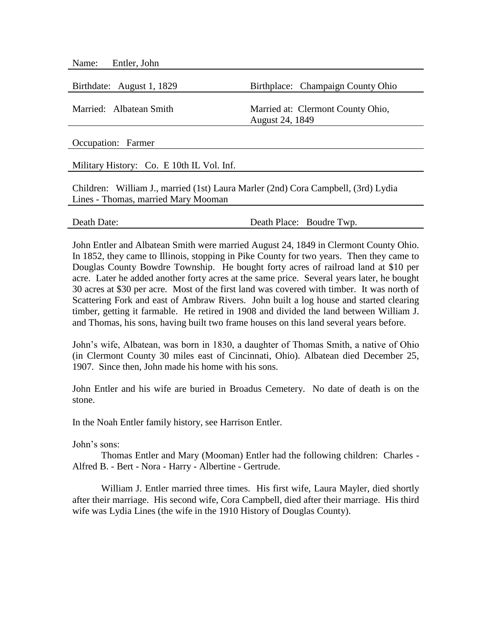| Name: Entler, John        |                                                      |
|---------------------------|------------------------------------------------------|
| Birthdate: August 1, 1829 | Birthplace: Champaign County Ohio                    |
| Married: Albatean Smith   | Married at: Clermont County Ohio,<br>August 24, 1849 |
| Occupation: Farmer        |                                                      |

Military History: Co. E 10th IL Vol. Inf.

Children: William J., married (1st) Laura Marler (2nd) Cora Campbell, (3rd) Lydia Lines - Thomas, married Mary Mooman

| Death Date: |  |
|-------------|--|
|             |  |

Death Place: Boudre Twp.

John Entler and Albatean Smith were married August 24, 1849 in Clermont County Ohio. In 1852, they came to Illinois, stopping in Pike County for two years. Then they came to Douglas County Bowdre Township. He bought forty acres of railroad land at \$10 per acre. Later he added another forty acres at the same price. Several years later, he bought 30 acres at \$30 per acre. Most of the first land was covered with timber. It was north of Scattering Fork and east of Ambraw Rivers. John built a log house and started clearing timber, getting it farmable. He retired in 1908 and divided the land between William J. and Thomas, his sons, having built two frame houses on this land several years before.

John's wife, Albatean, was born in 1830, a daughter of Thomas Smith, a native of Ohio (in Clermont County 30 miles east of Cincinnati, Ohio). Albatean died December 25, 1907. Since then, John made his home with his sons.

John Entler and his wife are buried in Broadus Cemetery. No date of death is on the stone.

In the Noah Entler family history, see Harrison Entler.

John's sons:

Thomas Entler and Mary (Mooman) Entler had the following children: Charles - Alfred B. - Bert - Nora - Harry - Albertine - Gertrude.

William J. Entler married three times. His first wife, Laura Mayler, died shortly after their marriage. His second wife, Cora Campbell, died after their marriage. His third wife was Lydia Lines (the wife in the 1910 History of Douglas County).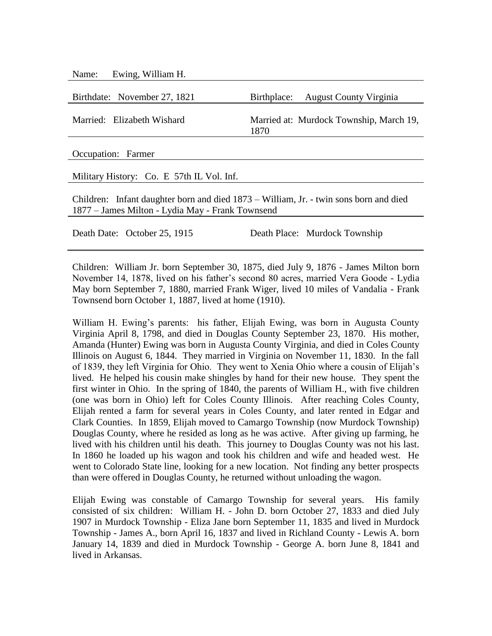| Ewing, William H.<br>Name:                                                                                                                |                                                 |  |
|-------------------------------------------------------------------------------------------------------------------------------------------|-------------------------------------------------|--|
|                                                                                                                                           |                                                 |  |
| Birthdate: November 27, 1821                                                                                                              | Birthplace:<br><b>August County Virginia</b>    |  |
| Married: Elizabeth Wishard                                                                                                                | Married at: Murdock Township, March 19,<br>1870 |  |
| Occupation: Farmer                                                                                                                        |                                                 |  |
|                                                                                                                                           |                                                 |  |
| Military History: Co. E 57th IL Vol. Inf.                                                                                                 |                                                 |  |
| Children: Infant daughter born and died 1873 – William, Jr. - twin sons born and died<br>1877 – James Milton - Lydia May - Frank Townsend |                                                 |  |

Death Date: October 25, 1915 Death Place: Murdock Township

Children: William Jr. born September 30, 1875, died July 9, 1876 - James Milton born November 14, 1878, lived on his father's second 80 acres, married Vera Goode - Lydia May born September 7, 1880, married Frank Wiger, lived 10 miles of Vandalia - Frank Townsend born October 1, 1887, lived at home (1910).

William H. Ewing's parents: his father, Elijah Ewing, was born in Augusta County Virginia April 8, 1798, and died in Douglas County September 23, 1870. His mother, Amanda (Hunter) Ewing was born in Augusta County Virginia, and died in Coles County Illinois on August 6, 1844. They married in Virginia on November 11, 1830. In the fall of 1839, they left Virginia for Ohio. They went to Xenia Ohio where a cousin of Elijah's lived. He helped his cousin make shingles by hand for their new house. They spent the first winter in Ohio. In the spring of 1840, the parents of William H., with five children (one was born in Ohio) left for Coles County Illinois. After reaching Coles County, Elijah rented a farm for several years in Coles County, and later rented in Edgar and Clark Counties. In 1859, Elijah moved to Camargo Township (now Murdock Township) Douglas County, where he resided as long as he was active. After giving up farming, he lived with his children until his death. This journey to Douglas County was not his last. In 1860 he loaded up his wagon and took his children and wife and headed west. He went to Colorado State line, looking for a new location. Not finding any better prospects than were offered in Douglas County, he returned without unloading the wagon.

Elijah Ewing was constable of Camargo Township for several years. His family consisted of six children: William H. - John D. born October 27, 1833 and died July 1907 in Murdock Township - Eliza Jane born September 11, 1835 and lived in Murdock Township - James A., born April 16, 1837 and lived in Richland County - Lewis A. born January 14, 1839 and died in Murdock Township - George A. born June 8, 1841 and lived in Arkansas.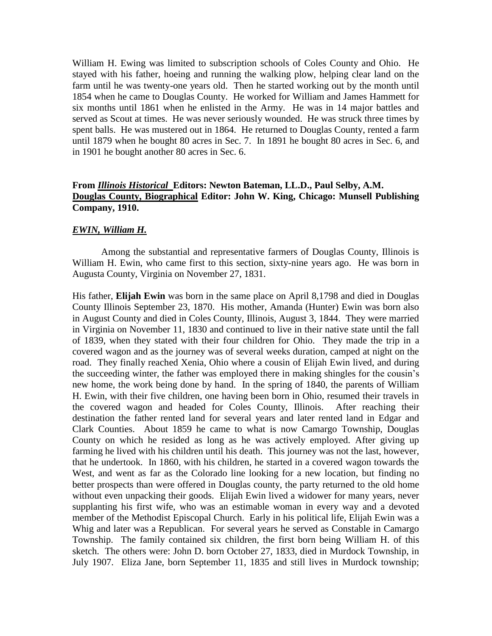William H. Ewing was limited to subscription schools of Coles County and Ohio. He stayed with his father, hoeing and running the walking plow, helping clear land on the farm until he was twenty-one years old. Then he started working out by the month until 1854 when he came to Douglas County. He worked for William and James Hammett for six months until 1861 when he enlisted in the Army. He was in 14 major battles and served as Scout at times. He was never seriously wounded. He was struck three times by spent balls. He was mustered out in 1864. He returned to Douglas County, rented a farm until 1879 when he bought 80 acres in Sec. 7. In 1891 he bought 80 acres in Sec. 6, and in 1901 he bought another 80 acres in Sec. 6.

## **From** *Illinois Historical* **Editors: Newton Bateman, LL.D., Paul Selby, A.M. Douglas County, Biographical Editor: John W. King, Chicago: Munsell Publishing Company, 1910.**

#### *EWIN, William H.*

Among the substantial and representative farmers of Douglas County, Illinois is William H. Ewin, who came first to this section, sixty-nine years ago. He was born in Augusta County, Virginia on November 27, 1831.

His father, **Elijah Ewin** was born in the same place on April 8,1798 and died in Douglas County Illinois September 23, 1870. His mother, Amanda (Hunter) Ewin was born also in August County and died in Coles County, Illinois, August 3, 1844. They were married in Virginia on November 11, 1830 and continued to live in their native state until the fall of 1839, when they stated with their four children for Ohio. They made the trip in a covered wagon and as the journey was of several weeks duration, camped at night on the road. They finally reached Xenia, Ohio where a cousin of Elijah Ewin lived, and during the succeeding winter, the father was employed there in making shingles for the cousin's new home, the work being done by hand. In the spring of 1840, the parents of William H. Ewin, with their five children, one having been born in Ohio, resumed their travels in the covered wagon and headed for Coles County, Illinois. After reaching their destination the father rented land for several years and later rented land in Edgar and Clark Counties. About 1859 he came to what is now Camargo Township, Douglas County on which he resided as long as he was actively employed. After giving up farming he lived with his children until his death. This journey was not the last, however, that he undertook. In 1860, with his children, he started in a covered wagon towards the West, and went as far as the Colorado line looking for a new location, but finding no better prospects than were offered in Douglas county, the party returned to the old home without even unpacking their goods. Elijah Ewin lived a widower for many years, never supplanting his first wife, who was an estimable woman in every way and a devoted member of the Methodist Episcopal Church. Early in his political life, Elijah Ewin was a Whig and later was a Republican. For several years he served as Constable in Camargo Township. The family contained six children, the first born being William H. of this sketch. The others were: John D. born October 27, 1833, died in Murdock Township, in July 1907. Eliza Jane, born September 11, 1835 and still lives in Murdock township;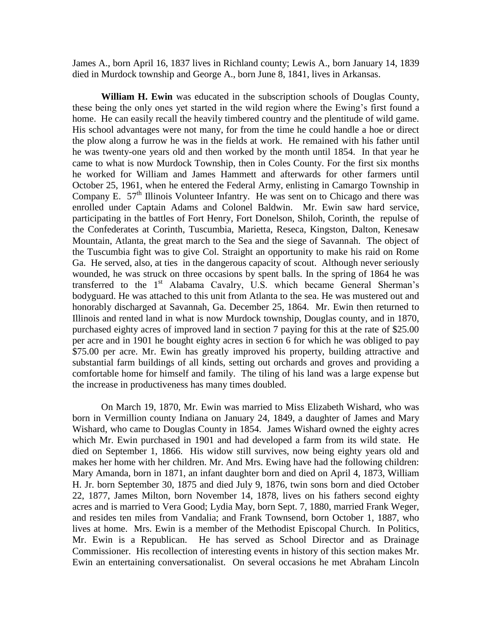James A., born April 16, 1837 lives in Richland county; Lewis A., born January 14, 1839 died in Murdock township and George A., born June 8, 1841, lives in Arkansas.

**William H. Ewin** was educated in the subscription schools of Douglas County, these being the only ones yet started in the wild region where the Ewing's first found a home. He can easily recall the heavily timbered country and the plentitude of wild game. His school advantages were not many, for from the time he could handle a hoe or direct the plow along a furrow he was in the fields at work. He remained with his father until he was twenty-one years old and then worked by the month until 1854. In that year he came to what is now Murdock Township, then in Coles County. For the first six months he worked for William and James Hammett and afterwards for other farmers until October 25, 1961, when he entered the Federal Army, enlisting in Camargo Township in Company E.  $57<sup>th</sup>$  Illinois Volunteer Infantry. He was sent on to Chicago and there was enrolled under Captain Adams and Colonel Baldwin. Mr. Ewin saw hard service, participating in the battles of Fort Henry, Fort Donelson, Shiloh, Corinth, the repulse of the Confederates at Corinth, Tuscumbia, Marietta, Reseca, Kingston, Dalton, Kenesaw Mountain, Atlanta, the great march to the Sea and the siege of Savannah. The object of the Tuscumbia fight was to give Col. Straight an opportunity to make his raid on Rome Ga. He served, also, at ties in the dangerous capacity of scout. Although never seriously wounded, he was struck on three occasions by spent balls. In the spring of 1864 he was transferred to the  $1<sup>st</sup>$  Alabama Cavalry, U.S. which became General Sherman's bodyguard. He was attached to this unit from Atlanta to the sea. He was mustered out and honorably discharged at Savannah, Ga. December 25, 1864. Mr. Ewin then returned to Illinois and rented land in what is now Murdock township, Douglas county, and in 1870, purchased eighty acres of improved land in section 7 paying for this at the rate of \$25.00 per acre and in 1901 he bought eighty acres in section 6 for which he was obliged to pay \$75.00 per acre. Mr. Ewin has greatly improved his property, building attractive and substantial farm buildings of all kinds, setting out orchards and groves and providing a comfortable home for himself and family. The tiling of his land was a large expense but the increase in productiveness has many times doubled.

On March 19, 1870, Mr. Ewin was married to Miss Elizabeth Wishard, who was born in Vermillion county Indiana on January 24, 1849, a daughter of James and Mary Wishard, who came to Douglas County in 1854. James Wishard owned the eighty acres which Mr. Ewin purchased in 1901 and had developed a farm from its wild state. He died on September 1, 1866. His widow still survives, now being eighty years old and makes her home with her children. Mr. And Mrs. Ewing have had the following children: Mary Amanda, born in 1871, an infant daughter born and died on April 4, 1873, William H. Jr. born September 30, 1875 and died July 9, 1876, twin sons born and died October 22, 1877, James Milton, born November 14, 1878, lives on his fathers second eighty acres and is married to Vera Good; Lydia May, born Sept. 7, 1880, married Frank Weger, and resides ten miles from Vandalia; and Frank Townsend, born October 1, 1887, who lives at home. Mrs. Ewin is a member of the Methodist Episcopal Church. In Politics, Mr. Ewin is a Republican. He has served as School Director and as Drainage Commissioner. His recollection of interesting events in history of this section makes Mr. Ewin an entertaining conversationalist. On several occasions he met Abraham Lincoln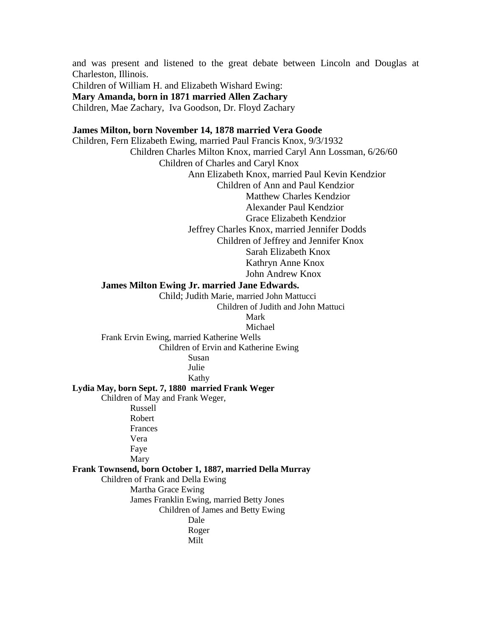and was present and listened to the great debate between Lincoln and Douglas at Charleston, Illinois.

Children of William H. and Elizabeth Wishard Ewing: **Mary Amanda, born in 1871 married Allen Zachary** Children, Mae Zachary, Iva Goodson, Dr. Floyd Zachary

### **James Milton, born November 14, 1878 married Vera Goode**

Children, Fern Elizabeth Ewing, married Paul Francis Knox, 9/3/1932 Children Charles Milton Knox, married Caryl Ann Lossman, 6/26/60 Children of Charles and Caryl Knox Ann Elizabeth Knox, married Paul Kevin Kendzior Children of Ann and Paul Kendzior Matthew Charles Kendzior Alexander Paul Kendzior Grace Elizabeth Kendzior Jeffrey Charles Knox, married Jennifer Dodds Children of Jeffrey and Jennifer Knox Sarah Elizabeth Knox Kathryn Anne Knox John Andrew Knox **James Milton Ewing Jr. married Jane Edwards.**

> Child; Judith Marie, married John Mattucci Children of Judith and John Mattuci

Mark

Michael

Frank Ervin Ewing, married Katherine Wells Children of Ervin and Katherine Ewing Susan

Julie

Kathy

**Lydia May, born Sept. 7, 1880 married Frank Weger**

Children of May and Frank Weger,

Russell Robert Frances Vera Faye Mary

**Frank Townsend, born October 1, 1887, married Della Murray**

Children of Frank and Della Ewing

Martha Grace Ewing

James Franklin Ewing, married Betty Jones

Children of James and Betty Ewing

Dale Roger

Milt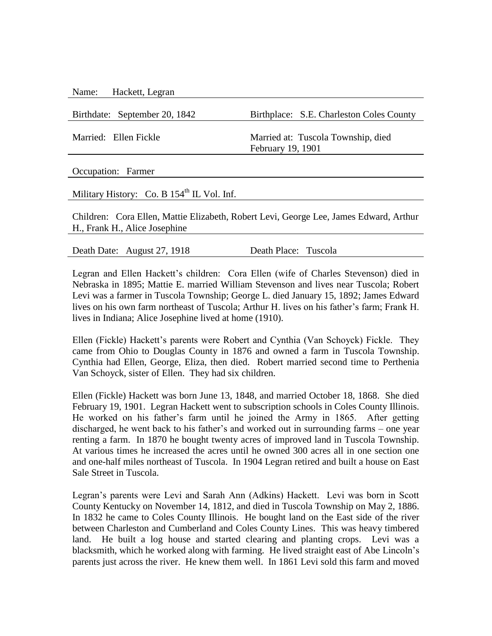| Name: | Hackett, Legran |  |
|-------|-----------------|--|
|-------|-----------------|--|

Birthdate: September 20, 1842 Birthplace: S.E. Charleston Coles County

Married: Ellen Fickle Married at: Tuscola Township, died February 19, 1901

Occupation: Farmer

Military History: Co. B 154<sup>th</sup> IL Vol. Inf.

Children: Cora Ellen, Mattie Elizabeth, Robert Levi, George Lee, James Edward, Arthur H., Frank H., Alice Josephine

Death Date: August 27, 1918 Death Place: Tuscola

Legran and Ellen Hackett's children: Cora Ellen (wife of Charles Stevenson) died in Nebraska in 1895; Mattie E. married William Stevenson and lives near Tuscola; Robert Levi was a farmer in Tuscola Township; George L. died January 15, 1892; James Edward lives on his own farm northeast of Tuscola; Arthur H. lives on his father's farm; Frank H. lives in Indiana; Alice Josephine lived at home (1910).

Ellen (Fickle) Hackett's parents were Robert and Cynthia (Van Schoyck) Fickle. They came from Ohio to Douglas County in 1876 and owned a farm in Tuscola Township. Cynthia had Ellen, George, Eliza, then died. Robert married second time to Perthenia Van Schoyck, sister of Ellen. They had six children.

Ellen (Fickle) Hackett was born June 13, 1848, and married October 18, 1868. She died February 19, 1901. Legran Hackett went to subscription schools in Coles County Illinois. He worked on his father's farm until he joined the Army in 1865. After getting discharged, he went back to his father's and worked out in surrounding farms – one year renting a farm. In 1870 he bought twenty acres of improved land in Tuscola Township. At various times he increased the acres until he owned 300 acres all in one section one and one-half miles northeast of Tuscola. In 1904 Legran retired and built a house on East Sale Street in Tuscola.

Legran's parents were Levi and Sarah Ann (Adkins) Hackett. Levi was born in Scott County Kentucky on November 14, 1812, and died in Tuscola Township on May 2, 1886. In 1832 he came to Coles County Illinois. He bought land on the East side of the river between Charleston and Cumberland and Coles County Lines. This was heavy timbered land. He built a log house and started clearing and planting crops. Levi was a blacksmith, which he worked along with farming. He lived straight east of Abe Lincoln's parents just across the river. He knew them well. In 1861 Levi sold this farm and moved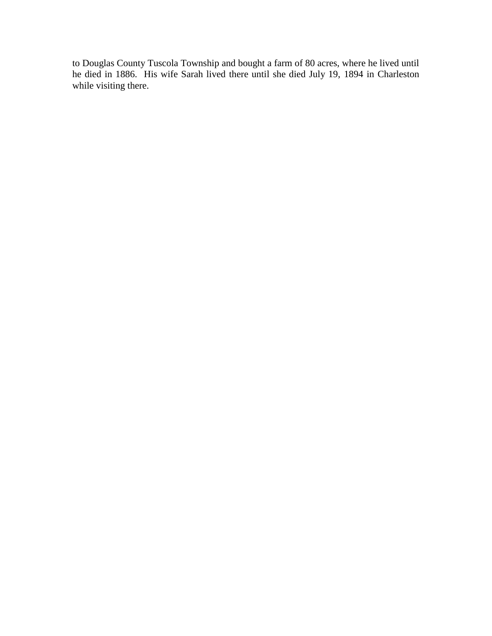to Douglas County Tuscola Township and bought a farm of 80 acres, where he lived until he died in 1886. His wife Sarah lived there until she died July 19, 1894 in Charleston while visiting there.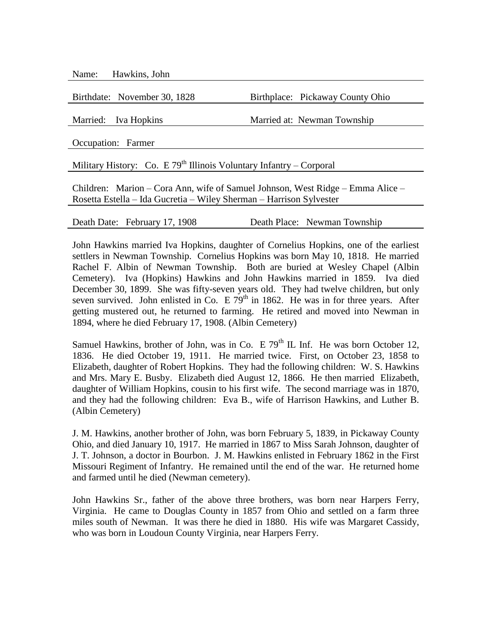Name: Hawkins, John

Birthdate: November 30, 1828 Birthplace: Pickaway County Ohio

Married: Iva Hopkins Married at: Newman Township

Occupation: Farmer

Military History: Co. E 79<sup>th</sup> Illinois Voluntary Infantry – Corporal

Children: Marion – Cora Ann, wife of Samuel Johnson, West Ridge – Emma Alice – Rosetta Estella – Ida Gucretia – Wiley Sherman – Harrison Sylvester

Death Date: February 17, 1908 Death Place: Newman Township

John Hawkins married Iva Hopkins, daughter of Cornelius Hopkins, one of the earliest settlers in Newman Township. Cornelius Hopkins was born May 10, 1818. He married Rachel F. Albin of Newman Township. Both are buried at Wesley Chapel (Albin Cemetery). Iva (Hopkins) Hawkins and John Hawkins married in 1859. Iva died December 30, 1899. She was fifty-seven years old. They had twelve children, but only seven survived. John enlisted in Co. E  $79<sup>th</sup>$  in 1862. He was in for three years. After getting mustered out, he returned to farming. He retired and moved into Newman in 1894, where he died February 17, 1908. (Albin Cemetery)

Samuel Hawkins, brother of John, was in Co. E  $79<sup>th</sup>$  IL Inf. He was born October 12, 1836. He died October 19, 1911. He married twice. First, on October 23, 1858 to Elizabeth, daughter of Robert Hopkins. They had the following children: W. S. Hawkins and Mrs. Mary E. Busby. Elizabeth died August 12, 1866. He then married Elizabeth, daughter of William Hopkins, cousin to his first wife. The second marriage was in 1870, and they had the following children: Eva B., wife of Harrison Hawkins, and Luther B. (Albin Cemetery)

J. M. Hawkins, another brother of John, was born February 5, 1839, in Pickaway County Ohio, and died January 10, 1917. He married in 1867 to Miss Sarah Johnson, daughter of J. T. Johnson, a doctor in Bourbon. J. M. Hawkins enlisted in February 1862 in the First Missouri Regiment of Infantry. He remained until the end of the war. He returned home and farmed until he died (Newman cemetery).

John Hawkins Sr., father of the above three brothers, was born near Harpers Ferry, Virginia. He came to Douglas County in 1857 from Ohio and settled on a farm three miles south of Newman. It was there he died in 1880. His wife was Margaret Cassidy, who was born in Loudoun County Virginia, near Harpers Ferry.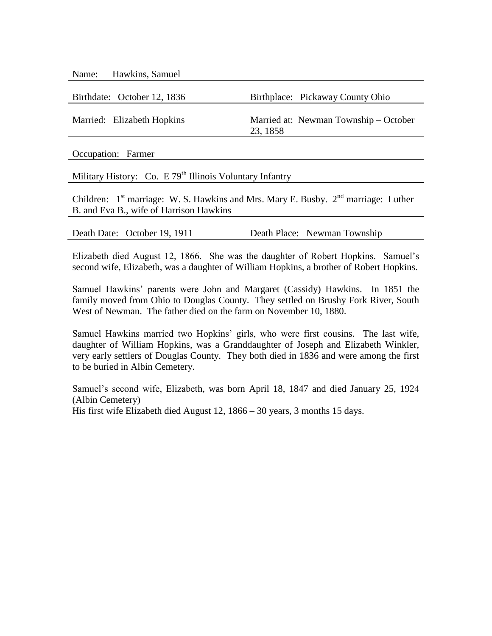| Name: Hawkins, Samuel       |                                                   |
|-----------------------------|---------------------------------------------------|
| Birthdate: October 12, 1836 | Birthplace: Pickaway County Ohio                  |
|                             |                                                   |
| Married: Elizabeth Hopkins  | Married at: Newman Township – October<br>23, 1858 |
|                             |                                                   |

Occupation: Farmer

Military History: Co. E  $79<sup>th</sup>$  Illinois Voluntary Infantry

Children:  $1<sup>st</sup>$  marriage: W. S. Hawkins and Mrs. Mary E. Busby.  $2<sup>nd</sup>$  marriage: Luther B. and Eva B., wife of Harrison Hawkins

| Death Date: October 19, 1911 | Death Place: Newman Township |
|------------------------------|------------------------------|
|                              |                              |

Elizabeth died August 12, 1866. She was the daughter of Robert Hopkins. Samuel's second wife, Elizabeth, was a daughter of William Hopkins, a brother of Robert Hopkins.

Samuel Hawkins' parents were John and Margaret (Cassidy) Hawkins. In 1851 the family moved from Ohio to Douglas County. They settled on Brushy Fork River, South West of Newman. The father died on the farm on November 10, 1880.

Samuel Hawkins married two Hopkins' girls, who were first cousins. The last wife, daughter of William Hopkins, was a Granddaughter of Joseph and Elizabeth Winkler, very early settlers of Douglas County. They both died in 1836 and were among the first to be buried in Albin Cemetery.

Samuel's second wife, Elizabeth, was born April 18, 1847 and died January 25, 1924 (Albin Cemetery) His first wife Elizabeth died August 12, 1866 – 30 years, 3 months 15 days.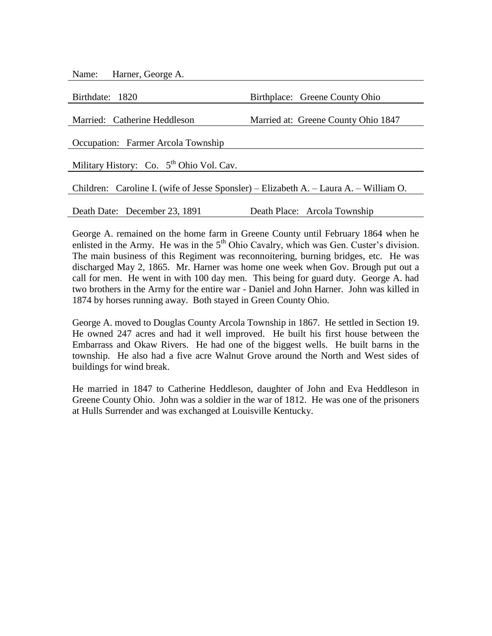| Name: | Harner, George A. |  |  |
|-------|-------------------|--|--|
|-------|-------------------|--|--|

| Birthdate: 1820                                                                       | Birthplace: Greene County Ohio      |
|---------------------------------------------------------------------------------------|-------------------------------------|
|                                                                                       |                                     |
| Married: Catherine Heddleson                                                          | Married at: Greene County Ohio 1847 |
|                                                                                       |                                     |
| Occupation: Farmer Arcola Township                                                    |                                     |
|                                                                                       |                                     |
| Military History: Co. 5 <sup>th</sup> Ohio Vol. Cav.                                  |                                     |
|                                                                                       |                                     |
| Children: Caroline I. (wife of Jesse Sponsler) – Elizabeth A. – Laura A. – William O. |                                     |
|                                                                                       |                                     |
| Death Date: December 23, 1891                                                         | Death Place: Arcola Township        |

George A. remained on the home farm in Greene County until February 1864 when he enlisted in the Army. He was in the  $5<sup>th</sup>$  Ohio Cavalry, which was Gen. Custer's division. The main business of this Regiment was reconnoitering, burning bridges, etc. He was discharged May 2, 1865. Mr. Harner was home one week when Gov. Brough put out a call for men. He went in with 100 day men. This being for guard duty. George A. had two brothers in the Army for the entire war - Daniel and John Harner. John was killed in 1874 by horses running away. Both stayed in Green County Ohio.

George A. moved to Douglas County Arcola Township in 1867. He settled in Section 19. He owned 247 acres and had it well improved. He built his first house between the Embarrass and Okaw Rivers. He had one of the biggest wells. He built barns in the township. He also had a five acre Walnut Grove around the North and West sides of buildings for wind break.

He married in 1847 to Catherine Heddleson, daughter of John and Eva Heddleson in Greene County Ohio. John was a soldier in the war of 1812. He was one of the prisoners at Hulls Surrender and was exchanged at Louisville Kentucky.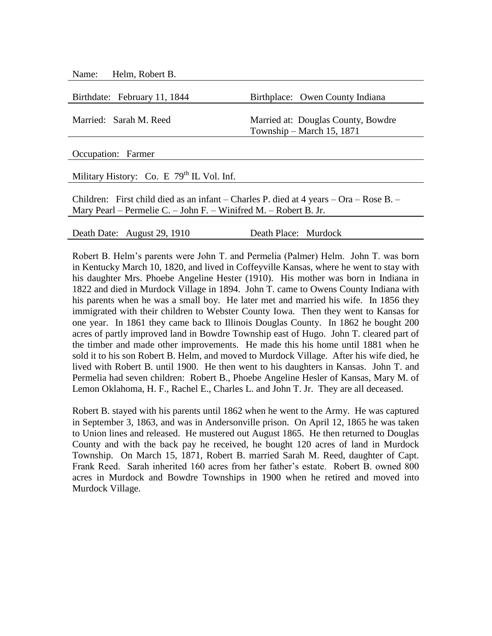Name: Helm, Robert B.

| Birthdate: February 11, 1844 | Birthplace: Owen County Indiana                                 |
|------------------------------|-----------------------------------------------------------------|
| Married: Sarah M. Reed       | Married at: Douglas County, Bowdre<br>Township – March 15, 1871 |
| Occupation: Formor           |                                                                 |

Occupation: Farmer

Military History: Co. E  $79<sup>th</sup>$  IL Vol. Inf.

Children: First child died as an infant – Charles P. died at 4 years – Ora – Rose B. – Mary Pearl – Permelie C. – John F. – Winifred M. – Robert B. Jr.

Death Date: August 29, 1910 Death Place: Murdock

Robert B. Helm's parents were John T. and Permelia (Palmer) Helm. John T. was born in Kentucky March 10, 1820, and lived in Coffeyville Kansas, where he went to stay with his daughter Mrs. Phoebe Angeline Hester (1910). His mother was born in Indiana in 1822 and died in Murdock Village in 1894. John T. came to Owens County Indiana with his parents when he was a small boy. He later met and married his wife. In 1856 they immigrated with their children to Webster County Iowa. Then they went to Kansas for one year. In 1861 they came back to Illinois Douglas County. In 1862 he bought 200 acres of partly improved land in Bowdre Township east of Hugo. John T. cleared part of the timber and made other improvements. He made this his home until 1881 when he sold it to his son Robert B. Helm, and moved to Murdock Village. After his wife died, he lived with Robert B. until 1900. He then went to his daughters in Kansas. John T. and Permelia had seven children: Robert B., Phoebe Angeline Hesler of Kansas, Mary M. of Lemon Oklahoma, H. F., Rachel E., Charles L. and John T. Jr. They are all deceased.

Robert B. stayed with his parents until 1862 when he went to the Army. He was captured in September 3, 1863, and was in Andersonville prison. On April 12, 1865 he was taken to Union lines and released. He mustered out August 1865. He then returned to Douglas County and with the back pay he received, he bought 120 acres of land in Murdock Township. On March 15, 1871, Robert B. married Sarah M. Reed, daughter of Capt. Frank Reed. Sarah inherited 160 acres from her father's estate. Robert B. owned 800 acres in Murdock and Bowdre Townships in 1900 when he retired and moved into Murdock Village.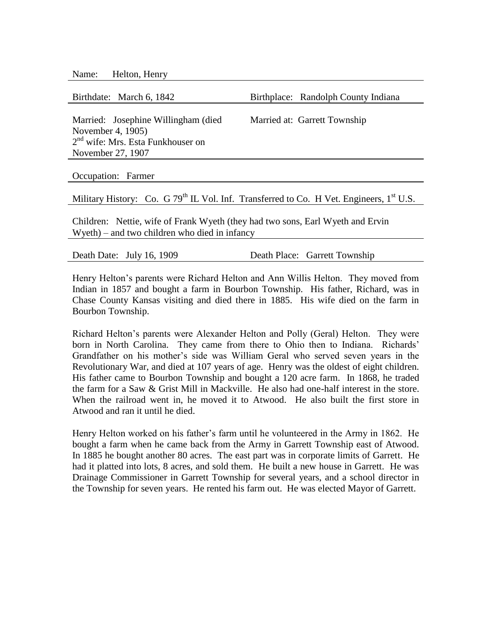| Name: | Helton, Henry |  |
|-------|---------------|--|
|-------|---------------|--|

| Birthdate: March 6, 1842                                                                                        | Birthplace: Randolph County Indiana |  |
|-----------------------------------------------------------------------------------------------------------------|-------------------------------------|--|
|                                                                                                                 |                                     |  |
| Married: Josephine Willingham (died)                                                                            | Married at: Garrett Township        |  |
| November 4, 1905)                                                                                               |                                     |  |
| 2 <sup>nd</sup> wife: Mrs. Esta Funkhouser on                                                                   |                                     |  |
| November 27, 1907                                                                                               |                                     |  |
|                                                                                                                 |                                     |  |
| Occupation: Farmer                                                                                              |                                     |  |
|                                                                                                                 |                                     |  |
| Military History: Co. G 79 <sup>th</sup> IL Vol. Inf. Transferred to Co. H Vet. Engineers, 1 <sup>st</sup> U.S. |                                     |  |
|                                                                                                                 |                                     |  |
| Children: Nettie, wife of Frank Wyeth (they had two sons, Earl Wyeth and Ervin                                  |                                     |  |
| $W$ yeth) – and two children who died in infancy                                                                |                                     |  |

| Death Date: July 16, 1909 |  |  | Death Place: Garrett Township |
|---------------------------|--|--|-------------------------------|
|---------------------------|--|--|-------------------------------|

Henry Helton's parents were Richard Helton and Ann Willis Helton. They moved from Indian in 1857 and bought a farm in Bourbon Township. His father, Richard, was in Chase County Kansas visiting and died there in 1885. His wife died on the farm in Bourbon Township.

Richard Helton's parents were Alexander Helton and Polly (Geral) Helton. They were born in North Carolina. They came from there to Ohio then to Indiana. Richards' Grandfather on his mother's side was William Geral who served seven years in the Revolutionary War, and died at 107 years of age. Henry was the oldest of eight children. His father came to Bourbon Township and bought a 120 acre farm. In 1868, he traded the farm for a Saw & Grist Mill in Mackville. He also had one-half interest in the store. When the railroad went in, he moved it to Atwood. He also built the first store in Atwood and ran it until he died.

Henry Helton worked on his father's farm until he volunteered in the Army in 1862. He bought a farm when he came back from the Army in Garrett Township east of Atwood. In 1885 he bought another 80 acres. The east part was in corporate limits of Garrett. He had it platted into lots, 8 acres, and sold them. He built a new house in Garrett. He was Drainage Commissioner in Garrett Township for several years, and a school director in the Township for seven years. He rented his farm out. He was elected Mayor of Garrett.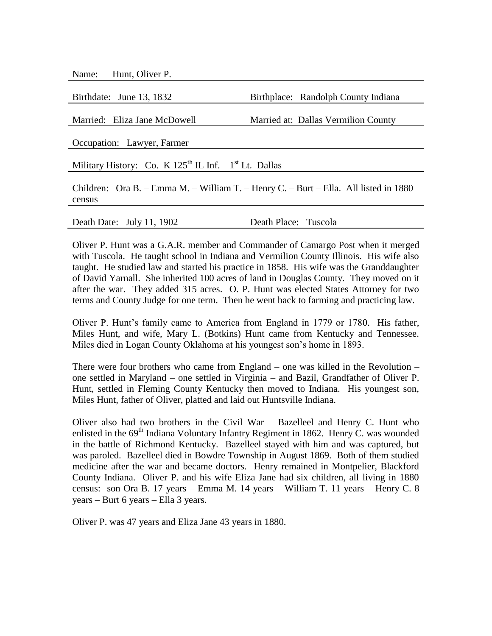Name: Hunt, Oliver P.

| Birthdate: June 13, 1832                                                             | Birthplace: Randolph County Indiana |
|--------------------------------------------------------------------------------------|-------------------------------------|
|                                                                                      |                                     |
| Married: Eliza Jane McDowell                                                         | Married at: Dallas Vermilion County |
|                                                                                      |                                     |
| Occupation: Lawyer, Farmer                                                           |                                     |
|                                                                                      |                                     |
| Military History: Co. K $125^{th}$ IL Inf. $-1^{st}$ Lt. Dallas                      |                                     |
|                                                                                      |                                     |
| Children: Ora B. – Emma M. – William T. – Henry C. – Burt – Ella. All listed in 1880 |                                     |
| census                                                                               |                                     |
|                                                                                      |                                     |

Death Date: July 11, 1902 Death Place: Tuscola

Oliver P. Hunt was a G.A.R. member and Commander of Camargo Post when it merged with Tuscola. He taught school in Indiana and Vermilion County Illinois. His wife also taught. He studied law and started his practice in 1858. His wife was the Granddaughter of David Yarnall. She inherited 100 acres of land in Douglas County. They moved on it after the war. They added 315 acres. O. P. Hunt was elected States Attorney for two terms and County Judge for one term. Then he went back to farming and practicing law.

Oliver P. Hunt's family came to America from England in 1779 or 1780. His father, Miles Hunt, and wife, Mary L. (Botkins) Hunt came from Kentucky and Tennessee. Miles died in Logan County Oklahoma at his youngest son's home in 1893.

There were four brothers who came from England – one was killed in the Revolution – one settled in Maryland – one settled in Virginia – and Bazil, Grandfather of Oliver P. Hunt, settled in Fleming County Kentucky then moved to Indiana. His youngest son, Miles Hunt, father of Oliver, platted and laid out Huntsville Indiana.

Oliver also had two brothers in the Civil War – Bazelleel and Henry C. Hunt who enlisted in the 69<sup>th</sup> Indiana Voluntary Infantry Regiment in 1862. Henry C. was wounded in the battle of Richmond Kentucky. Bazelleel stayed with him and was captured, but was paroled. Bazelleel died in Bowdre Township in August 1869. Both of them studied medicine after the war and became doctors. Henry remained in Montpelier, Blackford County Indiana. Oliver P. and his wife Eliza Jane had six children, all living in 1880 census: son Ora B. 17 years – Emma M. 14 years – William T. 11 years – Henry C. 8 years – Burt 6 years – Ella 3 years.

Oliver P. was 47 years and Eliza Jane 43 years in 1880.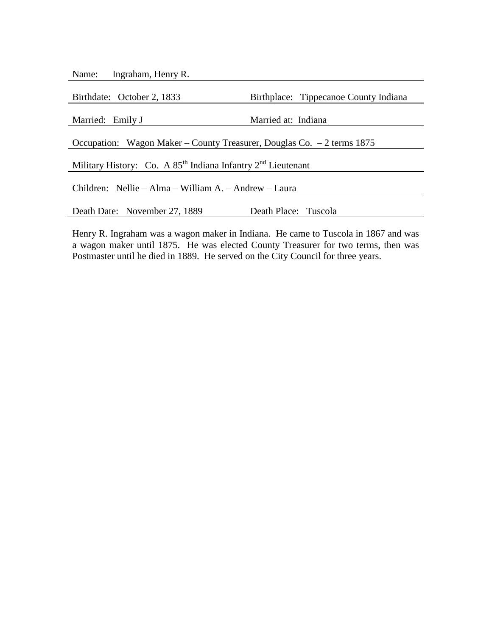|--|

| Birthdate: October 2, 1833                                             | Birthplace: Tippecanoe County Indiana |
|------------------------------------------------------------------------|---------------------------------------|
|                                                                        |                                       |
| Married: Emily J                                                       | Married at: Indiana                   |
|                                                                        |                                       |
| Occupation: Wagon Maker – County Treasurer, Douglas Co. – 2 terms 1875 |                                       |
|                                                                        |                                       |
| Military History: Co. A $85^{th}$ Indiana Infantry $2^{nd}$ Lieutenant |                                       |
|                                                                        |                                       |
| Children: Nellie – Alma – William A. – Andrew – Laura                  |                                       |
|                                                                        |                                       |
| Death Date: November 27, 1889                                          | Death Place: Tuscola                  |
|                                                                        |                                       |

Henry R. Ingraham was a wagon maker in Indiana. He came to Tuscola in 1867 and was a wagon maker until 1875. He was elected County Treasurer for two terms, then was Postmaster until he died in 1889. He served on the City Council for three years.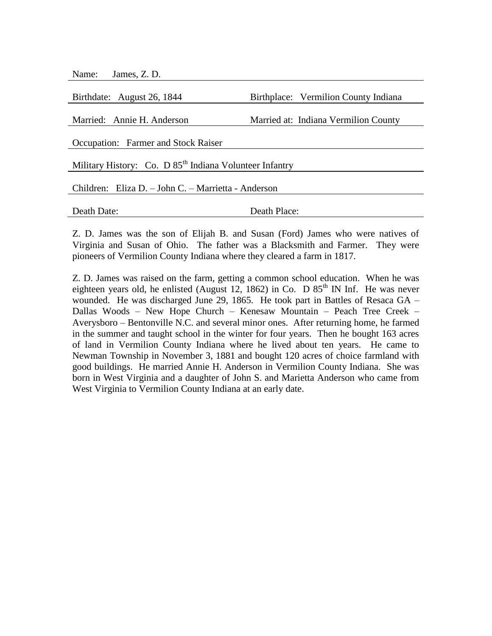| James, Z. D.<br>Name:                                               |                                      |  |
|---------------------------------------------------------------------|--------------------------------------|--|
|                                                                     |                                      |  |
| Birthdate: August 26, 1844                                          | Birthplace: Vermilion County Indiana |  |
|                                                                     |                                      |  |
| Married: Annie H. Anderson                                          | Married at: Indiana Vermilion County |  |
|                                                                     |                                      |  |
| Occupation: Farmer and Stock Raiser                                 |                                      |  |
| Military History: Co. D 85 <sup>th</sup> Indiana Volunteer Infantry |                                      |  |
| Children: Eliza D. – John C. – Marrietta - Anderson                 |                                      |  |
|                                                                     |                                      |  |
| Death Date:                                                         | Death Place:                         |  |
|                                                                     |                                      |  |

Z. D. James was the son of Elijah B. and Susan (Ford) James who were natives of Virginia and Susan of Ohio. The father was a Blacksmith and Farmer. They were pioneers of Vermilion County Indiana where they cleared a farm in 1817.

Z. D. James was raised on the farm, getting a common school education. When he was eighteen years old, he enlisted (August 12, 1862) in Co. D  $85<sup>th</sup>$  IN Inf. He was never wounded. He was discharged June 29, 1865. He took part in Battles of Resaca GA – Dallas Woods – New Hope Church – Kenesaw Mountain – Peach Tree Creek – Averysboro – Bentonville N.C. and several minor ones. After returning home, he farmed in the summer and taught school in the winter for four years. Then he bought 163 acres of land in Vermilion County Indiana where he lived about ten years. He came to Newman Township in November 3, 1881 and bought 120 acres of choice farmland with good buildings. He married Annie H. Anderson in Vermilion County Indiana. She was born in West Virginia and a daughter of John S. and Marietta Anderson who came from West Virginia to Vermilion County Indiana at an early date.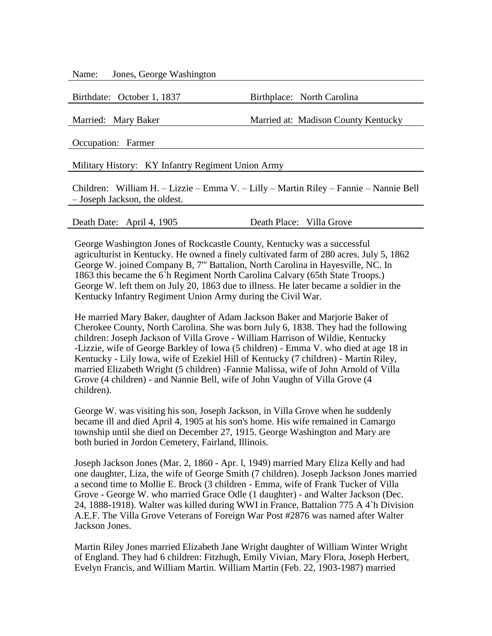Name: Jones, George Washington

Birthdate: October 1, 1837 Birthplace: North Carolina

Married: Mary Baker Married at: Madison County Kentucky

Occupation: Farmer

Military History: KY Infantry Regiment Union Army

Children: William H. – Lizzie – Emma V. – Lilly – Martin Riley – Fannie – Nannie Bell – Joseph Jackson, the oldest.

Death Date: April 4, 1905 Death Place: Villa Grove

George Washington Jones of Rockcastle County, Kentucky was a successful agriculturist in Kentucky. He owned a finely cultivated farm of 280 acres. July 5, 1862 George W. joined Company B, 7''' Battalion, North Carolina in Hayesville, NC. In 1863 this became the 6`h Regiment North Carolina Calvary (65th State Troops.) George W. left them on July 20, 1863 due to illness. He later became a soldier in the Kentucky Infantry Regiment Union Army during the Civil War.

He married Mary Baker, daughter of Adam Jackson Baker and Marjorie Baker of Cherokee County, North Carolina. She was born July 6, 1838. They had the following children: Joseph Jackson of Villa Grove - William Harrison of Wildie, Kentucky -Lizzie, wife of George Barkley of Iowa (5 children) - Emma V. who died at age 18 in Kentucky - Lily Iowa, wife of Ezekiel Hill of Kentucky (7 children) - Martin Riley, married Elizabeth Wright (5 children) -Fannie Malissa, wife of John Arnold of Villa Grove (4 children) - and Nannie Bell, wife of John Vaughn of Villa Grove (4 children).

George W. was visiting his son, Joseph Jackson, in Villa Grove when he suddenly became ill and died April 4, 1905 at his son's home. His wife remained in Camargo township until she died on December 27, 1915. George Washington and Mary are both buried in Jordon Cemetery, Fairland, Illinois.

Joseph Jackson Jones (Mar. 2, 1860 - Apr. l, 1949) married Mary Eliza Kelly and had one daughter, Liza, the wife of George Smith (7 children). Joseph Jackson Jones married a second time to Mollie E. Brock (3 children - Emma, wife of Frank Tucker of Villa Grove - George W. who married Grace Odle (1 daughter) - and Walter Jackson (Dec. 24, 1888-1918). Walter was killed during WWI in France, Battalion 775 A 4`h Division A.E.F. The Villa Grove Veterans of Foreign War Post #2876 was named after Walter Jackson Jones.

Martin Riley Jones married Elizabeth Jane Wright daughter of William Winter Wright of England. They had 6 children: Fitzhugh, Emily Vivian, Mary Flora, Joseph Herbert, Evelyn Francis, and William Martin. William Martin (Feb. 22, 1903-1987) married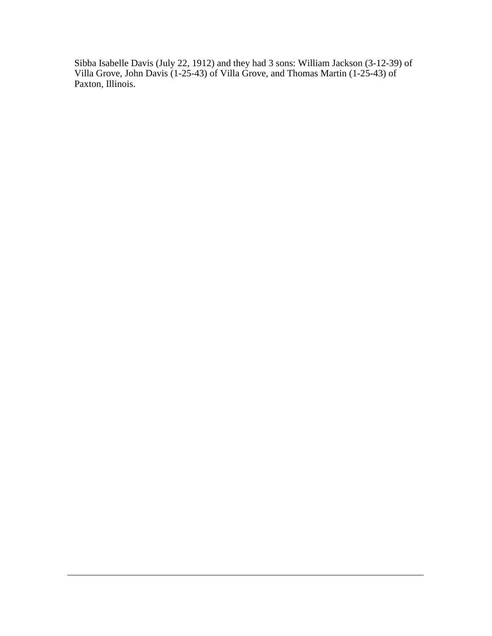Sibba Isabelle Davis (July 22, 1912) and they had 3 sons: William Jackson (3-12-39) of Villa Grove, John Davis (1-25-43) of Villa Grove, and Thomas Martin (1-25-43) of Paxton, Illinois.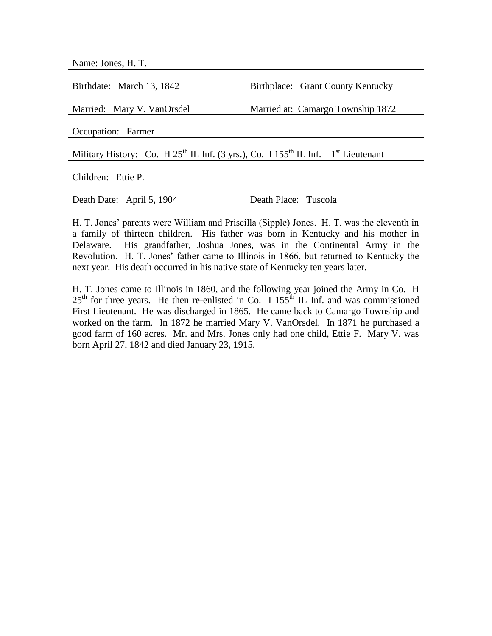| Name: Jones, H.T.                                                                                 |                                   |
|---------------------------------------------------------------------------------------------------|-----------------------------------|
|                                                                                                   |                                   |
| Birthdate: March 13, 1842                                                                         | Birthplace: Grant County Kentucky |
|                                                                                                   |                                   |
| Married: Mary V. VanOrsdel                                                                        | Married at: Camargo Township 1872 |
|                                                                                                   |                                   |
| Occupation: Farmer                                                                                |                                   |
|                                                                                                   |                                   |
| Military History: Co. H $25^{th}$ IL Inf. (3 yrs.), Co. I $155^{th}$ IL Inf. $-1^{st}$ Lieutenant |                                   |
|                                                                                                   |                                   |
| Children: Ettie P.                                                                                |                                   |
|                                                                                                   |                                   |
| Death Date: April 5, 1904                                                                         | Death Place: Tuscola              |

H. T. Jones' parents were William and Priscilla (Sipple) Jones. H. T. was the eleventh in a family of thirteen children. His father was born in Kentucky and his mother in Delaware. His grandfather, Joshua Jones, was in the Continental Army in the Revolution. H. T. Jones' father came to Illinois in 1866, but returned to Kentucky the next year. His death occurred in his native state of Kentucky ten years later.

H. T. Jones came to Illinois in 1860, and the following year joined the Army in Co. H  $25<sup>th</sup>$  for three years. He then re-enlisted in Co. I 155<sup>th</sup> IL Inf. and was commissioned First Lieutenant. He was discharged in 1865. He came back to Camargo Township and worked on the farm. In 1872 he married Mary V. VanOrsdel. In 1871 he purchased a good farm of 160 acres. Mr. and Mrs. Jones only had one child, Ettie F. Mary V. was born April 27, 1842 and died January 23, 1915.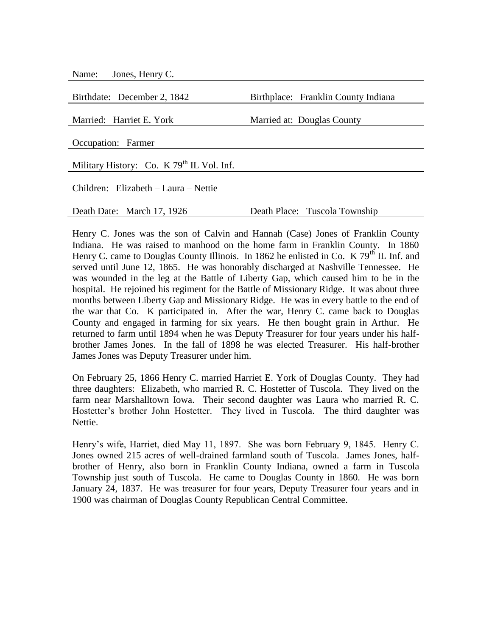| Jones, Henry C.<br>Name:                    |                                     |
|---------------------------------------------|-------------------------------------|
|                                             |                                     |
| Birthdate: December 2, 1842                 | Birthplace: Franklin County Indiana |
|                                             |                                     |
| Married: Harriet E. York                    | Married at: Douglas County          |
|                                             |                                     |
| Occupation: Farmer                          |                                     |
|                                             |                                     |
| Military History: Co. K $79th$ IL Vol. Inf. |                                     |
|                                             |                                     |
| Children: Elizabeth - Laura - Nettie        |                                     |
|                                             |                                     |
| Death Date: March 17, 1926                  | Death Place: Tuscola Township       |
|                                             |                                     |

Henry C. Jones was the son of Calvin and Hannah (Case) Jones of Franklin County Indiana. He was raised to manhood on the home farm in Franklin County. In 1860 Henry C. came to Douglas County Illinois. In 1862 he enlisted in Co. K  $79<sup>th</sup>$  IL Inf. and served until June 12, 1865. He was honorably discharged at Nashville Tennessee. He was wounded in the leg at the Battle of Liberty Gap, which caused him to be in the hospital. He rejoined his regiment for the Battle of Missionary Ridge. It was about three months between Liberty Gap and Missionary Ridge. He was in every battle to the end of the war that Co. K participated in. After the war, Henry C. came back to Douglas County and engaged in farming for six years. He then bought grain in Arthur. He returned to farm until 1894 when he was Deputy Treasurer for four years under his halfbrother James Jones. In the fall of 1898 he was elected Treasurer. His half-brother James Jones was Deputy Treasurer under him.

On February 25, 1866 Henry C. married Harriet E. York of Douglas County. They had three daughters: Elizabeth, who married R. C. Hostetter of Tuscola. They lived on the farm near Marshalltown Iowa. Their second daughter was Laura who married R. C. Hostetter's brother John Hostetter. They lived in Tuscola. The third daughter was Nettie.

Henry's wife, Harriet, died May 11, 1897. She was born February 9, 1845. Henry C. Jones owned 215 acres of well-drained farmland south of Tuscola. James Jones, halfbrother of Henry, also born in Franklin County Indiana, owned a farm in Tuscola Township just south of Tuscola. He came to Douglas County in 1860. He was born January 24, 1837. He was treasurer for four years, Deputy Treasurer four years and in 1900 was chairman of Douglas County Republican Central Committee.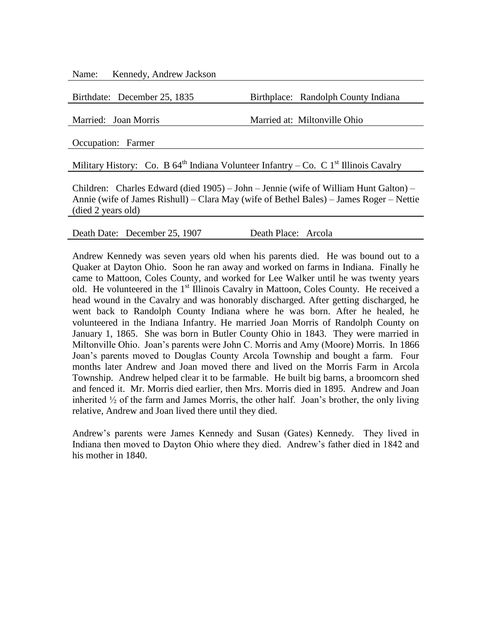Name: Kennedy, Andrew Jackson

Birthdate: December 25, 1835 Birthplace: Randolph County Indiana

Married: Joan Morris Married at: Miltonville Ohio

Occupation: Farmer

Military History: Co. B  $64<sup>th</sup>$  Indiana Volunteer Infantry – Co. C 1<sup>st</sup> Illinois Cavalry

Children: Charles Edward (died 1905) – John – Jennie (wife of William Hunt Galton) – Annie (wife of James Rishull) – Clara May (wife of Bethel Bales) – James Roger – Nettie (died 2 years old)

Death Date: December 25, 1907 Death Place: Arcola

Andrew Kennedy was seven years old when his parents died. He was bound out to a Quaker at Dayton Ohio. Soon he ran away and worked on farms in Indiana. Finally he came to Mattoon, Coles County, and worked for Lee Walker until he was twenty years old. He volunteered in the 1<sup>st</sup> Illinois Cavalry in Mattoon, Coles County. He received a head wound in the Cavalry and was honorably discharged. After getting discharged, he went back to Randolph County Indiana where he was born. After he healed, he volunteered in the Indiana Infantry. He married Joan Morris of Randolph County on January 1, 1865. She was born in Butler County Ohio in 1843. They were married in Miltonville Ohio. Joan's parents were John C. Morris and Amy (Moore) Morris. In 1866 Joan's parents moved to Douglas County Arcola Township and bought a farm. Four months later Andrew and Joan moved there and lived on the Morris Farm in Arcola Township. Andrew helped clear it to be farmable. He built big barns, a broomcorn shed and fenced it. Mr. Morris died earlier, then Mrs. Morris died in 1895. Andrew and Joan inherited  $\frac{1}{2}$  of the farm and James Morris, the other half. Joan's brother, the only living relative, Andrew and Joan lived there until they died.

Andrew's parents were James Kennedy and Susan (Gates) Kennedy. They lived in Indiana then moved to Dayton Ohio where they died. Andrew's father died in 1842 and his mother in 1840.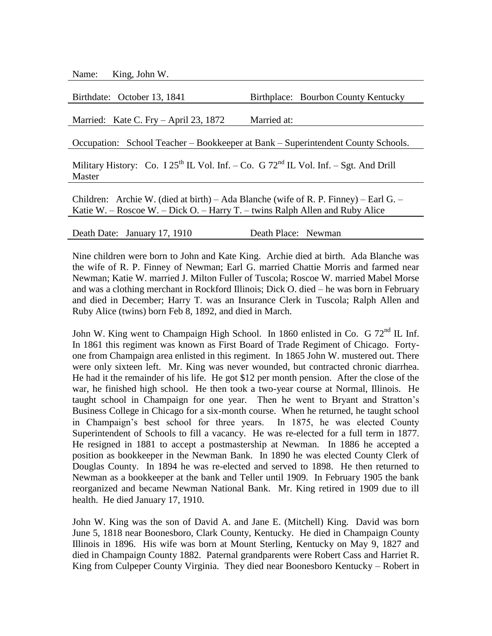Name: King, John W.

| Birthdate: October 13, 1841                                                                                                                                          | Birthplace: Bourbon County Kentucky |  |
|----------------------------------------------------------------------------------------------------------------------------------------------------------------------|-------------------------------------|--|
|                                                                                                                                                                      |                                     |  |
| Married: Kate C. Fry – April 23, 1872                                                                                                                                | Married at:                         |  |
| Occupation: School Teacher – Bookkeeper at Bank – Superintendent County Schools.                                                                                     |                                     |  |
| Military History: Co. I $25^{th}$ IL Vol. Inf. – Co. G $72^{nd}$ IL Vol. Inf. – Sgt. And Drill<br>Master                                                             |                                     |  |
| Children: Archie W. (died at birth) – Ada Blanche (wife of R. P. Finney) – Earl G. –<br>Katie W. – Roscoe W. – Dick O. – Harry T. – twins Ralph Allen and Ruby Alice |                                     |  |
|                                                                                                                                                                      |                                     |  |

Death Date: January 17, 1910 Death Place: Newman

Nine children were born to John and Kate King. Archie died at birth. Ada Blanche was the wife of R. P. Finney of Newman; Earl G. married Chattie Morris and farmed near Newman; Katie W. married J. Milton Fuller of Tuscola; Roscoe W. married Mabel Morse and was a clothing merchant in Rockford Illinois; Dick O. died – he was born in February and died in December; Harry T. was an Insurance Clerk in Tuscola; Ralph Allen and Ruby Alice (twins) born Feb 8, 1892, and died in March.

John W. King went to Champaign High School. In 1860 enlisted in Co. G  $72<sup>nd</sup>$  IL Inf. In 1861 this regiment was known as First Board of Trade Regiment of Chicago. Fortyone from Champaign area enlisted in this regiment. In 1865 John W. mustered out. There were only sixteen left. Mr. King was never wounded, but contracted chronic diarrhea. He had it the remainder of his life. He got \$12 per month pension. After the close of the war, he finished high school. He then took a two-year course at Normal, Illinois. He taught school in Champaign for one year. Then he went to Bryant and Stratton's Business College in Chicago for a six-month course. When he returned, he taught school in Champaign's best school for three years. In 1875, he was elected County Superintendent of Schools to fill a vacancy. He was re-elected for a full term in 1877. He resigned in 1881 to accept a postmastership at Newman. In 1886 he accepted a position as bookkeeper in the Newman Bank. In 1890 he was elected County Clerk of Douglas County. In 1894 he was re-elected and served to 1898. He then returned to Newman as a bookkeeper at the bank and Teller until 1909. In February 1905 the bank reorganized and became Newman National Bank. Mr. King retired in 1909 due to ill health. He died January 17, 1910.

John W. King was the son of David A. and Jane E. (Mitchell) King. David was born June 5, 1818 near Boonesboro, Clark County, Kentucky. He died in Champaign County Illinois in 1896. His wife was born at Mount Sterling, Kentucky on May 9, 1827 and died in Champaign County 1882. Paternal grandparents were Robert Cass and Harriet R. King from Culpeper County Virginia. They died near Boonesboro Kentucky – Robert in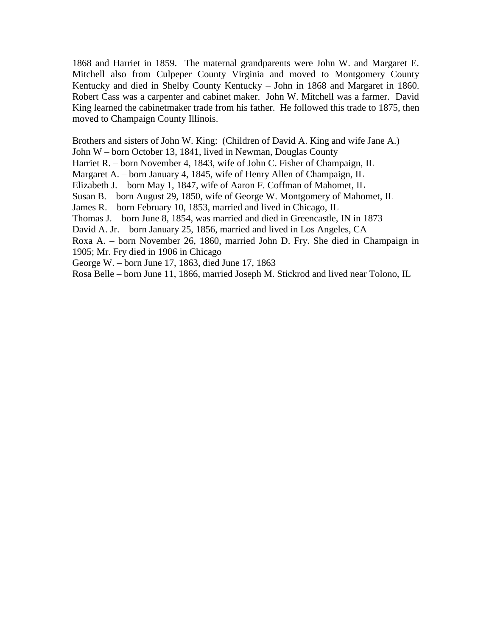1868 and Harriet in 1859. The maternal grandparents were John W. and Margaret E. Mitchell also from Culpeper County Virginia and moved to Montgomery County Kentucky and died in Shelby County Kentucky – John in 1868 and Margaret in 1860. Robert Cass was a carpenter and cabinet maker. John W. Mitchell was a farmer. David King learned the cabinetmaker trade from his father. He followed this trade to 1875, then moved to Champaign County Illinois.

Brothers and sisters of John W. King: (Children of David A. King and wife Jane A.)

John W – born October 13, 1841, lived in Newman, Douglas County

Harriet R. – born November 4, 1843, wife of John C. Fisher of Champaign, IL

Margaret A. – born January 4, 1845, wife of Henry Allen of Champaign, IL

Elizabeth J. – born May 1, 1847, wife of Aaron F. Coffman of Mahomet, IL

Susan B. – born August 29, 1850, wife of George W. Montgomery of Mahomet, IL

James R. – born February 10, 1853, married and lived in Chicago, IL

Thomas J. – born June 8, 1854, was married and died in Greencastle, IN in 1873

David A. Jr. – born January 25, 1856, married and lived in Los Angeles, CA

Roxa A. – born November 26, 1860, married John D. Fry. She died in Champaign in 1905; Mr. Fry died in 1906 in Chicago

George W. – born June 17, 1863, died June 17, 1863

Rosa Belle – born June 11, 1866, married Joseph M. Stickrod and lived near Tolono, IL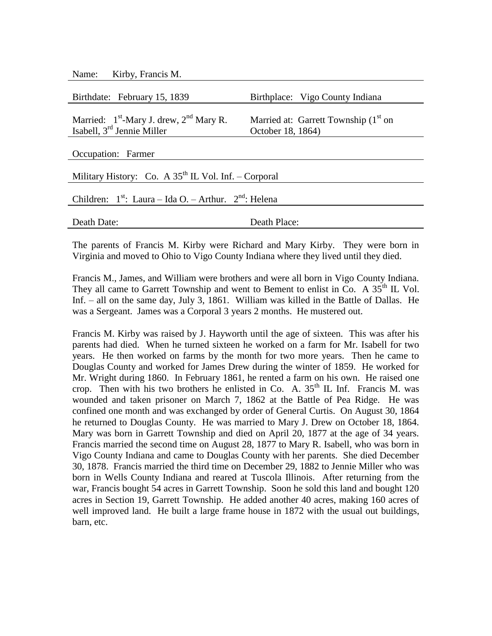| Name: Kirby, Francis M.                                         |                                        |  |
|-----------------------------------------------------------------|----------------------------------------|--|
|                                                                 |                                        |  |
| Birthdate: February 15, 1839                                    | Birthplace: Vigo County Indiana        |  |
|                                                                 |                                        |  |
| Married: $1st$ -Mary J. drew, $2nd$ Mary R.                     | Married at: Garrett Township $(1st$ on |  |
| Isabell, 3 <sup>rd</sup> Jennie Miller                          | October 18, 1864)                      |  |
|                                                                 |                                        |  |
| Occupation: Farmer                                              |                                        |  |
|                                                                 |                                        |  |
| Military History: Co. A $35^{th}$ IL Vol. Inf. – Corporal       |                                        |  |
|                                                                 |                                        |  |
| Children: $1^{st}$ : Laura – Ida O. – Arthur. $2^{nd}$ : Helena |                                        |  |
|                                                                 |                                        |  |
| Death Date:                                                     | Death Place:                           |  |
|                                                                 |                                        |  |

The parents of Francis M. Kirby were Richard and Mary Kirby. They were born in Virginia and moved to Ohio to Vigo County Indiana where they lived until they died.

Francis M., James, and William were brothers and were all born in Vigo County Indiana. They all came to Garrett Township and went to Bement to enlist in Co. A  $35<sup>th</sup>$  IL Vol. Inf. – all on the same day, July 3, 1861. William was killed in the Battle of Dallas. He was a Sergeant. James was a Corporal 3 years 2 months. He mustered out.

Francis M. Kirby was raised by J. Hayworth until the age of sixteen. This was after his parents had died. When he turned sixteen he worked on a farm for Mr. Isabell for two years. He then worked on farms by the month for two more years. Then he came to Douglas County and worked for James Drew during the winter of 1859. He worked for Mr. Wright during 1860. In February 1861, he rented a farm on his own. He raised one crop. Then with his two brothers he enlisted in Co. A.  $35<sup>th</sup>$  IL Inf. Francis M. was wounded and taken prisoner on March 7, 1862 at the Battle of Pea Ridge. He was confined one month and was exchanged by order of General Curtis. On August 30, 1864 he returned to Douglas County. He was married to Mary J. Drew on October 18, 1864. Mary was born in Garrett Township and died on April 20, 1877 at the age of 34 years. Francis married the second time on August 28, 1877 to Mary R. Isabell, who was born in Vigo County Indiana and came to Douglas County with her parents. She died December 30, 1878. Francis married the third time on December 29, 1882 to Jennie Miller who was born in Wells County Indiana and reared at Tuscola Illinois. After returning from the war, Francis bought 54 acres in Garrett Township. Soon he sold this land and bought 120 acres in Section 19, Garrett Township. He added another 40 acres, making 160 acres of well improved land. He built a large frame house in 1872 with the usual out buildings, barn, etc.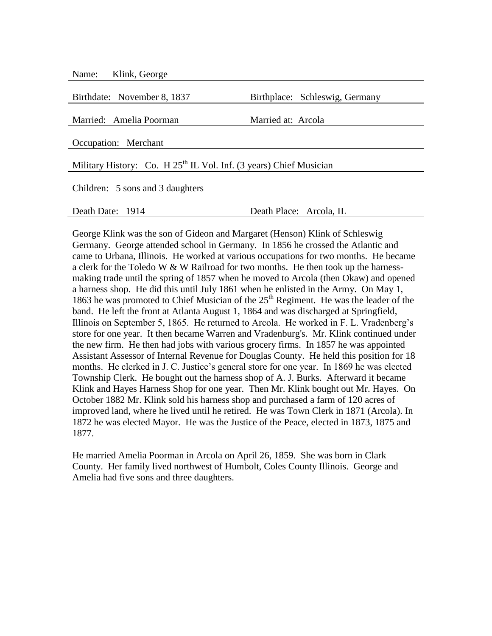| Klink, George<br>Name:                                               |                                |  |
|----------------------------------------------------------------------|--------------------------------|--|
| Birthdate: November 8, 1837                                          | Birthplace: Schleswig, Germany |  |
| Married: Amelia Poorman                                              | Married at: Arcola             |  |
| Occupation: Merchant                                                 |                                |  |
| Military History: Co. H $25th$ IL Vol. Inf. (3 years) Chief Musician |                                |  |
| Children: 5 sons and 3 daughters                                     |                                |  |
| Death Date: 1914                                                     | Death Place: Arcola, IL        |  |

George Klink was the son of Gideon and Margaret (Henson) Klink of Schleswig Germany. George attended school in Germany. In 1856 he crossed the Atlantic and came to Urbana, Illinois. He worked at various occupations for two months. He became a clerk for the Toledo W  $&$  W Railroad for two months. He then took up the harnessmaking trade until the spring of 1857 when he moved to Arcola (then Okaw) and opened a harness shop. He did this until July 1861 when he enlisted in the Army. On May 1, 1863 he was promoted to Chief Musician of the  $25<sup>th</sup>$  Regiment. He was the leader of the band. He left the front at Atlanta August 1, 1864 and was discharged at Springfield, Illinois on September 5, 1865. He returned to Arcola. He worked in F. L. Vradenberg's store for one year. It then became Warren and Vradenburg's. Mr. Klink continued under the new firm. He then had jobs with various grocery firms. In 1857 he was appointed Assistant Assessor of Internal Revenue for Douglas County. He held this position for 18 months. He clerked in J. C. Justice's general store for one year. In 1869 he was elected Township Clerk. He bought out the harness shop of A. J. Burks. Afterward it became Klink and Hayes Harness Shop for one year. Then Mr. Klink bought out Mr. Hayes. On October 1882 Mr. Klink sold his harness shop and purchased a farm of 120 acres of improved land, where he lived until he retired. He was Town Clerk in 1871 (Arcola). In 1872 he was elected Mayor. He was the Justice of the Peace, elected in 1873, 1875 and 1877.

He married Amelia Poorman in Arcola on April 26, 1859. She was born in Clark County. Her family lived northwest of Humbolt, Coles County Illinois. George and Amelia had five sons and three daughters.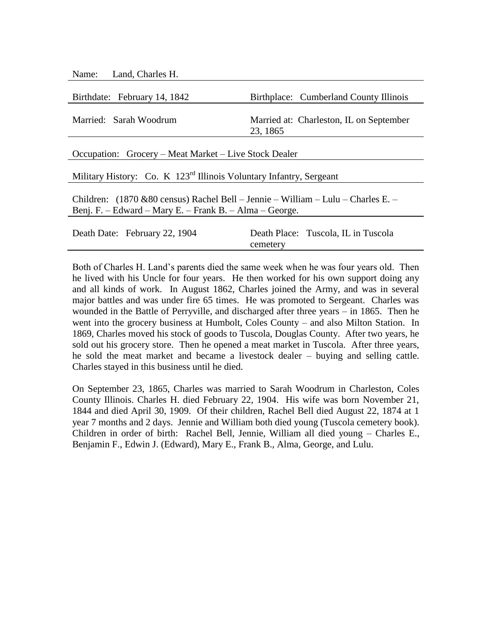| Name: Land, Charles H.                                                                                                                                  |                                                     |  |
|---------------------------------------------------------------------------------------------------------------------------------------------------------|-----------------------------------------------------|--|
| Birthdate: February 14, 1842                                                                                                                            | Birthplace: Cumberland County Illinois              |  |
| Married: Sarah Woodrum                                                                                                                                  | Married at: Charleston, IL on September<br>23, 1865 |  |
| Occupation: Grocery – Meat Market – Live Stock Dealer                                                                                                   |                                                     |  |
| Military History: Co. K 123 <sup>rd</sup> Illinois Voluntary Infantry, Sergeant                                                                         |                                                     |  |
| Children: $(1870 \& 80 \text{ census})$ Rachel Bell – Jennie – William – Lulu – Charles E. –<br>Benj. F. – Edward – Mary E. – Frank B. – Alma – George. |                                                     |  |
| Death Date: February 22, 1904                                                                                                                           | Death Place: Tuscola, IL in Tuscola<br>cemetery     |  |

Both of Charles H. Land's parents died the same week when he was four years old. Then he lived with his Uncle for four years. He then worked for his own support doing any and all kinds of work. In August 1862, Charles joined the Army, and was in several major battles and was under fire 65 times. He was promoted to Sergeant. Charles was wounded in the Battle of Perryville, and discharged after three years – in 1865. Then he went into the grocery business at Humbolt, Coles County – and also Milton Station. In 1869, Charles moved his stock of goods to Tuscola, Douglas County. After two years, he sold out his grocery store. Then he opened a meat market in Tuscola. After three years, he sold the meat market and became a livestock dealer – buying and selling cattle. Charles stayed in this business until he died.

On September 23, 1865, Charles was married to Sarah Woodrum in Charleston, Coles County Illinois. Charles H. died February 22, 1904. His wife was born November 21, 1844 and died April 30, 1909. Of their children, Rachel Bell died August 22, 1874 at 1 year 7 months and 2 days. Jennie and William both died young (Tuscola cemetery book). Children in order of birth: Rachel Bell, Jennie, William all died young – Charles E., Benjamin F., Edwin J. (Edward), Mary E., Frank B., Alma, George, and Lulu.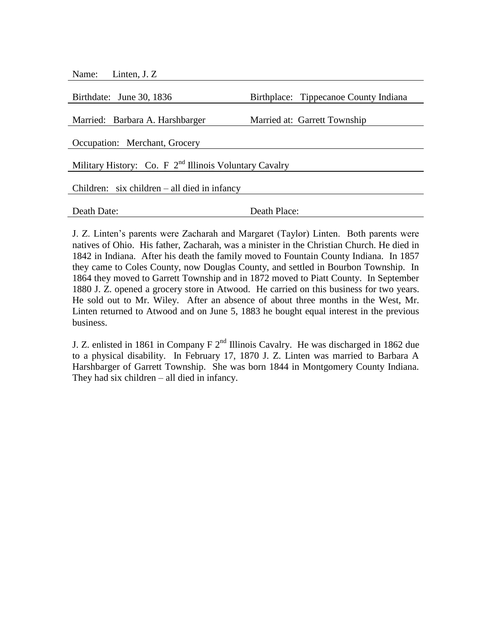| Birthplace: Tippecanoe County Indiana                    |  |  |
|----------------------------------------------------------|--|--|
| Married at: Garrett Township                             |  |  |
|                                                          |  |  |
| Military History: Co. F $2nd$ Illinois Voluntary Cavalry |  |  |
| Children: $six$ children – all died in infancy           |  |  |
| Death Place:                                             |  |  |
|                                                          |  |  |

J. Z. Linten's parents were Zacharah and Margaret (Taylor) Linten. Both parents were natives of Ohio. His father, Zacharah, was a minister in the Christian Church. He died in 1842 in Indiana. After his death the family moved to Fountain County Indiana. In 1857 they came to Coles County, now Douglas County, and settled in Bourbon Township. In 1864 they moved to Garrett Township and in 1872 moved to Piatt County. In September 1880 J. Z. opened a grocery store in Atwood. He carried on this business for two years. He sold out to Mr. Wiley. After an absence of about three months in the West, Mr. Linten returned to Atwood and on June 5, 1883 he bought equal interest in the previous business.

J. Z. enlisted in 1861 in Company F  $2<sup>nd</sup>$  Illinois Cavalry. He was discharged in 1862 due to a physical disability. In February 17, 1870 J. Z. Linten was married to Barbara A Harshbarger of Garrett Township. She was born 1844 in Montgomery County Indiana. They had six children – all died in infancy.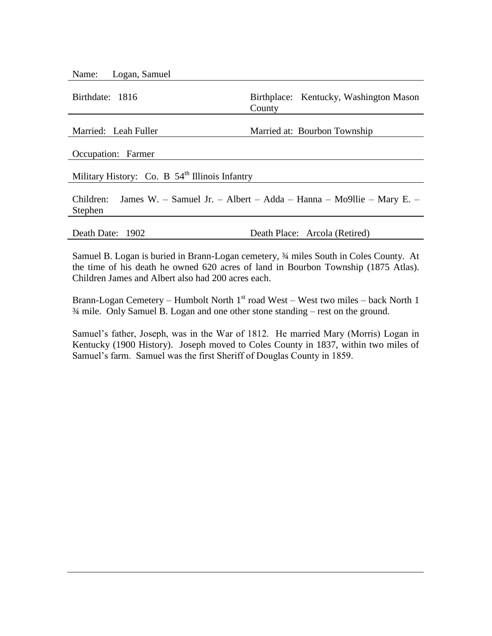Name: Logan, Samuel

Birthdate: 1816 Birthplace: Kentucky, Washington Mason County Married: Leah Fuller Married at: Bourbon Township Occupation: Farmer Military History: Co. B  $54<sup>th</sup>$  Illinois Infantry

Children: James W. – Samuel Jr. – Albert – Adda – Hanna – Mo9llie – Mary E. – Stephen

Death Date: 1902 Death Place: Arcola (Retired)

Samuel B. Logan is buried in Brann-Logan cemetery, ¾ miles South in Coles County. At the time of his death he owned 620 acres of land in Bourbon Township (1875 Atlas). Children James and Albert also had 200 acres each.

Brann-Logan Cemetery – Humbolt North  $1<sup>st</sup>$  road West – West two miles – back North 1 ¾ mile. Only Samuel B. Logan and one other stone standing – rest on the ground.

Samuel's father, Joseph, was in the War of 1812. He married Mary (Morris) Logan in Kentucky (1900 History). Joseph moved to Coles County in 1837, within two miles of Samuel's farm. Samuel was the first Sheriff of Douglas County in 1859.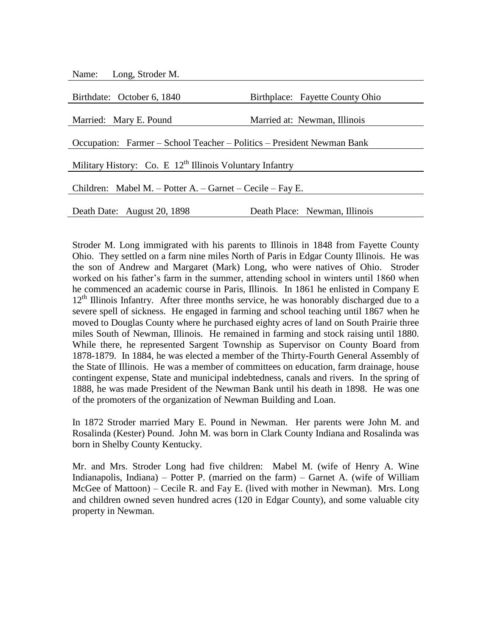| Name: Long, Stroder M.                                                 |                                 |  |
|------------------------------------------------------------------------|---------------------------------|--|
| Birthdate: October 6, 1840                                             | Birthplace: Fayette County Ohio |  |
| Married: Mary E. Pound                                                 | Married at: Newman, Illinois    |  |
| Occupation: Farmer – School Teacher – Politics – President Newman Bank |                                 |  |
| Military History: Co. E $12th$ Illinois Voluntary Infantry             |                                 |  |
| Children: Mabel M. – Potter A. – Garnet – Cecile – Fay E.              |                                 |  |
| Death Date: August 20, 1898                                            | Death Place: Newman, Illinois   |  |

Stroder M. Long immigrated with his parents to Illinois in 1848 from Fayette County Ohio. They settled on a farm nine miles North of Paris in Edgar County Illinois. He was the son of Andrew and Margaret (Mark) Long, who were natives of Ohio. Stroder worked on his father's farm in the summer, attending school in winters until 1860 when he commenced an academic course in Paris, Illinois. In 1861 he enlisted in Company E  $12<sup>th</sup>$  Illinois Infantry. After three months service, he was honorably discharged due to a severe spell of sickness. He engaged in farming and school teaching until 1867 when he moved to Douglas County where he purchased eighty acres of land on South Prairie three miles South of Newman, Illinois. He remained in farming and stock raising until 1880. While there, he represented Sargent Township as Supervisor on County Board from 1878-1879. In 1884, he was elected a member of the Thirty-Fourth General Assembly of the State of Illinois. He was a member of committees on education, farm drainage, house contingent expense, State and municipal indebtedness, canals and rivers. In the spring of 1888, he was made President of the Newman Bank until his death in 1898. He was one of the promoters of the organization of Newman Building and Loan.

In 1872 Stroder married Mary E. Pound in Newman. Her parents were John M. and Rosalinda (Kester) Pound. John M. was born in Clark County Indiana and Rosalinda was born in Shelby County Kentucky.

Mr. and Mrs. Stroder Long had five children: Mabel M. (wife of Henry A. Wine Indianapolis, Indiana) – Potter P. (married on the farm) – Garnet A. (wife of William McGee of Mattoon) – Cecile R. and Fay E. (lived with mother in Newman). Mrs. Long and children owned seven hundred acres (120 in Edgar County), and some valuable city property in Newman.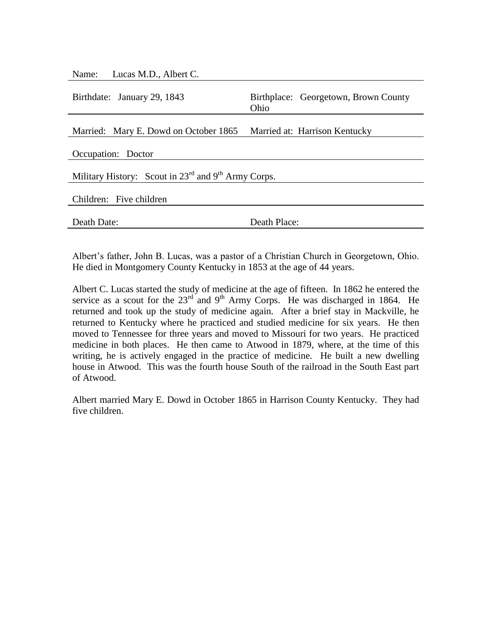| Name: Lucas M.D., Albert C.                                          |                                              |  |
|----------------------------------------------------------------------|----------------------------------------------|--|
| Birthdate: January 29, 1843                                          | Birthplace: Georgetown, Brown County<br>Ohio |  |
| Married: Mary E. Dowd on October 1865                                | Married at: Harrison Kentucky                |  |
| Occupation: Doctor                                                   |                                              |  |
| Military History: Scout in $23^{rd}$ and 9 <sup>th</sup> Army Corps. |                                              |  |
| Children: Five children                                              |                                              |  |
| Death Date:                                                          | Death Place:                                 |  |

Albert's father, John B. Lucas, was a pastor of a Christian Church in Georgetown, Ohio. He died in Montgomery County Kentucky in 1853 at the age of 44 years.

Albert C. Lucas started the study of medicine at the age of fifteen. In 1862 he entered the service as a scout for the  $23<sup>rd</sup>$  and  $9<sup>th</sup>$  Army Corps. He was discharged in 1864. He returned and took up the study of medicine again. After a brief stay in Mackville, he returned to Kentucky where he practiced and studied medicine for six years. He then moved to Tennessee for three years and moved to Missouri for two years. He practiced medicine in both places. He then came to Atwood in 1879, where, at the time of this writing, he is actively engaged in the practice of medicine. He built a new dwelling house in Atwood. This was the fourth house South of the railroad in the South East part of Atwood.

Albert married Mary E. Dowd in October 1865 in Harrison County Kentucky. They had five children.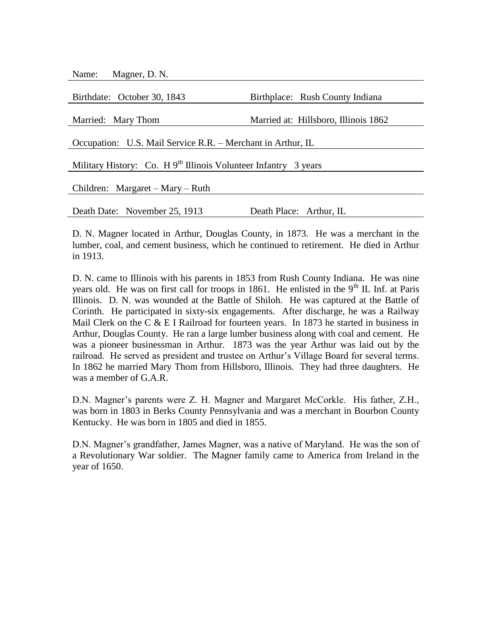Name: Magner, D. N.

| Birthdate: October 30, 1843                                                 | Birthplace: Rush County Indiana      |  |
|-----------------------------------------------------------------------------|--------------------------------------|--|
|                                                                             |                                      |  |
| Married: Mary Thom                                                          | Married at: Hillsboro, Illinois 1862 |  |
|                                                                             |                                      |  |
| Occupation: U.S. Mail Service R.R. – Merchant in Arthur, IL                 |                                      |  |
|                                                                             |                                      |  |
| Military History: Co. H 9 <sup>th</sup> Illinois Volunteer Infantry 3 years |                                      |  |
|                                                                             |                                      |  |
| Children: Margaret – Mary – Ruth                                            |                                      |  |
|                                                                             |                                      |  |
| Death Date: November 25, 1913                                               | Death Place: Arthur, IL              |  |
|                                                                             |                                      |  |

D. N. Magner located in Arthur, Douglas County, in 1873. He was a merchant in the lumber, coal, and cement business, which he continued to retirement. He died in Arthur in 1913.

D. N. came to Illinois with his parents in 1853 from Rush County Indiana. He was nine years old. He was on first call for troops in 1861. He enlisted in the  $9<sup>th</sup>$  IL Inf. at Paris Illinois. D. N. was wounded at the Battle of Shiloh. He was captured at the Battle of Corinth. He participated in sixty-six engagements. After discharge, he was a Railway Mail Clerk on the C  $& E$  I Railroad for fourteen years. In 1873 he started in business in Arthur, Douglas County. He ran a large lumber business along with coal and cement. He was a pioneer businessman in Arthur. 1873 was the year Arthur was laid out by the railroad. He served as president and trustee on Arthur's Village Board for several terms. In 1862 he married Mary Thom from Hillsboro, Illinois. They had three daughters. He was a member of G.A.R.

D.N. Magner's parents were Z. H. Magner and Margaret McCorkle. His father, Z.H., was born in 1803 in Berks County Pennsylvania and was a merchant in Bourbon County Kentucky. He was born in 1805 and died in 1855.

D.N. Magner's grandfather, James Magner, was a native of Maryland. He was the son of a Revolutionary War soldier. The Magner family came to America from Ireland in the year of 1650.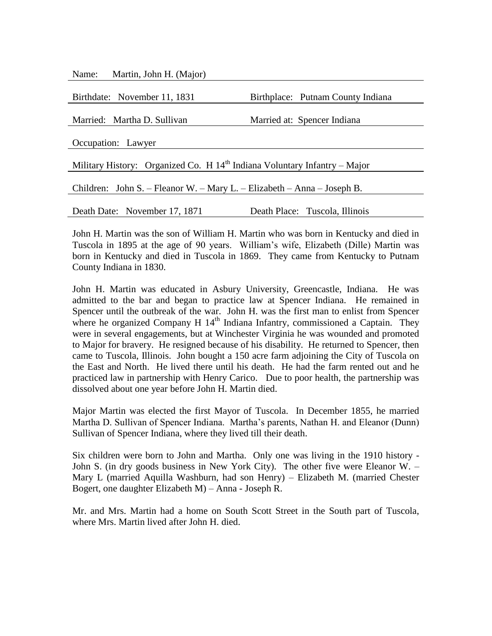Name: Martin, John H. (Major)

| Birthplace: Putnam County Indiana                                           |  |  |
|-----------------------------------------------------------------------------|--|--|
|                                                                             |  |  |
| Married at: Spencer Indiana                                                 |  |  |
|                                                                             |  |  |
|                                                                             |  |  |
|                                                                             |  |  |
| Military History: Organized Co. H $14th$ Indiana Voluntary Infantry – Major |  |  |
|                                                                             |  |  |
| Children: John S. – Fleanor W. – Mary L. – Elizabeth – Anna – Joseph B.     |  |  |
|                                                                             |  |  |
| Death Place: Tuscola, Illinois                                              |  |  |
|                                                                             |  |  |

John H. Martin was the son of William H. Martin who was born in Kentucky and died in Tuscola in 1895 at the age of 90 years. William's wife, Elizabeth (Dille) Martin was born in Kentucky and died in Tuscola in 1869. They came from Kentucky to Putnam County Indiana in 1830.

John H. Martin was educated in Asbury University, Greencastle, Indiana. He was admitted to the bar and began to practice law at Spencer Indiana. He remained in Spencer until the outbreak of the war. John H. was the first man to enlist from Spencer where he organized Company H  $14<sup>th</sup>$  Indiana Infantry, commissioned a Captain. They were in several engagements, but at Winchester Virginia he was wounded and promoted to Major for bravery. He resigned because of his disability. He returned to Spencer, then came to Tuscola, Illinois. John bought a 150 acre farm adjoining the City of Tuscola on the East and North. He lived there until his death. He had the farm rented out and he practiced law in partnership with Henry Carico. Due to poor health, the partnership was dissolved about one year before John H. Martin died.

Major Martin was elected the first Mayor of Tuscola. In December 1855, he married Martha D. Sullivan of Spencer Indiana. Martha's parents, Nathan H. and Eleanor (Dunn) Sullivan of Spencer Indiana, where they lived till their death.

Six children were born to John and Martha. Only one was living in the 1910 history - John S. (in dry goods business in New York City). The other five were Eleanor W. – Mary L (married Aquilla Washburn, had son Henry) – Elizabeth M. (married Chester Bogert, one daughter Elizabeth M) – Anna - Joseph R.

Mr. and Mrs. Martin had a home on South Scott Street in the South part of Tuscola, where Mrs. Martin lived after John H. died.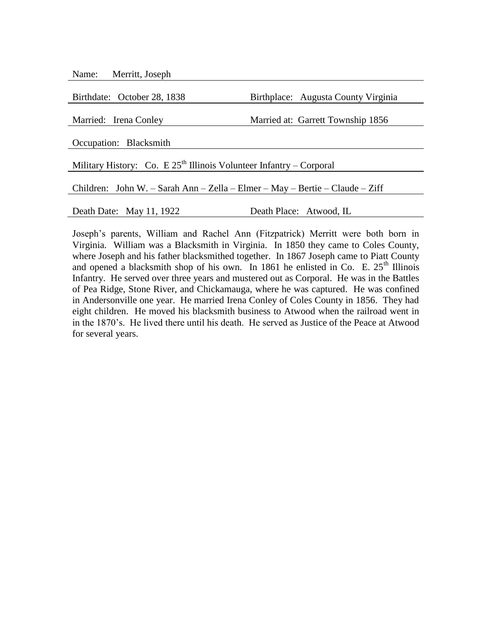| Name: | Merritt, Joseph |  |
|-------|-----------------|--|
|-------|-----------------|--|

Birthdate: October 28, 1838 Birthplace: Augusta County Virginia Married: Irena Conley Married at: Garrett Township 1856 Occupation: Blacksmith Military History: Co. E  $25<sup>th</sup>$  Illinois Volunteer Infantry – Corporal Children: John W. – Sarah Ann – Zella – Elmer – May – Bertie – Claude – Ziff Death Date: May 11, 1922 Death Place: Atwood, IL

Joseph's parents, William and Rachel Ann (Fitzpatrick) Merritt were both born in Virginia. William was a Blacksmith in Virginia. In 1850 they came to Coles County, where Joseph and his father blacksmithed together. In 1867 Joseph came to Piatt County and opened a blacksmith shop of his own. In 1861 he enlisted in Co. E.  $25<sup>th</sup>$  Illinois Infantry. He served over three years and mustered out as Corporal. He was in the Battles of Pea Ridge, Stone River, and Chickamauga, where he was captured. He was confined in Andersonville one year. He married Irena Conley of Coles County in 1856. They had eight children. He moved his blacksmith business to Atwood when the railroad went in in the 1870's. He lived there until his death. He served as Justice of the Peace at Atwood for several years.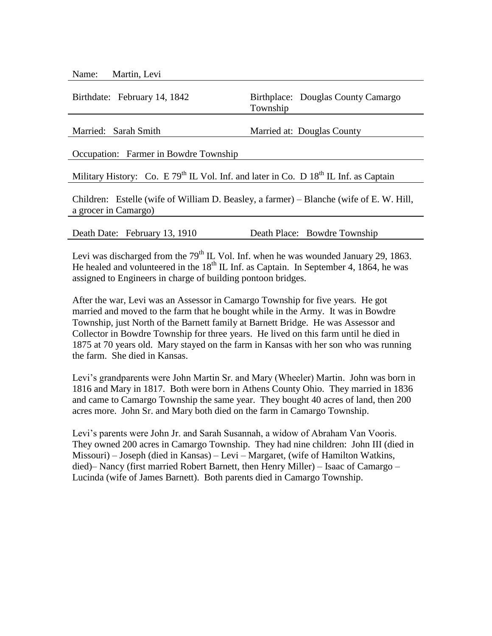| Birthdate: February 14, 1842                                                                                    | Birthplace: Douglas County Camargo<br>Township |  |
|-----------------------------------------------------------------------------------------------------------------|------------------------------------------------|--|
| Married: Sarah Smith                                                                                            | Married at: Douglas County                     |  |
| Occupation: Farmer in Bowdre Township                                                                           |                                                |  |
| Military History: Co. E 79 <sup>th</sup> IL Vol. Inf. and later in Co. D $18th$ IL Inf. as Captain              |                                                |  |
| Children: Estelle (wife of William D. Beasley, a farmer) – Blanche (wife of E. W. Hill,<br>a grocer in Camargo) |                                                |  |
| Death Date: February 13, 1910                                                                                   | Death Place: Bowdre Township                   |  |

Levi was discharged from the  $79<sup>th</sup>$  IL Vol. Inf. when he was wounded January 29, 1863. He healed and volunteered in the  $18<sup>th</sup>$  IL Inf. as Captain. In September 4, 1864, he was assigned to Engineers in charge of building pontoon bridges.

After the war, Levi was an Assessor in Camargo Township for five years. He got married and moved to the farm that he bought while in the Army. It was in Bowdre Township, just North of the Barnett family at Barnett Bridge. He was Assessor and Collector in Bowdre Township for three years. He lived on this farm until he died in 1875 at 70 years old. Mary stayed on the farm in Kansas with her son who was running the farm. She died in Kansas.

Levi's grandparents were John Martin Sr. and Mary (Wheeler) Martin. John was born in 1816 and Mary in 1817. Both were born in Athens County Ohio. They married in 1836 and came to Camargo Township the same year. They bought 40 acres of land, then 200 acres more. John Sr. and Mary both died on the farm in Camargo Township.

Levi's parents were John Jr. and Sarah Susannah, a widow of Abraham Van Vooris. They owned 200 acres in Camargo Township. They had nine children: John III (died in Missouri) – Joseph (died in Kansas) – Levi – Margaret, (wife of Hamilton Watkins, died)– Nancy (first married Robert Barnett, then Henry Miller) – Isaac of Camargo – Lucinda (wife of James Barnett). Both parents died in Camargo Township.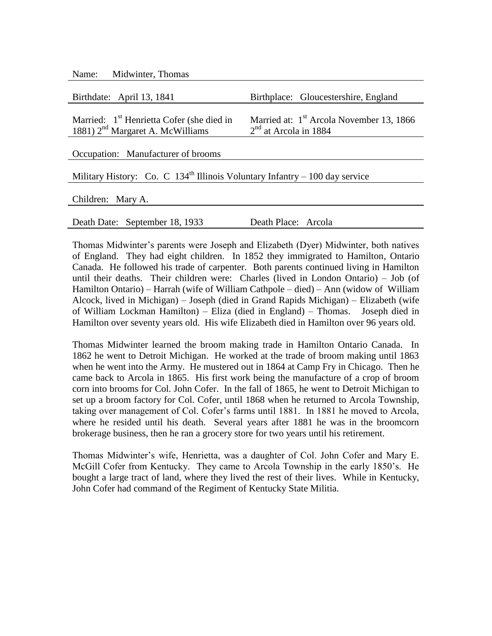| Midwinter, Thomas<br>Name:                                                    |                                                      |  |
|-------------------------------------------------------------------------------|------------------------------------------------------|--|
| Birthdate: April 13, 1841                                                     | Birthplace: Gloucestershire, England                 |  |
| Married: 1 <sup>st</sup> Henrietta Cofer (she died in                         | Married at: 1 <sup>st</sup> Arcola November 13, 1866 |  |
| 1881) $2nd$ Margaret A. McWilliams                                            | $2nd$ at Arcola in 1884                              |  |
| Occupation: Manufacturer of brooms                                            |                                                      |  |
| Military History: Co. C $134th$ Illinois Voluntary Infantry – 100 day service |                                                      |  |
| Children: Mary A.                                                             |                                                      |  |
|                                                                               |                                                      |  |

Death Date: September 18, 1933 Death Place: Arcola

Thomas Midwinter's parents were Joseph and Elizabeth (Dyer) Midwinter, both natives of England. They had eight children. In 1852 they immigrated to Hamilton, Ontario Canada. He followed his trade of carpenter. Both parents continued living in Hamilton until their deaths. Their children were: Charles (lived in London Ontario) – Job (of Hamilton Ontario) – Harrah (wife of William Cathpole – died) – Ann (widow of William Alcock, lived in Michigan) – Joseph (died in Grand Rapids Michigan) – Elizabeth (wife of William Lockman Hamilton) – Eliza (died in England) – Thomas. Joseph died in Hamilton over seventy years old. His wife Elizabeth died in Hamilton over 96 years old.

Thomas Midwinter learned the broom making trade in Hamilton Ontario Canada. In 1862 he went to Detroit Michigan. He worked at the trade of broom making until 1863 when he went into the Army. He mustered out in 1864 at Camp Fry in Chicago. Then he came back to Arcola in 1865. His first work being the manufacture of a crop of broom corn into brooms for Col. John Cofer. In the fall of 1865, he went to Detroit Michigan to set up a broom factory for Col. Cofer, until 1868 when he returned to Arcola Township, taking over management of Col. Cofer's farms until 1881. In 1881 he moved to Arcola, where he resided until his death. Several years after 1881 he was in the broomcorn brokerage business, then he ran a grocery store for two years until his retirement.

Thomas Midwinter's wife, Henrietta, was a daughter of Col. John Cofer and Mary E. McGill Cofer from Kentucky. They came to Arcola Township in the early 1850's. He bought a large tract of land, where they lived the rest of their lives. While in Kentucky, John Cofer had command of the Regiment of Kentucky State Militia.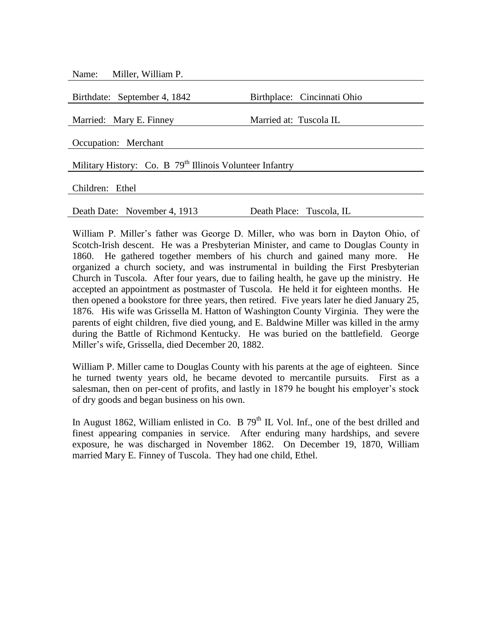Name: Miller, William P.

| Birthplace: Cincinnati Ohio                                          |  |  |  |
|----------------------------------------------------------------------|--|--|--|
| Married at: Tuscola IL                                               |  |  |  |
|                                                                      |  |  |  |
|                                                                      |  |  |  |
| Military History: Co. B 79 <sup>th</sup> Illinois Volunteer Infantry |  |  |  |
|                                                                      |  |  |  |
|                                                                      |  |  |  |
|                                                                      |  |  |  |
| Death Place: Tuscola, IL                                             |  |  |  |
|                                                                      |  |  |  |

William P. Miller's father was George D. Miller, who was born in Dayton Ohio, of Scotch-Irish descent. He was a Presbyterian Minister, and came to Douglas County in 1860. He gathered together members of his church and gained many more. He organized a church society, and was instrumental in building the First Presbyterian Church in Tuscola. After four years, due to failing health, he gave up the ministry. He accepted an appointment as postmaster of Tuscola. He held it for eighteen months. He then opened a bookstore for three years, then retired. Five years later he died January 25, 1876. His wife was Grissella M. Hatton of Washington County Virginia. They were the parents of eight children, five died young, and E. Baldwine Miller was killed in the army during the Battle of Richmond Kentucky. He was buried on the battlefield. George Miller's wife, Grissella, died December 20, 1882.

William P. Miller came to Douglas County with his parents at the age of eighteen. Since he turned twenty years old, he became devoted to mercantile pursuits. First as a salesman, then on per-cent of profits, and lastly in 1879 he bought his employer's stock of dry goods and began business on his own.

In August 1862, William enlisted in Co. B  $79<sup>th</sup>$  IL Vol. Inf., one of the best drilled and finest appearing companies in service. After enduring many hardships, and severe exposure, he was discharged in November 1862. On December 19, 1870, William married Mary E. Finney of Tuscola. They had one child, Ethel.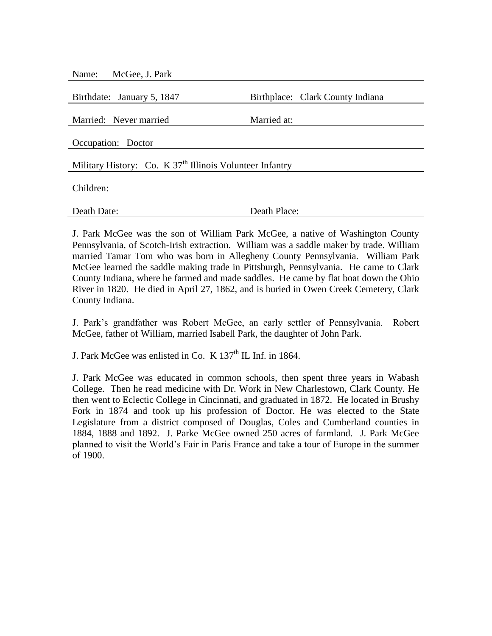| McGee, J. Park<br>Name:                                    |                                  |  |  |
|------------------------------------------------------------|----------------------------------|--|--|
|                                                            |                                  |  |  |
| Birthdate: January 5, 1847                                 | Birthplace: Clark County Indiana |  |  |
| Married: Never married                                     | Married at:                      |  |  |
| Occupation: Doctor                                         |                                  |  |  |
| Military History: Co. K $37th$ Illinois Volunteer Infantry |                                  |  |  |
| Children:                                                  |                                  |  |  |
| Death Date:                                                | Death Place:                     |  |  |

J. Park McGee was the son of William Park McGee, a native of Washington County Pennsylvania, of Scotch-Irish extraction. William was a saddle maker by trade. William married Tamar Tom who was born in Allegheny County Pennsylvania. William Park McGee learned the saddle making trade in Pittsburgh, Pennsylvania. He came to Clark County Indiana, where he farmed and made saddles. He came by flat boat down the Ohio River in 1820. He died in April 27, 1862, and is buried in Owen Creek Cemetery, Clark County Indiana.

J. Park's grandfather was Robert McGee, an early settler of Pennsylvania. Robert McGee, father of William, married Isabell Park, the daughter of John Park.

J. Park McGee was enlisted in Co. K  $137<sup>th</sup>$  IL Inf. in 1864.

J. Park McGee was educated in common schools, then spent three years in Wabash College. Then he read medicine with Dr. Work in New Charlestown, Clark County. He then went to Eclectic College in Cincinnati, and graduated in 1872. He located in Brushy Fork in 1874 and took up his profession of Doctor. He was elected to the State Legislature from a district composed of Douglas, Coles and Cumberland counties in 1884, 1888 and 1892. J. Parke McGee owned 250 acres of farmland. J. Park McGee planned to visit the World's Fair in Paris France and take a tour of Europe in the summer of 1900.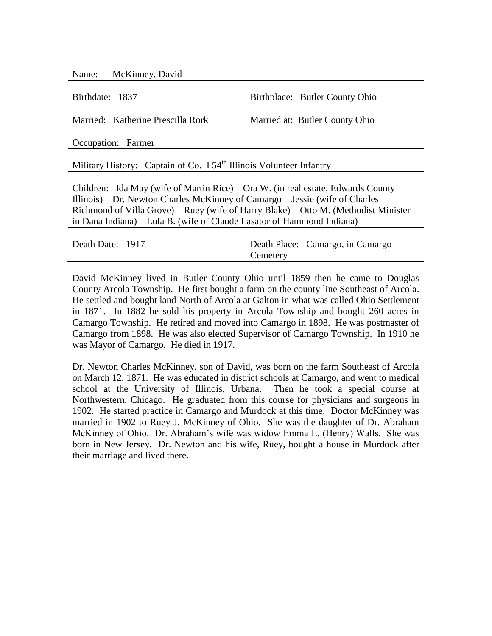Name: McKinney, David

Birthdate: 1837 Birthplace: Butler County Ohio

Married: Katherine Prescilla Rork Married at: Butler County Ohio

Occupation: Farmer

Military History: Captain of Co.  $I 54<sup>th</sup>$  Illinois Volunteer Infantry

Children: Ida May (wife of Martin Rice) – Ora W. (in real estate, Edwards County Illinois) – Dr. Newton Charles McKinney of Camargo – Jessie (wife of Charles Richmond of Villa Grove) – Ruey (wife of Harry Blake) – Otto M. (Methodist Minister in Dana Indiana) – Lula B. (wife of Claude Lasator of Hammond Indiana)

| Death Date: 1917 |          | Death Place: Camargo, in Camargo |
|------------------|----------|----------------------------------|
|                  | Cemetery |                                  |

David McKinney lived in Butler County Ohio until 1859 then he came to Douglas County Arcola Township. He first bought a farm on the county line Southeast of Arcola. He settled and bought land North of Arcola at Galton in what was called Ohio Settlement in 1871. In 1882 he sold his property in Arcola Township and bought 260 acres in Camargo Township. He retired and moved into Camargo in 1898. He was postmaster of Camargo from 1898. He was also elected Supervisor of Camargo Township. In 1910 he was Mayor of Camargo. He died in 1917.

Dr. Newton Charles McKinney, son of David, was born on the farm Southeast of Arcola on March 12, 1871. He was educated in district schools at Camargo, and went to medical school at the University of Illinois, Urbana. Then he took a special course at Northwestern, Chicago. He graduated from this course for physicians and surgeons in 1902. He started practice in Camargo and Murdock at this time. Doctor McKinney was married in 1902 to Ruey J. McKinney of Ohio. She was the daughter of Dr. Abraham McKinney of Ohio. Dr. Abraham's wife was widow Emma L. (Henry) Walls. She was born in New Jersey. Dr. Newton and his wife, Ruey, bought a house in Murdock after their marriage and lived there.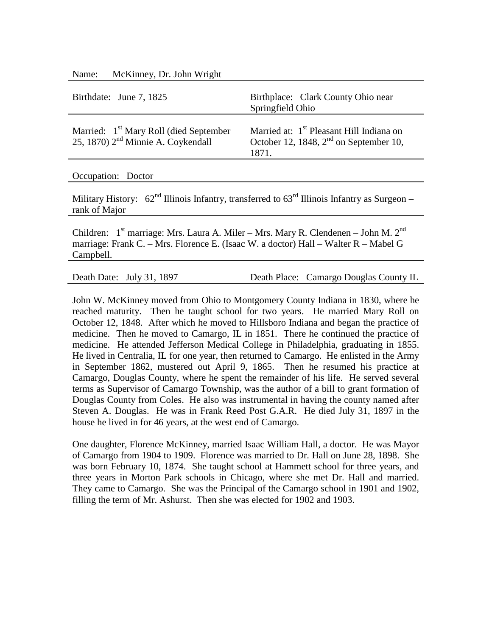Name: McKinney, Dr. John Wright

| Birthdate: June 7, 1825                                                                              | Birthplace: Clark County Ohio near<br>Springfield Ohio                                                              |
|------------------------------------------------------------------------------------------------------|---------------------------------------------------------------------------------------------------------------------|
| Married: 1 <sup>st</sup> Mary Roll (died September<br>25, 1870) 2 <sup>nd</sup> Minnie A. Coykendall | Married at: 1 <sup>st</sup> Pleasant Hill Indiana on<br>October 12, 1848, 2 <sup>nd</sup> on September 10,<br>1871. |

Occupation: Doctor

Military History:  $62<sup>nd</sup>$  Illinois Infantry, transferred to  $63<sup>rd</sup>$  Illinois Infantry as Surgeon – rank of Major

Children:  $1<sup>st</sup>$  marriage: Mrs. Laura A. Miler – Mrs. Mary R. Clendenen – John M.  $2<sup>nd</sup>$ marriage: Frank C. – Mrs. Florence E. (Isaac W. a doctor) Hall – Walter R – Mabel G Campbell.

Death Date: July 31, 1897 Death Place: Camargo Douglas County IL

John W. McKinney moved from Ohio to Montgomery County Indiana in 1830, where he reached maturity. Then he taught school for two years. He married Mary Roll on October 12, 1848. After which he moved to Hillsboro Indiana and began the practice of medicine. Then he moved to Camargo, IL in 1851. There he continued the practice of medicine. He attended Jefferson Medical College in Philadelphia, graduating in 1855. He lived in Centralia, IL for one year, then returned to Camargo. He enlisted in the Army in September 1862, mustered out April 9, 1865. Then he resumed his practice at Camargo, Douglas County, where he spent the remainder of his life. He served several terms as Supervisor of Camargo Township, was the author of a bill to grant formation of Douglas County from Coles. He also was instrumental in having the county named after Steven A. Douglas. He was in Frank Reed Post G.A.R. He died July 31, 1897 in the house he lived in for 46 years, at the west end of Camargo.

One daughter, Florence McKinney, married Isaac William Hall, a doctor. He was Mayor of Camargo from 1904 to 1909. Florence was married to Dr. Hall on June 28, 1898. She was born February 10, 1874. She taught school at Hammett school for three years, and three years in Morton Park schools in Chicago, where she met Dr. Hall and married. They came to Camargo. She was the Principal of the Camargo school in 1901 and 1902, filling the term of Mr. Ashurst. Then she was elected for 1902 and 1903.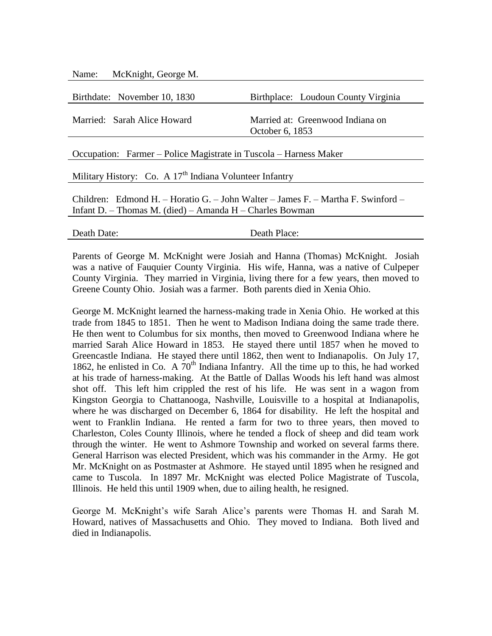| McKnight, George M.<br>Name:                                                                                                                   |                                                     |  |
|------------------------------------------------------------------------------------------------------------------------------------------------|-----------------------------------------------------|--|
| Birthdate: November 10, 1830                                                                                                                   | Birthplace: Loudoun County Virginia                 |  |
| Married: Sarah Alice Howard                                                                                                                    | Married at: Greenwood Indiana on<br>October 6, 1853 |  |
| Occupation: Farmer – Police Magistrate in Tuscola – Harness Maker                                                                              |                                                     |  |
| Military History: Co. A 17 <sup>th</sup> Indiana Volunteer Infantry                                                                            |                                                     |  |
| Children: Edmond H. – Horatio G. – John Walter – James F. – Martha F. Swinford –<br>Infant D. – Thomas M. (died) – Amanda $H$ – Charles Bowman |                                                     |  |
| Death Date:                                                                                                                                    | Death Place:                                        |  |

Parents of George M. McKnight were Josiah and Hanna (Thomas) McKnight. Josiah was a native of Fauquier County Virginia. His wife, Hanna, was a native of Culpeper County Virginia. They married in Virginia, living there for a few years, then moved to Greene County Ohio. Josiah was a farmer. Both parents died in Xenia Ohio.

George M. McKnight learned the harness-making trade in Xenia Ohio. He worked at this trade from 1845 to 1851. Then he went to Madison Indiana doing the same trade there. He then went to Columbus for six months, then moved to Greenwood Indiana where he married Sarah Alice Howard in 1853. He stayed there until 1857 when he moved to Greencastle Indiana. He stayed there until 1862, then went to Indianapolis. On July 17, 1862, he enlisted in Co. A  $70<sup>th</sup>$  Indiana Infantry. All the time up to this, he had worked at his trade of harness-making. At the Battle of Dallas Woods his left hand was almost shot off. This left him crippled the rest of his life. He was sent in a wagon from Kingston Georgia to Chattanooga, Nashville, Louisville to a hospital at Indianapolis, where he was discharged on December 6, 1864 for disability. He left the hospital and went to Franklin Indiana. He rented a farm for two to three years, then moved to Charleston, Coles County Illinois, where he tended a flock of sheep and did team work through the winter. He went to Ashmore Township and worked on several farms there. General Harrison was elected President, which was his commander in the Army. He got Mr. McKnight on as Postmaster at Ashmore. He stayed until 1895 when he resigned and came to Tuscola. In 1897 Mr. McKnight was elected Police Magistrate of Tuscola, Illinois. He held this until 1909 when, due to ailing health, he resigned.

George M. McKnight's wife Sarah Alice's parents were Thomas H. and Sarah M. Howard, natives of Massachusetts and Ohio. They moved to Indiana. Both lived and died in Indianapolis.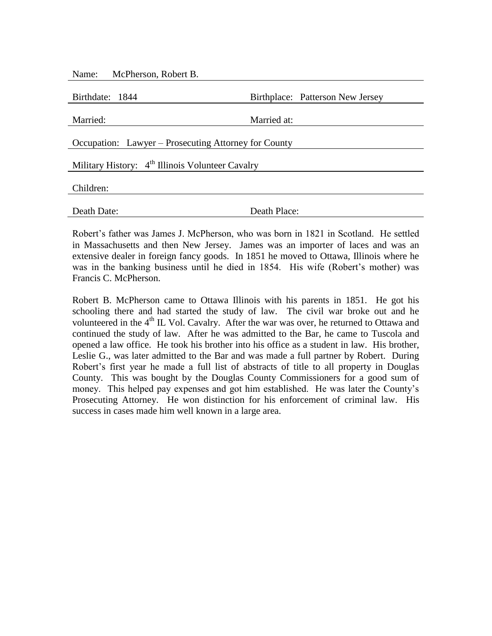|                                                              | Birthplace: Patterson New Jersey |  |  |
|--------------------------------------------------------------|----------------------------------|--|--|
| Married at:                                                  |                                  |  |  |
| Occupation: Lawyer – Prosecuting Attorney for County         |                                  |  |  |
| Military History: 4 <sup>th</sup> Illinois Volunteer Cavalry |                                  |  |  |
|                                                              |                                  |  |  |
| Death Place:                                                 |                                  |  |  |
|                                                              |                                  |  |  |

Robert's father was James J. McPherson, who was born in 1821 in Scotland. He settled in Massachusetts and then New Jersey. James was an importer of laces and was an extensive dealer in foreign fancy goods. In 1851 he moved to Ottawa, Illinois where he was in the banking business until he died in 1854. His wife (Robert's mother) was Francis C. McPherson.

Robert B. McPherson came to Ottawa Illinois with his parents in 1851. He got his schooling there and had started the study of law. The civil war broke out and he volunteered in the 4<sup>th</sup> IL Vol. Cavalry. After the war was over, he returned to Ottawa and continued the study of law. After he was admitted to the Bar, he came to Tuscola and opened a law office. He took his brother into his office as a student in law. His brother, Leslie G., was later admitted to the Bar and was made a full partner by Robert. During Robert's first year he made a full list of abstracts of title to all property in Douglas County. This was bought by the Douglas County Commissioners for a good sum of money. This helped pay expenses and got him established. He was later the County's Prosecuting Attorney. He won distinction for his enforcement of criminal law. His success in cases made him well known in a large area.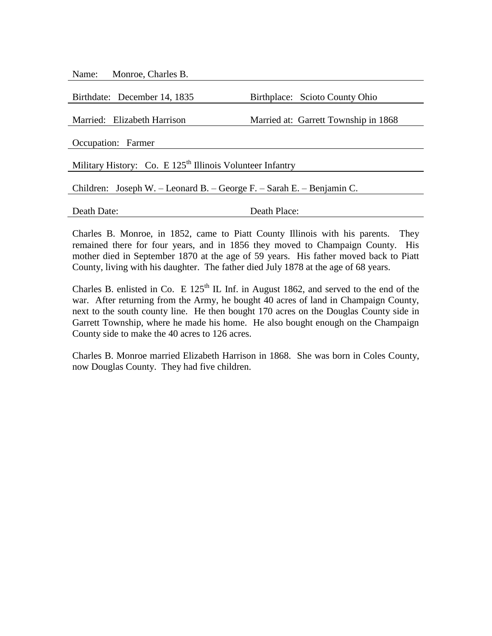Name: Monroe, Charles B.

| Birthdate: December 14, 1835                                          | Birthplace: Scioto County Ohio       |  |  |
|-----------------------------------------------------------------------|--------------------------------------|--|--|
|                                                                       |                                      |  |  |
| Married: Elizabeth Harrison                                           | Married at: Garrett Township in 1868 |  |  |
| Occupation: Farmer                                                    |                                      |  |  |
|                                                                       |                                      |  |  |
| Military History: Co. E 125 <sup>th</sup> Illinois Volunteer Infantry |                                      |  |  |
|                                                                       |                                      |  |  |
| Children: Joseph W. – Leonard B. – George F. – Sarah E. – Benjamin C. |                                      |  |  |
|                                                                       |                                      |  |  |
| Death Date:                                                           | Death Place:                         |  |  |

Charles B. Monroe, in 1852, came to Piatt County Illinois with his parents. They remained there for four years, and in 1856 they moved to Champaign County. His mother died in September 1870 at the age of 59 years. His father moved back to Piatt County, living with his daughter. The father died July 1878 at the age of 68 years.

Charles B. enlisted in Co. E  $125<sup>th</sup>$  IL Inf. in August 1862, and served to the end of the war. After returning from the Army, he bought 40 acres of land in Champaign County, next to the south county line. He then bought 170 acres on the Douglas County side in Garrett Township, where he made his home. He also bought enough on the Champaign County side to make the 40 acres to 126 acres.

Charles B. Monroe married Elizabeth Harrison in 1868. She was born in Coles County, now Douglas County. They had five children.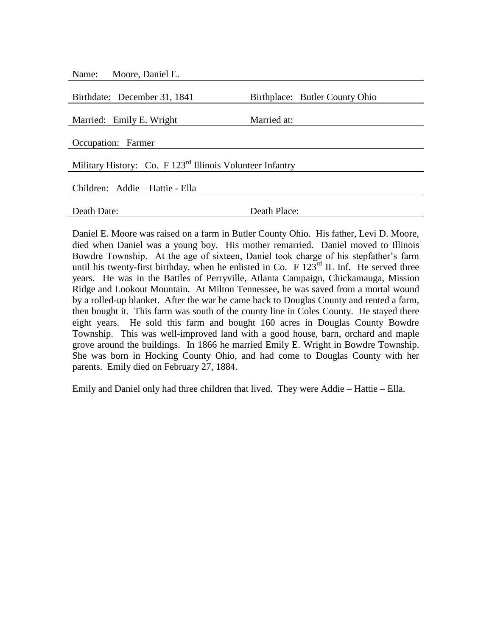| Moore, Daniel E.<br>Name:                                             |                                |  |  |
|-----------------------------------------------------------------------|--------------------------------|--|--|
|                                                                       |                                |  |  |
| Birthdate: December 31, 1841                                          | Birthplace: Butler County Ohio |  |  |
|                                                                       |                                |  |  |
| Married: Emily E. Wright                                              | Married at:                    |  |  |
|                                                                       |                                |  |  |
| Occupation: Farmer                                                    |                                |  |  |
|                                                                       |                                |  |  |
| Military History: Co. F 123 <sup>rd</sup> Illinois Volunteer Infantry |                                |  |  |
|                                                                       |                                |  |  |
| Children: Addie – Hattie - Ella                                       |                                |  |  |
|                                                                       |                                |  |  |
| Death Date:                                                           | Death Place:                   |  |  |
|                                                                       |                                |  |  |

Daniel E. Moore was raised on a farm in Butler County Ohio. His father, Levi D. Moore, died when Daniel was a young boy. His mother remarried. Daniel moved to Illinois Bowdre Township. At the age of sixteen, Daniel took charge of his stepfather's farm until his twenty-first birthday, when he enlisted in Co. F  $123^{rd}$  IL Inf. He served three years. He was in the Battles of Perryville, Atlanta Campaign, Chickamauga, Mission Ridge and Lookout Mountain. At Milton Tennessee, he was saved from a mortal wound by a rolled-up blanket. After the war he came back to Douglas County and rented a farm, then bought it. This farm was south of the county line in Coles County. He stayed there eight years. He sold this farm and bought 160 acres in Douglas County Bowdre Township. This was well-improved land with a good house, barn, orchard and maple grove around the buildings. In 1866 he married Emily E. Wright in Bowdre Township. She was born in Hocking County Ohio, and had come to Douglas County with her parents. Emily died on February 27, 1884.

Emily and Daniel only had three children that lived. They were Addie – Hattie – Ella.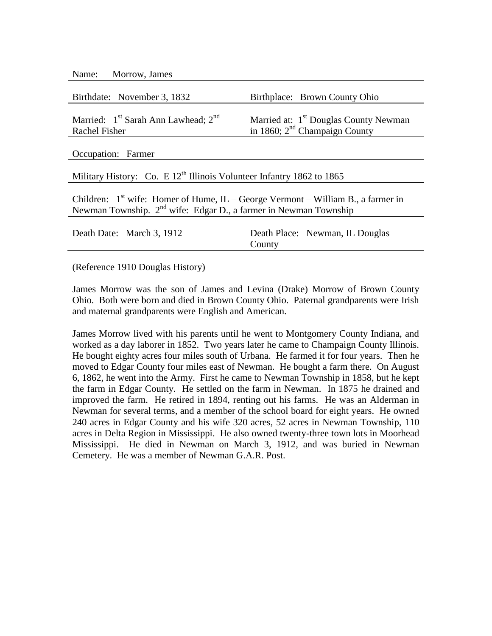| Name: | Morrow, James |  |
|-------|---------------|--|
|-------|---------------|--|

| Birthdate: November 3, 1832                                                                         | Birthplace: Brown County Ohio                     |  |
|-----------------------------------------------------------------------------------------------------|---------------------------------------------------|--|
| Married: $1st$ Sarah Ann Lawhead; $2nd$                                                             | Married at: 1 <sup>st</sup> Douglas County Newman |  |
| Rachel Fisher                                                                                       | in 1860; $2nd$ Champaign County                   |  |
|                                                                                                     |                                                   |  |
| Occupation: Farmer                                                                                  |                                                   |  |
|                                                                                                     |                                                   |  |
| Military History: Co. E $12^{th}$ Illinois Volunteer Infantry 1862 to 1865                          |                                                   |  |
|                                                                                                     |                                                   |  |
| $C_{\rm b}$ ildren: $1^{\rm st}$ with Homer of Hyme H $C_{\rm 20000}$ Meymont William D a former in |                                                   |  |

Children:  $1^{st}$  wife: Homer of Hume, IL – George Vermont – William B., a farmer in Newman Township. 2<sup>nd</sup> wife: Edgar D., a farmer in Newman Township

| Death Date: March 3, 1912 |        | Death Place: Newman, IL Douglas |
|---------------------------|--------|---------------------------------|
|                           | County |                                 |

(Reference 1910 Douglas History)

James Morrow was the son of James and Levina (Drake) Morrow of Brown County Ohio. Both were born and died in Brown County Ohio. Paternal grandparents were Irish and maternal grandparents were English and American.

James Morrow lived with his parents until he went to Montgomery County Indiana, and worked as a day laborer in 1852. Two years later he came to Champaign County Illinois. He bought eighty acres four miles south of Urbana. He farmed it for four years. Then he moved to Edgar County four miles east of Newman. He bought a farm there. On August 6, 1862, he went into the Army. First he came to Newman Township in 1858, but he kept the farm in Edgar County. He settled on the farm in Newman. In 1875 he drained and improved the farm. He retired in 1894, renting out his farms. He was an Alderman in Newman for several terms, and a member of the school board for eight years. He owned 240 acres in Edgar County and his wife 320 acres, 52 acres in Newman Township, 110 acres in Delta Region in Mississippi. He also owned twenty-three town lots in Moorhead Mississippi. He died in Newman on March 3, 1912, and was buried in Newman Cemetery. He was a member of Newman G.A.R. Post.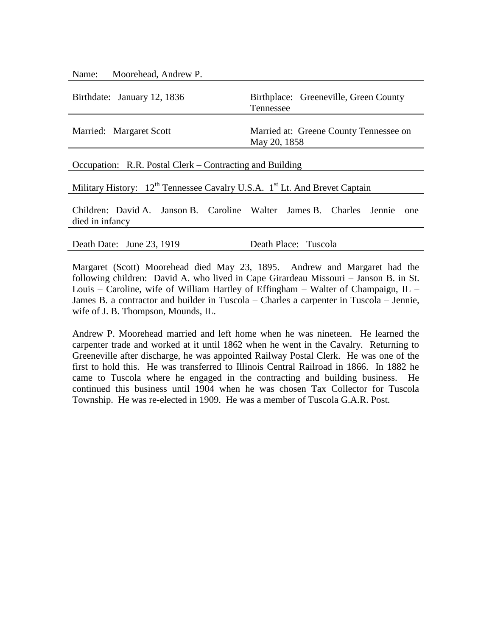| Name: Moorehead, Andrew P.                               |                                                        |  |
|----------------------------------------------------------|--------------------------------------------------------|--|
| Birthdate: January 12, 1836                              | Birthplace: Greeneville, Green County<br>Tennessee     |  |
| Married: Margaret Scott                                  | Married at: Greene County Tennessee on<br>May 20, 1858 |  |
| Occupation: R.R. Postal Clerk – Contracting and Building |                                                        |  |
|                                                          |                                                        |  |

Military History: 12<sup>th</sup> Tennessee Cavalry U.S.A. 1<sup>st</sup> Lt. And Brevet Captain

Children: David A. – Janson B. – Caroline – Walter – James B. – Charles – Jennie – one died in infancy

Death Date: June 23, 1919 Death Place: Tuscola

Margaret (Scott) Moorehead died May 23, 1895. Andrew and Margaret had the following children: David A. who lived in Cape Girardeau Missouri – Janson B. in St. Louis – Caroline, wife of William Hartley of Effingham – Walter of Champaign, IL – James B. a contractor and builder in Tuscola – Charles a carpenter in Tuscola – Jennie, wife of J. B. Thompson, Mounds, IL.

Andrew P. Moorehead married and left home when he was nineteen. He learned the carpenter trade and worked at it until 1862 when he went in the Cavalry. Returning to Greeneville after discharge, he was appointed Railway Postal Clerk. He was one of the first to hold this. He was transferred to Illinois Central Railroad in 1866. In 1882 he came to Tuscola where he engaged in the contracting and building business. He continued this business until 1904 when he was chosen Tax Collector for Tuscola Township. He was re-elected in 1909. He was a member of Tuscola G.A.R. Post.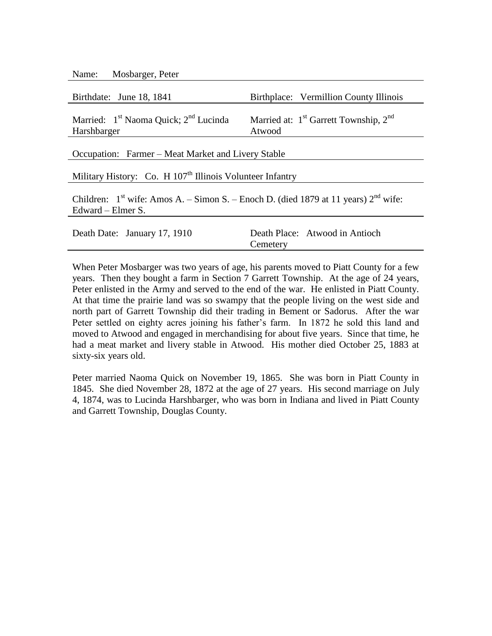| Name: | Mosbarger, Peter |  |
|-------|------------------|--|
|-------|------------------|--|

| Birthdate: June 18, 1841                                                                                     | Birthplace: Vermillion County Illinois                                  |  |
|--------------------------------------------------------------------------------------------------------------|-------------------------------------------------------------------------|--|
| Married: 1 <sup>st</sup> Naoma Quick; 2 <sup>nd</sup> Lucinda<br>Harshbarger                                 | Married at: 1 <sup>st</sup> Garrett Township, 2 <sup>nd</sup><br>Atwood |  |
| Occupation: Farmer – Meat Market and Livery Stable                                                           |                                                                         |  |
| Military History: Co. H 107 <sup>th</sup> Illinois Volunteer Infantry                                        |                                                                         |  |
| Children: $1st$ wife: Amos A. – Simon S. – Enoch D. (died 1879 at 11 years) $2nd$ wife:<br>Edward – Elmer S. |                                                                         |  |
| Death Date: January 17, 1910                                                                                 | Death Place: Atwood in Antioch<br>Cemetery                              |  |

When Peter Mosbarger was two years of age, his parents moved to Piatt County for a few years. Then they bought a farm in Section 7 Garrett Township. At the age of 24 years, Peter enlisted in the Army and served to the end of the war. He enlisted in Piatt County. At that time the prairie land was so swampy that the people living on the west side and north part of Garrett Township did their trading in Bement or Sadorus. After the war Peter settled on eighty acres joining his father's farm. In 1872 he sold this land and moved to Atwood and engaged in merchandising for about five years. Since that time, he had a meat market and livery stable in Atwood. His mother died October 25, 1883 at sixty-six years old.

Peter married Naoma Quick on November 19, 1865. She was born in Piatt County in 1845. She died November 28, 1872 at the age of 27 years. His second marriage on July 4, 1874, was to Lucinda Harshbarger, who was born in Indiana and lived in Piatt County and Garrett Township, Douglas County.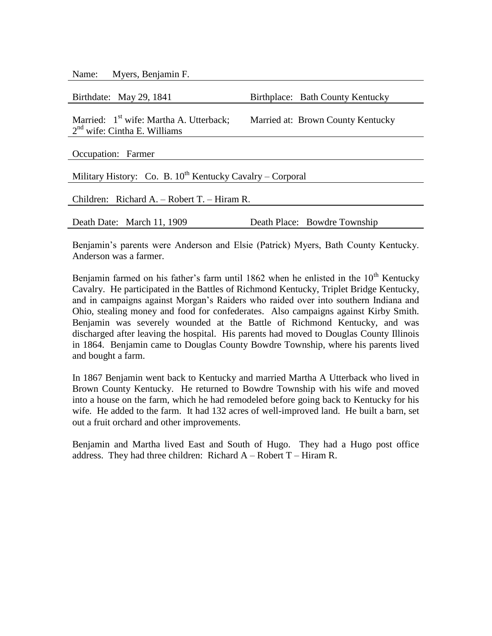Name: Myers, Benjamin F.

| Birthdate: May 29, 1841                                                               | Birthplace: Bath County Kentucky  |  |
|---------------------------------------------------------------------------------------|-----------------------------------|--|
| Married: 1 <sup>st</sup> wife: Martha A. Utterback;<br>$2nd$ wife: Cintha E. Williams | Married at: Brown County Kentucky |  |
| Occupation: Farmer                                                                    |                                   |  |
| Military History: Co. B. $10^{th}$ Kentucky Cavalry – Corporal                        |                                   |  |
| Children: Richard A. - Robert T. - Hiram R.                                           |                                   |  |
| Death Date: March 11, 1909                                                            | Death Place: Bowdre Township      |  |

Benjamin's parents were Anderson and Elsie (Patrick) Myers, Bath County Kentucky. Anderson was a farmer.

Benjamin farmed on his father's farm until 1862 when he enlisted in the  $10<sup>th</sup>$  Kentucky Cavalry. He participated in the Battles of Richmond Kentucky, Triplet Bridge Kentucky, and in campaigns against Morgan's Raiders who raided over into southern Indiana and Ohio, stealing money and food for confederates. Also campaigns against Kirby Smith. Benjamin was severely wounded at the Battle of Richmond Kentucky, and was discharged after leaving the hospital. His parents had moved to Douglas County Illinois in 1864. Benjamin came to Douglas County Bowdre Township, where his parents lived and bought a farm.

In 1867 Benjamin went back to Kentucky and married Martha A Utterback who lived in Brown County Kentucky. He returned to Bowdre Township with his wife and moved into a house on the farm, which he had remodeled before going back to Kentucky for his wife. He added to the farm. It had 132 acres of well-improved land. He built a barn, set out a fruit orchard and other improvements.

Benjamin and Martha lived East and South of Hugo. They had a Hugo post office address. They had three children: Richard  $A - Robert T - Hiram R$ .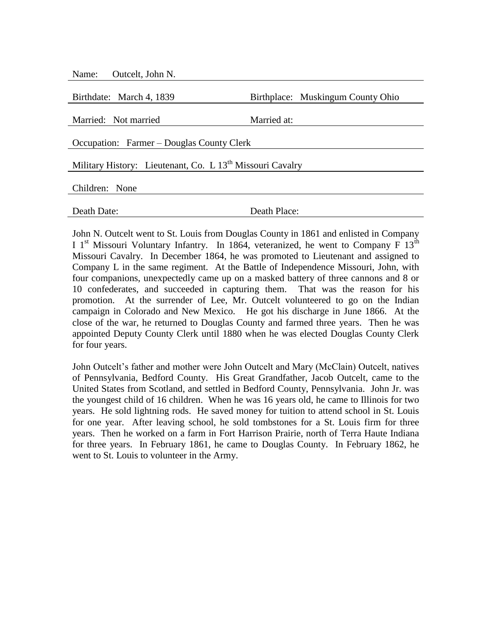| Outcelt, John N.<br>Name:                                             |                                   |  |
|-----------------------------------------------------------------------|-----------------------------------|--|
| Birthdate: March 4, 1839                                              | Birthplace: Muskingum County Ohio |  |
| Married: Not married                                                  | Married at:                       |  |
| Occupation: Farmer – Douglas County Clerk                             |                                   |  |
| Military History: Lieutenant, Co. L 13 <sup>th</sup> Missouri Cavalry |                                   |  |
| Children: None                                                        |                                   |  |
| Death Date:                                                           | Death Place:                      |  |
|                                                                       |                                   |  |

John N. Outcelt went to St. Louis from Douglas County in 1861 and enlisted in Company I 1<sup>st</sup> Missouri Voluntary Infantry. In 1864, veteranized, he went to Company F 13<sup>th</sup> Missouri Cavalry. In December 1864, he was promoted to Lieutenant and assigned to Company L in the same regiment. At the Battle of Independence Missouri, John, with four companions, unexpectedly came up on a masked battery of three cannons and 8 or 10 confederates, and succeeded in capturing them. That was the reason for his promotion. At the surrender of Lee, Mr. Outcelt volunteered to go on the Indian campaign in Colorado and New Mexico. He got his discharge in June 1866. At the close of the war, he returned to Douglas County and farmed three years. Then he was appointed Deputy County Clerk until 1880 when he was elected Douglas County Clerk for four years.

John Outcelt's father and mother were John Outcelt and Mary (McClain) Outcelt, natives of Pennsylvania, Bedford County. His Great Grandfather, Jacob Outcelt, came to the United States from Scotland, and settled in Bedford County, Pennsylvania. John Jr. was the youngest child of 16 children. When he was 16 years old, he came to Illinois for two years. He sold lightning rods. He saved money for tuition to attend school in St. Louis for one year. After leaving school, he sold tombstones for a St. Louis firm for three years. Then he worked on a farm in Fort Harrison Prairie, north of Terra Haute Indiana for three years. In February 1861, he came to Douglas County. In February 1862, he went to St. Louis to volunteer in the Army.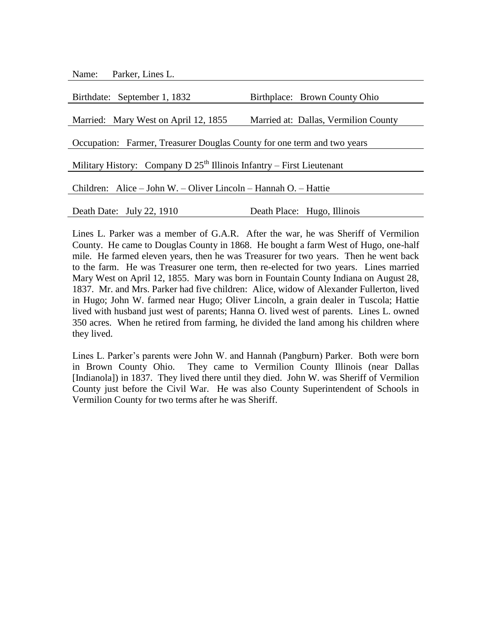Name: Parker, Lines L.

| Birthdate: September 1, 1832                                            | Birthplace: Brown County Ohio        |  |
|-------------------------------------------------------------------------|--------------------------------------|--|
|                                                                         |                                      |  |
| Married: Mary West on April 12, 1855                                    | Married at: Dallas, Vermilion County |  |
|                                                                         |                                      |  |
| Occupation: Farmer, Treasurer Douglas County for one term and two years |                                      |  |
|                                                                         |                                      |  |
| Military History: Company D $25th$ Illinois Infantry – First Lieutenant |                                      |  |
|                                                                         |                                      |  |
| Children: Alice – John W. – Oliver Lincoln – Hannah O. – Hattie         |                                      |  |
|                                                                         |                                      |  |
| Death Date: July 22, 1910                                               | Death Place: Hugo, Illinois          |  |

Lines L. Parker was a member of G.A.R. After the war, he was Sheriff of Vermilion County. He came to Douglas County in 1868. He bought a farm West of Hugo, one-half mile. He farmed eleven years, then he was Treasurer for two years. Then he went back to the farm. He was Treasurer one term, then re-elected for two years. Lines married Mary West on April 12, 1855. Mary was born in Fountain County Indiana on August 28, 1837. Mr. and Mrs. Parker had five children: Alice, widow of Alexander Fullerton, lived in Hugo; John W. farmed near Hugo; Oliver Lincoln, a grain dealer in Tuscola; Hattie lived with husband just west of parents; Hanna O. lived west of parents. Lines L. owned 350 acres. When he retired from farming, he divided the land among his children where they lived.

Lines L. Parker's parents were John W. and Hannah (Pangburn) Parker. Both were born in Brown County Ohio. They came to Vermilion County Illinois (near Dallas [Indianola]) in 1837. They lived there until they died. John W. was Sheriff of Vermilion County just before the Civil War. He was also County Superintendent of Schools in Vermilion County for two terms after he was Sheriff.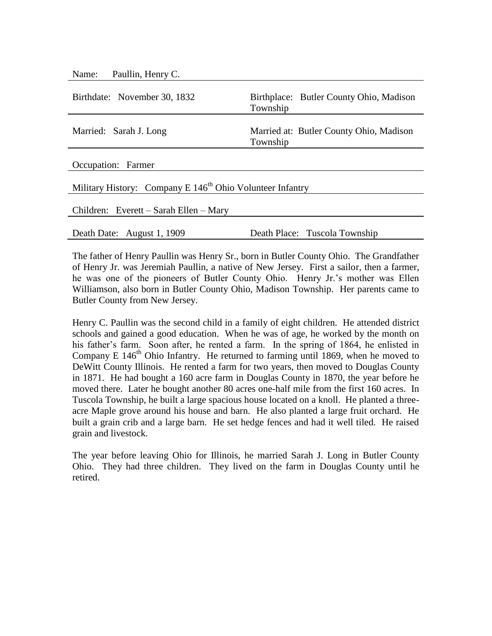| Paullin, Henry C.<br>Name:                                  |                                                     |
|-------------------------------------------------------------|-----------------------------------------------------|
| Birthdate: November 30, 1832                                | Birthplace: Butler County Ohio, Madison<br>Township |
| Married: Sarah J. Long                                      | Married at: Butler County Ohio, Madison<br>Township |
| Occupation: Farmer                                          |                                                     |
| Military History: Company E $146th$ Ohio Volunteer Infantry |                                                     |
| Children: Everett – Sarah Ellen – Mary                      |                                                     |
| Death Date: August 1, 1909                                  | Death Place: Tuscola Township                       |

The father of Henry Paullin was Henry Sr., born in Butler County Ohio. The Grandfather of Henry Jr. was Jeremiah Paullin, a native of New Jersey. First a sailor, then a farmer, he was one of the pioneers of Butler County Ohio. Henry Jr.'s mother was Ellen Williamson, also born in Butler County Ohio, Madison Township. Her parents came to Butler County from New Jersey.

Henry C. Paullin was the second child in a family of eight children. He attended district schools and gained a good education. When he was of age, he worked by the month on his father's farm. Soon after, he rented a farm. In the spring of 1864, he enlisted in Company E  $146<sup>th</sup>$  Ohio Infantry. He returned to farming until 1869, when he moved to DeWitt County Illinois. He rented a farm for two years, then moved to Douglas County in 1871. He had bought a 160 acre farm in Douglas County in 1870, the year before he moved there. Later he bought another 80 acres one-half mile from the first 160 acres. In Tuscola Township, he built a large spacious house located on a knoll. He planted a threeacre Maple grove around his house and barn. He also planted a large fruit orchard. He built a grain crib and a large barn. He set hedge fences and had it well tiled. He raised grain and livestock.

The year before leaving Ohio for Illinois, he married Sarah J. Long in Butler County Ohio. They had three children. They lived on the farm in Douglas County until he retired.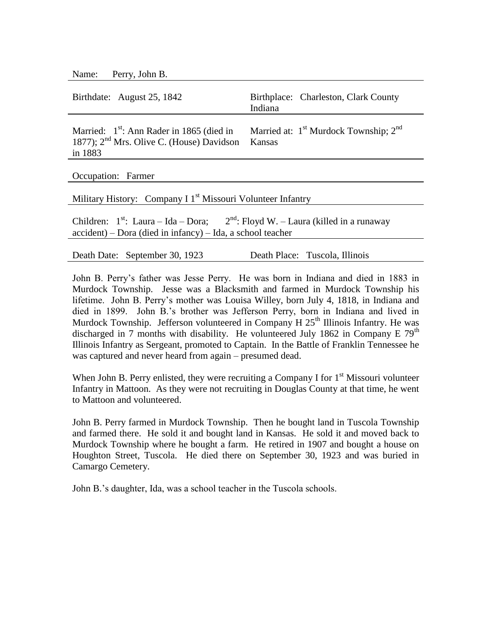Name: Perry, John B.

| Birthdate: August 25, 1842                                                                                                                               | Birthplace: Charleston, Clark County<br>Indiana     |  |
|----------------------------------------------------------------------------------------------------------------------------------------------------------|-----------------------------------------------------|--|
| Married: $1st$ : Ann Rader in 1865 (died in<br>1877); 2 <sup>nd</sup> Mrs. Olive C. (House) Davidson<br>in 1883                                          | Married at: $1st$ Murdock Township; $2nd$<br>Kansas |  |
| Occupation: Farmer                                                                                                                                       |                                                     |  |
| Military History: Company I 1 <sup>st</sup> Missouri Volunteer Infantry                                                                                  |                                                     |  |
| Children: $1^{st}$ : Laura – Ida – Dora; $2^{nd}$ : Floyd W. – Laura (killed in a runaway<br>$accident$ – Dora (died in infancy) – Ida, a school teacher |                                                     |  |
|                                                                                                                                                          |                                                     |  |

Death Date: September 30, 1923 Death Place: Tuscola, Illinois

John B. Perry's father was Jesse Perry. He was born in Indiana and died in 1883 in Murdock Township. Jesse was a Blacksmith and farmed in Murdock Township his lifetime. John B. Perry's mother was Louisa Willey, born July 4, 1818, in Indiana and died in 1899. John B.'s brother was Jefferson Perry, born in Indiana and lived in Murdock Township. Jefferson volunteered in Company H  $25<sup>th</sup>$  Illinois Infantry. He was discharged in 7 months with disability. He volunteered July 1862 in Company E  $79<sup>th</sup>$ Illinois Infantry as Sergeant, promoted to Captain. In the Battle of Franklin Tennessee he was captured and never heard from again – presumed dead.

When John B. Perry enlisted, they were recruiting a Company I for  $1<sup>st</sup>$  Missouri volunteer Infantry in Mattoon. As they were not recruiting in Douglas County at that time, he went to Mattoon and volunteered.

John B. Perry farmed in Murdock Township. Then he bought land in Tuscola Township and farmed there. He sold it and bought land in Kansas. He sold it and moved back to Murdock Township where he bought a farm. He retired in 1907 and bought a house on Houghton Street, Tuscola. He died there on September 30, 1923 and was buried in Camargo Cemetery.

John B.'s daughter, Ida, was a school teacher in the Tuscola schools.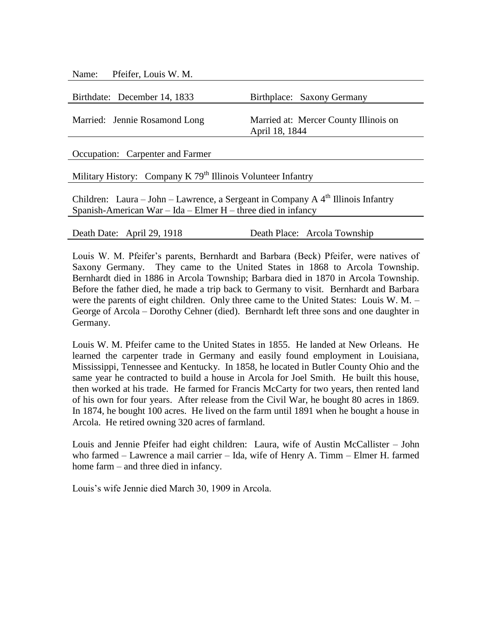| Name: Pfeifer, Louis W. M.                                               |                                                         |
|--------------------------------------------------------------------------|---------------------------------------------------------|
|                                                                          |                                                         |
| Birthdate: December 14, 1833                                             | Birthplace: Saxony Germany                              |
| Married: Jennie Rosamond Long                                            | Married at: Mercer County Illinois on<br>April 18, 1844 |
| Occupation: Carpenter and Farmer                                         |                                                         |
| Military History: Company K 79 <sup>th</sup> Illinois Volunteer Infantry |                                                         |

Children: Laura – John – Lawrence, a Sergeant in Company A  $4<sup>th</sup>$  Illinois Infantry Spanish-American War – Ida – Elmer H – three died in infancy

Death Date: April 29, 1918 Death Place: Arcola Township

Louis W. M. Pfeifer's parents, Bernhardt and Barbara (Beck) Pfeifer, were natives of Saxony Germany. They came to the United States in 1868 to Arcola Township. Bernhardt died in 1886 in Arcola Township; Barbara died in 1870 in Arcola Township. Before the father died, he made a trip back to Germany to visit. Bernhardt and Barbara were the parents of eight children. Only three came to the United States: Louis W. M. – George of Arcola – Dorothy Cehner (died). Bernhardt left three sons and one daughter in Germany.

Louis W. M. Pfeifer came to the United States in 1855. He landed at New Orleans. He learned the carpenter trade in Germany and easily found employment in Louisiana, Mississippi, Tennessee and Kentucky. In 1858, he located in Butler County Ohio and the same year he contracted to build a house in Arcola for Joel Smith. He built this house, then worked at his trade. He farmed for Francis McCarty for two years, then rented land of his own for four years. After release from the Civil War, he bought 80 acres in 1869. In 1874, he bought 100 acres. He lived on the farm until 1891 when he bought a house in Arcola. He retired owning 320 acres of farmland.

Louis and Jennie Pfeifer had eight children: Laura, wife of Austin McCallister – John who farmed – Lawrence a mail carrier – Ida, wife of Henry A. Timm – Elmer H. farmed home farm – and three died in infancy.

Louis's wife Jennie died March 30, 1909 in Arcola.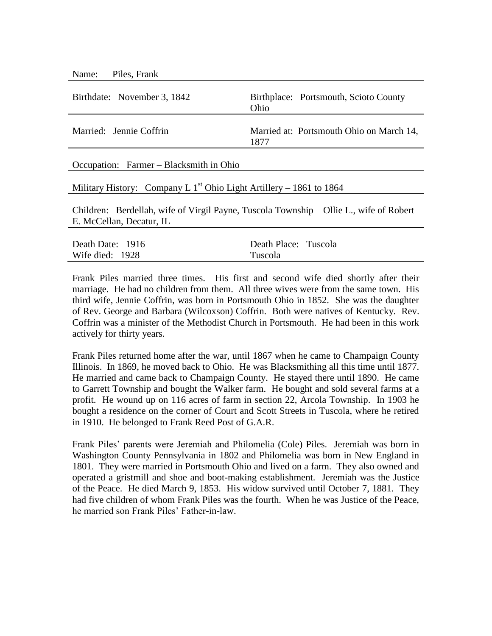| Piles, Frank<br>Name:                                                                                              |                                                  |  |
|--------------------------------------------------------------------------------------------------------------------|--------------------------------------------------|--|
| Birthdate: November 3, 1842                                                                                        | Birthplace: Portsmouth, Scioto County<br>Ohio    |  |
| Married: Jennie Coffrin                                                                                            | Married at: Portsmouth Ohio on March 14,<br>1877 |  |
| Occupation: Farmer – Blacksmith in Ohio                                                                            |                                                  |  |
| Military History: Company L $1st$ Ohio Light Artillery – 1861 to 1864                                              |                                                  |  |
| Children: Berdellah, wife of Virgil Payne, Tuscola Township – Ollie L., wife of Robert<br>E. McCellan, Decatur, IL |                                                  |  |
| Death Date: 1916                                                                                                   | Death Place: Tuscola                             |  |

Frank Piles married three times. His first and second wife died shortly after their marriage. He had no children from them. All three wives were from the same town. His third wife, Jennie Coffrin, was born in Portsmouth Ohio in 1852. She was the daughter of Rev. George and Barbara (Wilcoxson) Coffrin. Both were natives of Kentucky. Rev. Coffrin was a minister of the Methodist Church in Portsmouth. He had been in this work actively for thirty years.

Tuscola

Wife died: 1928

Frank Piles returned home after the war, until 1867 when he came to Champaign County Illinois. In 1869, he moved back to Ohio. He was Blacksmithing all this time until 1877. He married and came back to Champaign County. He stayed there until 1890. He came to Garrett Township and bought the Walker farm. He bought and sold several farms at a profit. He wound up on 116 acres of farm in section 22, Arcola Township. In 1903 he bought a residence on the corner of Court and Scott Streets in Tuscola, where he retired in 1910. He belonged to Frank Reed Post of G.A.R.

Frank Piles' parents were Jeremiah and Philomelia (Cole) Piles. Jeremiah was born in Washington County Pennsylvania in 1802 and Philomelia was born in New England in 1801. They were married in Portsmouth Ohio and lived on a farm. They also owned and operated a gristmill and shoe and boot-making establishment. Jeremiah was the Justice of the Peace. He died March 9, 1853. His widow survived until October 7, 1881. They had five children of whom Frank Piles was the fourth. When he was Justice of the Peace, he married son Frank Piles' Father-in-law.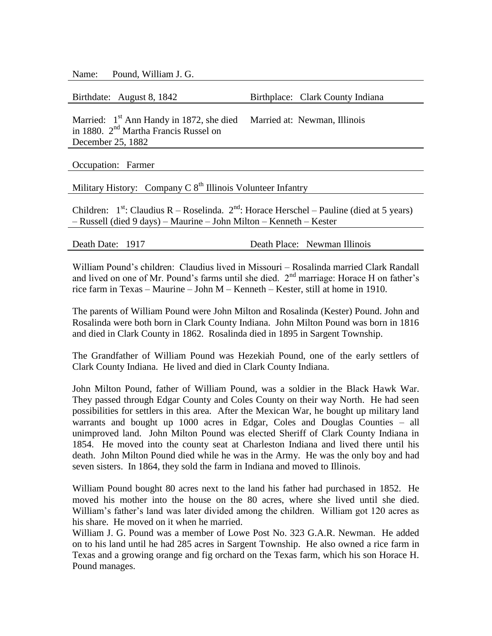Name: Pound, William J. G.

Birthdate: August 8, 1842 Birthplace: Clark County Indiana

Married:  $1<sup>st</sup>$  Ann Handy in 1872, she died in 1880. 2<sup>nd</sup> Martha Francis Russel on December 25, 1882 Married at: Newman, Illinois

Occupation: Farmer

Military History: Company C  $8<sup>th</sup>$  Illinois Volunteer Infantry

Children:  $1^{st}$ : Claudius R – Roselinda.  $2^{nd}$ : Horace Herschel – Pauline (died at 5 years) – Russell (died 9 days) – Maurine – John Milton – Kenneth – Kester

Death Date: 1917 Death Place: Newman Illinois

William Pound's children: Claudius lived in Missouri – Rosalinda married Clark Randall and lived on one of Mr. Pound's farms until she died.  $2<sup>nd</sup>$  marriage: Horace H on father's rice farm in Texas – Maurine – John M – Kenneth – Kester, still at home in 1910.

The parents of William Pound were John Milton and Rosalinda (Kester) Pound. John and Rosalinda were both born in Clark County Indiana. John Milton Pound was born in 1816 and died in Clark County in 1862. Rosalinda died in 1895 in Sargent Township.

The Grandfather of William Pound was Hezekiah Pound, one of the early settlers of Clark County Indiana. He lived and died in Clark County Indiana.

John Milton Pound, father of William Pound, was a soldier in the Black Hawk War. They passed through Edgar County and Coles County on their way North. He had seen possibilities for settlers in this area. After the Mexican War, he bought up military land warrants and bought up 1000 acres in Edgar, Coles and Douglas Counties – all unimproved land. John Milton Pound was elected Sheriff of Clark County Indiana in 1854. He moved into the county seat at Charleston Indiana and lived there until his death. John Milton Pound died while he was in the Army. He was the only boy and had seven sisters. In 1864, they sold the farm in Indiana and moved to Illinois.

William Pound bought 80 acres next to the land his father had purchased in 1852. He moved his mother into the house on the 80 acres, where she lived until she died. William's father's land was later divided among the children. William got 120 acres as his share. He moved on it when he married.

William J. G. Pound was a member of Lowe Post No. 323 G.A.R. Newman. He added on to his land until he had 285 acres in Sargent Township. He also owned a rice farm in Texas and a growing orange and fig orchard on the Texas farm, which his son Horace H. Pound manages.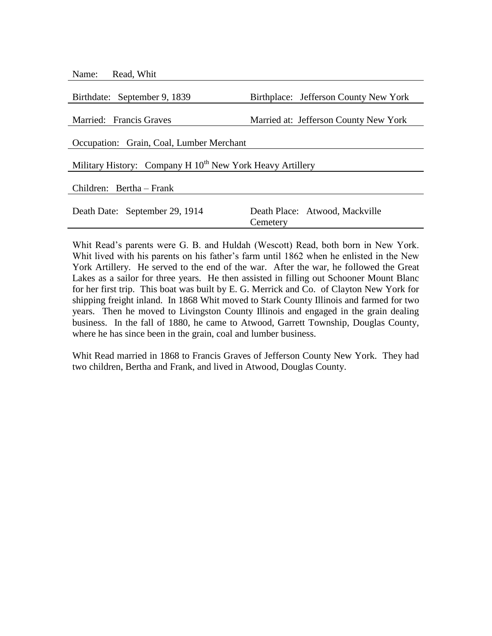| Name: Read, Whit                                                      |                                            |  |
|-----------------------------------------------------------------------|--------------------------------------------|--|
| Birthdate: September 9, 1839                                          | Birthplace: Jefferson County New York      |  |
|                                                                       |                                            |  |
| Married: Francis Graves                                               | Married at: Jefferson County New York      |  |
| Occupation: Grain, Coal, Lumber Merchant                              |                                            |  |
| Military History: Company H 10 <sup>th</sup> New York Heavy Artillery |                                            |  |
| Children: Bertha - Frank                                              |                                            |  |
| Death Date: September 29, 1914                                        | Death Place: Atwood, Mackville<br>Cemetery |  |

Whit Read's parents were G. B. and Huldah (Wescott) Read, both born in New York. Whit lived with his parents on his father's farm until 1862 when he enlisted in the New York Artillery. He served to the end of the war. After the war, he followed the Great Lakes as a sailor for three years. He then assisted in filling out Schooner Mount Blanc for her first trip. This boat was built by E. G. Merrick and Co. of Clayton New York for shipping freight inland. In 1868 Whit moved to Stark County Illinois and farmed for two years. Then he moved to Livingston County Illinois and engaged in the grain dealing business. In the fall of 1880, he came to Atwood, Garrett Township, Douglas County, where he has since been in the grain, coal and lumber business.

Whit Read married in 1868 to Francis Graves of Jefferson County New York. They had two children, Bertha and Frank, and lived in Atwood, Douglas County.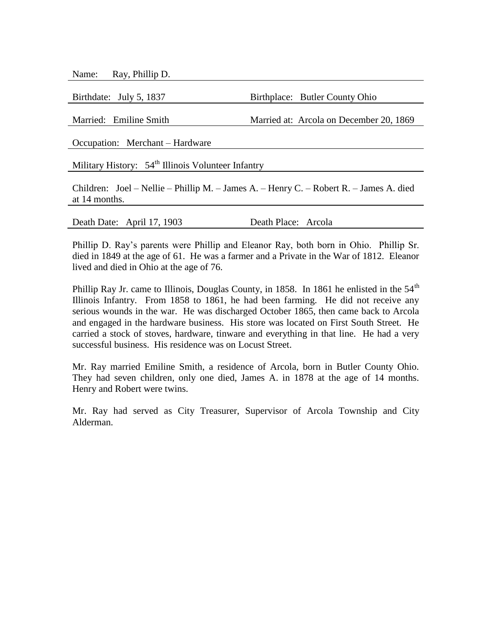Name: Ray, Phillip D.

Birthdate: July 5, 1837 Birthplace: Butler County Ohio

Married: Emiline Smith Married at: Arcola on December 20, 1869

Occupation: Merchant – Hardware

Military History:  $54<sup>th</sup>$  Illinois Volunteer Infantry

Children: Joel – Nellie – Phillip M. – James A. – Henry C. – Robert R. – James A. died at 14 months.

Death Date: April 17, 1903 Death Place: Arcola

Phillip D. Ray's parents were Phillip and Eleanor Ray, both born in Ohio. Phillip Sr. died in 1849 at the age of 61. He was a farmer and a Private in the War of 1812. Eleanor lived and died in Ohio at the age of 76.

Phillip Ray Jr. came to Illinois, Douglas County, in 1858. In 1861 he enlisted in the  $54<sup>th</sup>$ Illinois Infantry. From 1858 to 1861, he had been farming. He did not receive any serious wounds in the war. He was discharged October 1865, then came back to Arcola and engaged in the hardware business. His store was located on First South Street. He carried a stock of stoves, hardware, tinware and everything in that line. He had a very successful business. His residence was on Locust Street.

Mr. Ray married Emiline Smith, a residence of Arcola, born in Butler County Ohio. They had seven children, only one died, James A. in 1878 at the age of 14 months. Henry and Robert were twins.

Mr. Ray had served as City Treasurer, Supervisor of Arcola Township and City Alderman.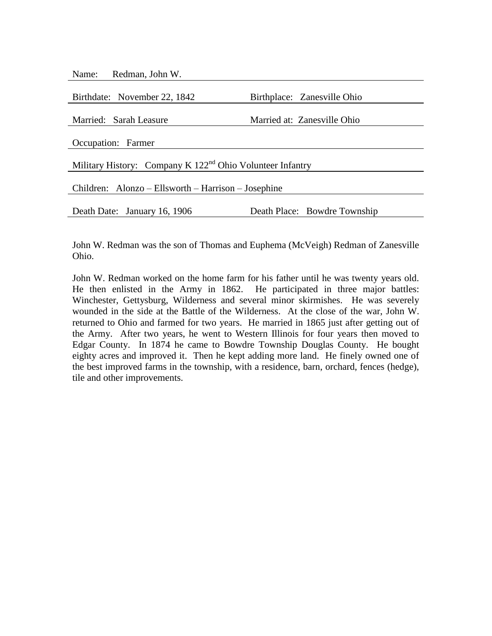Name: Redman, John W.

| Birthplace: Zanesville Ohio                                 |  |  |
|-------------------------------------------------------------|--|--|
| Married at: Zanesville Ohio                                 |  |  |
|                                                             |  |  |
|                                                             |  |  |
|                                                             |  |  |
| Military History: Company K $122nd$ Ohio Volunteer Infantry |  |  |
|                                                             |  |  |
| Children: Alonzo – Ellsworth – Harrison – Josephine         |  |  |
|                                                             |  |  |
| Death Place: Bowdre Township                                |  |  |
|                                                             |  |  |

John W. Redman was the son of Thomas and Euphema (McVeigh) Redman of Zanesville Ohio.

John W. Redman worked on the home farm for his father until he was twenty years old. He then enlisted in the Army in 1862. He participated in three major battles: Winchester, Gettysburg, Wilderness and several minor skirmishes. He was severely wounded in the side at the Battle of the Wilderness. At the close of the war, John W. returned to Ohio and farmed for two years. He married in 1865 just after getting out of the Army. After two years, he went to Western Illinois for four years then moved to Edgar County. In 1874 he came to Bowdre Township Douglas County. He bought eighty acres and improved it. Then he kept adding more land. He finely owned one of the best improved farms in the township, with a residence, barn, orchard, fences (hedge), tile and other improvements.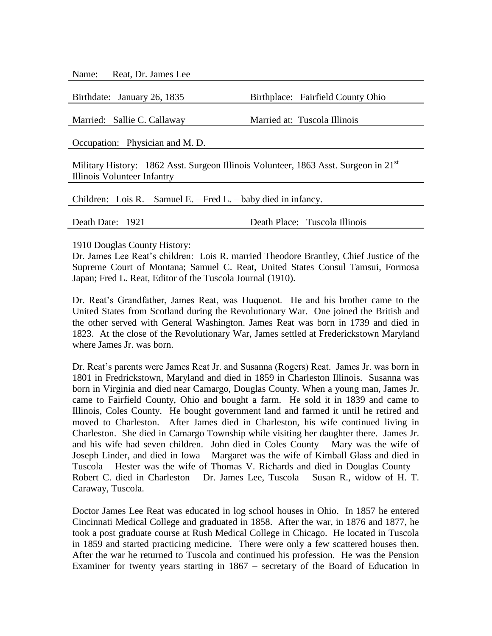Name: Reat, Dr. James Lee

Birthdate: January 26, 1835 Birthplace: Fairfield County Ohio

Married: Sallie C. Callaway Married at: Tuscola Illinois

Occupation: Physician and M. D.

Military History: 1862 Asst. Surgeon Illinois Volunteer, 1863 Asst. Surgeon in 21 $^{\rm st}$ Illinois Volunteer Infantry

Children: Lois R. – Samuel E. – Fred L. – baby died in infancy.

Death Date: 1921 Death Place: Tuscola Illinois

1910 Douglas County History:

Dr. James Lee Reat's children: Lois R. married Theodore Brantley, Chief Justice of the Supreme Court of Montana; Samuel C. Reat, United States Consul Tamsui, Formosa Japan; Fred L. Reat, Editor of the Tuscola Journal (1910).

Dr. Reat's Grandfather, James Reat, was Huquenot. He and his brother came to the United States from Scotland during the Revolutionary War. One joined the British and the other served with General Washington. James Reat was born in 1739 and died in 1823. At the close of the Revolutionary War, James settled at Frederickstown Maryland where James Jr. was born.

Dr. Reat's parents were James Reat Jr. and Susanna (Rogers) Reat. James Jr. was born in 1801 in Fredrickstown, Maryland and died in 1859 in Charleston Illinois. Susanna was born in Virginia and died near Camargo, Douglas County. When a young man, James Jr. came to Fairfield County, Ohio and bought a farm. He sold it in 1839 and came to Illinois, Coles County. He bought government land and farmed it until he retired and moved to Charleston. After James died in Charleston, his wife continued living in Charleston. She died in Camargo Township while visiting her daughter there. James Jr. and his wife had seven children. John died in Coles County – Mary was the wife of Joseph Linder, and died in Iowa – Margaret was the wife of Kimball Glass and died in Tuscola – Hester was the wife of Thomas V. Richards and died in Douglas County – Robert C. died in Charleston – Dr. James Lee, Tuscola – Susan R., widow of H. T. Caraway, Tuscola.

Doctor James Lee Reat was educated in log school houses in Ohio. In 1857 he entered Cincinnati Medical College and graduated in 1858. After the war, in 1876 and 1877, he took a post graduate course at Rush Medical College in Chicago. He located in Tuscola in 1859 and started practicing medicine. There were only a few scattered houses then. After the war he returned to Tuscola and continued his profession. He was the Pension Examiner for twenty years starting in 1867 – secretary of the Board of Education in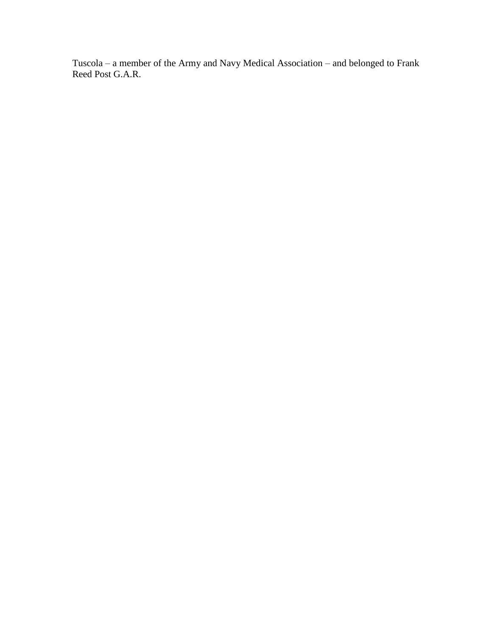Tuscola – a member of the Army and Navy Medical Association – and belonged to Frank Reed Post G.A.R.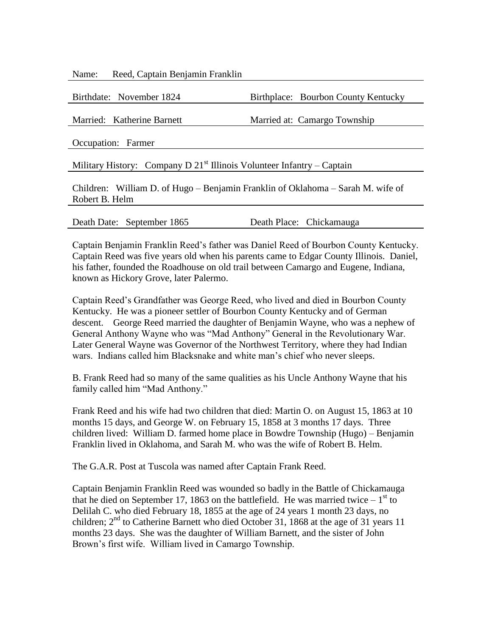Name: Reed, Captain Benjamin Franklin

| Birthdate: November 1824                                                        | Birthplace: Bourbon County Kentucky |  |
|---------------------------------------------------------------------------------|-------------------------------------|--|
| Married: Katherine Barnett                                                      | Married at: Camargo Township        |  |
|                                                                                 |                                     |  |
| Occupation: Farmer                                                              |                                     |  |
| Military History: Company D $21st$ Illinois Volunteer Infantry – Captain        |                                     |  |
| Children: William D. of Hugo – Benjamin Franklin of Oklahoma – Sarah M. wife of |                                     |  |
| Robert B. Helm                                                                  |                                     |  |
|                                                                                 |                                     |  |

Death Date: September 1865 Death Place: Chickamauga

Captain Benjamin Franklin Reed's father was Daniel Reed of Bourbon County Kentucky. Captain Reed was five years old when his parents came to Edgar County Illinois. Daniel, his father, founded the Roadhouse on old trail between Camargo and Eugene, Indiana, known as Hickory Grove, later Palermo.

Captain Reed's Grandfather was George Reed, who lived and died in Bourbon County Kentucky. He was a pioneer settler of Bourbon County Kentucky and of German descent. George Reed married the daughter of Benjamin Wayne, who was a nephew of General Anthony Wayne who was "Mad Anthony" General in the Revolutionary War. Later General Wayne was Governor of the Northwest Territory, where they had Indian wars. Indians called him Blacksnake and white man's chief who never sleeps.

B. Frank Reed had so many of the same qualities as his Uncle Anthony Wayne that his family called him "Mad Anthony."

Frank Reed and his wife had two children that died: Martin O. on August 15, 1863 at 10 months 15 days, and George W. on February 15, 1858 at 3 months 17 days. Three children lived: William D. farmed home place in Bowdre Township (Hugo) – Benjamin Franklin lived in Oklahoma, and Sarah M. who was the wife of Robert B. Helm.

The G.A.R. Post at Tuscola was named after Captain Frank Reed.

Captain Benjamin Franklin Reed was wounded so badly in the Battle of Chickamauga that he died on September 17, 1863 on the battlefield. He was married twice  $-1<sup>st</sup>$  to Delilah C. who died February 18, 1855 at the age of 24 years 1 month 23 days, no children; 2<sup>nd</sup> to Catherine Barnett who died October 31, 1868 at the age of 31 years 11 months 23 days. She was the daughter of William Barnett, and the sister of John Brown's first wife. William lived in Camargo Township.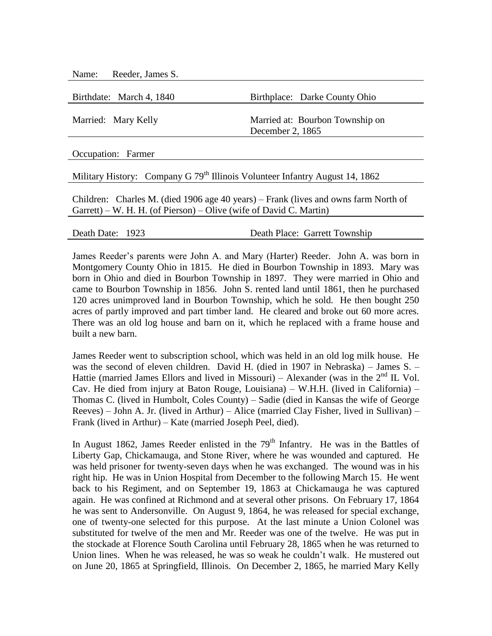Name: Reeder, James S.

Birthdate: March 4, 1840 Birthplace: Darke County Ohio Married: Mary Kelly Married at: Bourbon Township on December 2, 1865

Occupation: Farmer

Military History: Company G 79<sup>th</sup> Illinois Volunteer Infantry August 14, 1862

Children: Charles M. (died 1906 age 40 years) – Frank (lives and owns farm North of Garrett) – W. H. H. (of Pierson) – Olive (wife of David C. Martin)

Death Date: 1923 Death Place: Garrett Township

James Reeder's parents were John A. and Mary (Harter) Reeder. John A. was born in Montgomery County Ohio in 1815. He died in Bourbon Township in 1893. Mary was born in Ohio and died in Bourbon Township in 1897. They were married in Ohio and came to Bourbon Township in 1856. John S. rented land until 1861, then he purchased 120 acres unimproved land in Bourbon Township, which he sold. He then bought 250 acres of partly improved and part timber land. He cleared and broke out 60 more acres. There was an old log house and barn on it, which he replaced with a frame house and built a new barn.

James Reeder went to subscription school, which was held in an old log milk house. He was the second of eleven children. David H. (died in 1907 in Nebraska) – James S. – Hattie (married James Ellors and lived in Missouri) – Alexander (was in the  $2<sup>nd</sup>$  IL Vol. Cav. He died from injury at Baton Rouge, Louisiana) – W.H.H. (lived in California) – Thomas C. (lived in Humbolt, Coles County) – Sadie (died in Kansas the wife of George Reeves) – John A. Jr. (lived in Arthur) – Alice (married Clay Fisher, lived in Sullivan) – Frank (lived in Arthur) – Kate (married Joseph Peel, died).

In August 1862, James Reeder enlisted in the  $79<sup>th</sup>$  Infantry. He was in the Battles of Liberty Gap, Chickamauga, and Stone River, where he was wounded and captured. He was held prisoner for twenty-seven days when he was exchanged. The wound was in his right hip. He was in Union Hospital from December to the following March 15. He went back to his Regiment, and on September 19, 1863 at Chickamauga he was captured again. He was confined at Richmond and at several other prisons. On February 17, 1864 he was sent to Andersonville. On August 9, 1864, he was released for special exchange, one of twenty-one selected for this purpose. At the last minute a Union Colonel was substituted for twelve of the men and Mr. Reeder was one of the twelve. He was put in the stockade at Florence South Carolina until February 28, 1865 when he was returned to Union lines. When he was released, he was so weak he couldn't walk. He mustered out on June 20, 1865 at Springfield, Illinois. On December 2, 1865, he married Mary Kelly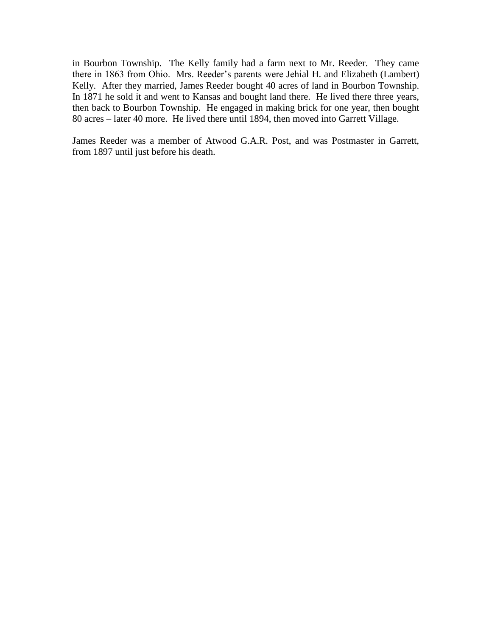in Bourbon Township. The Kelly family had a farm next to Mr. Reeder. They came there in 1863 from Ohio. Mrs. Reeder's parents were Jehial H. and Elizabeth (Lambert) Kelly. After they married, James Reeder bought 40 acres of land in Bourbon Township. In 1871 he sold it and went to Kansas and bought land there. He lived there three years, then back to Bourbon Township. He engaged in making brick for one year, then bought 80 acres – later 40 more. He lived there until 1894, then moved into Garrett Village.

James Reeder was a member of Atwood G.A.R. Post, and was Postmaster in Garrett, from 1897 until just before his death.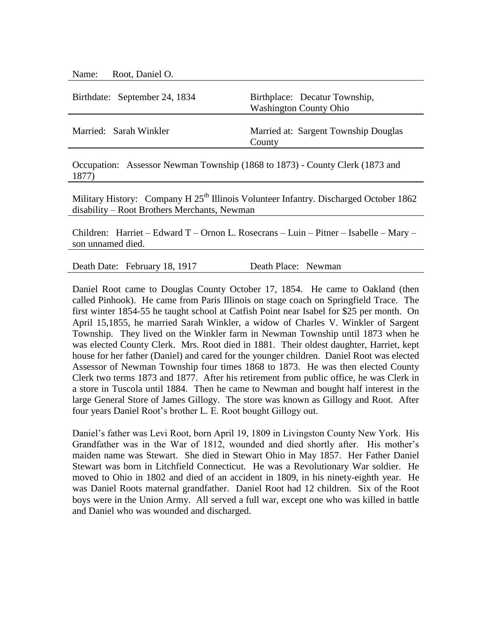Name: Root, Daniel O.

| Birthdate: September 24, 1834 | Birthplace: Decatur Township,<br><b>Washington County Ohio</b> |
|-------------------------------|----------------------------------------------------------------|
| Married: Sarah Winkler        | Married at: Sargent Township Douglas<br>County                 |

Occupation: Assessor Newman Township (1868 to 1873) - County Clerk (1873 and 1877)

Military History: Company H 25<sup>th</sup> Illinois Volunteer Infantry. Discharged October 1862 disability – Root Brothers Merchants, Newman

Children: Harriet – Edward T – Ornon L. Rosecrans – Luin – Pitner – Isabelle – Mary – son unnamed died.

Death Date: February 18, 1917 Death Place: Newman

Daniel Root came to Douglas County October 17, 1854. He came to Oakland (then called Pinhook). He came from Paris Illinois on stage coach on Springfield Trace. The first winter 1854-55 he taught school at Catfish Point near Isabel for \$25 per month. On April 15,1855, he married Sarah Winkler, a widow of Charles V. Winkler of Sargent Township. They lived on the Winkler farm in Newman Township until 1873 when he was elected County Clerk. Mrs. Root died in 1881. Their oldest daughter, Harriet, kept house for her father (Daniel) and cared for the younger children. Daniel Root was elected Assessor of Newman Township four times 1868 to 1873. He was then elected County Clerk two terms 1873 and 1877. After his retirement from public office, he was Clerk in a store in Tuscola until 1884. Then he came to Newman and bought half interest in the large General Store of James Gillogy. The store was known as Gillogy and Root. After four years Daniel Root's brother L. E. Root bought Gillogy out.

Daniel's father was Levi Root, born April 19, 1809 in Livingston County New York. His Grandfather was in the War of 1812, wounded and died shortly after. His mother's maiden name was Stewart. She died in Stewart Ohio in May 1857. Her Father Daniel Stewart was born in Litchfield Connecticut. He was a Revolutionary War soldier. He moved to Ohio in 1802 and died of an accident in 1809, in his ninety-eighth year. He was Daniel Roots maternal grandfather. Daniel Root had 12 children. Six of the Root boys were in the Union Army. All served a full war, except one who was killed in battle and Daniel who was wounded and discharged.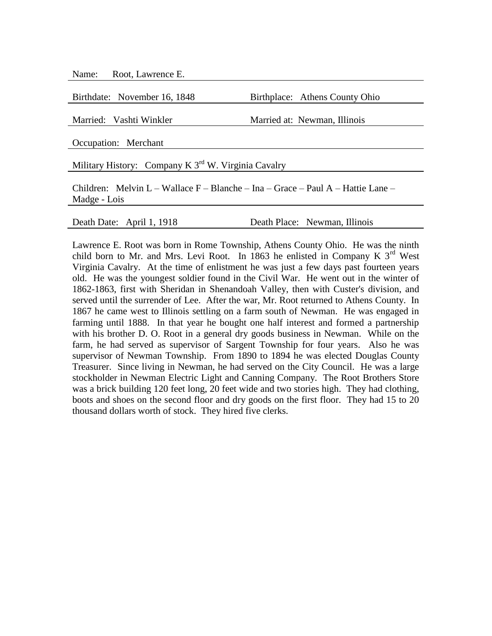Name: Root, Lawrence E.

Birthdate: November 16, 1848 Birthplace: Athens County Ohio

Married: Vashti Winkler Married at: Newman, Illinois

Occupation: Merchant

Military History: Company K 3<sup>rd</sup> W. Virginia Cavalry

Children: Melvin L – Wallace F – Blanche – Ina – Grace – Paul A – Hattie Lane – Madge - Lois

Death Date: April 1, 1918 Death Place: Newman, Illinois

Lawrence E. Root was born in Rome Township, Athens County Ohio. He was the ninth child born to Mr. and Mrs. Levi Root. In 1863 he enlisted in Company K  $3<sup>rd</sup>$  West Virginia Cavalry. At the time of enlistment he was just a few days past fourteen years old. He was the youngest soldier found in the Civil War. He went out in the winter of 1862-1863, first with Sheridan in Shenandoah Valley, then with Custer's division, and served until the surrender of Lee. After the war, Mr. Root returned to Athens County. In 1867 he came west to Illinois settling on a farm south of Newman. He was engaged in farming until 1888. In that year he bought one half interest and formed a partnership with his brother D. O. Root in a general dry goods business in Newman. While on the farm, he had served as supervisor of Sargent Township for four years. Also he was supervisor of Newman Township. From 1890 to 1894 he was elected Douglas County Treasurer. Since living in Newman, he had served on the City Council. He was a large stockholder in Newman Electric Light and Canning Company. The Root Brothers Store was a brick building 120 feet long, 20 feet wide and two stories high. They had clothing, boots and shoes on the second floor and dry goods on the first floor. They had 15 to 20 thousand dollars worth of stock. They hired five clerks.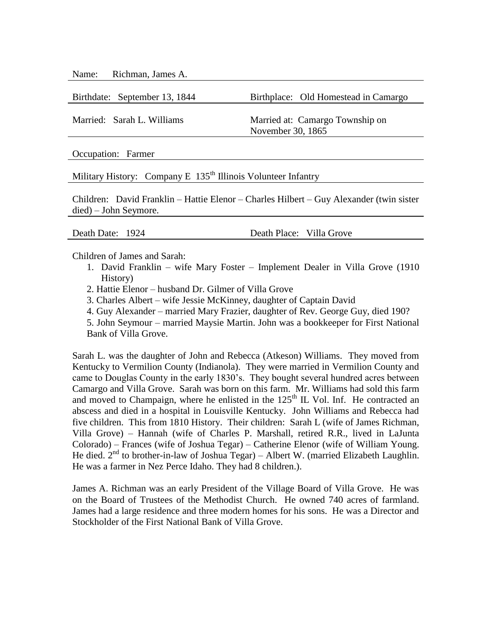Name: Richman, James A.

Birthdate: September 13, 1844 Birthplace: Old Homestead in Camargo

Married: Sarah L. Williams Married at: Camargo Township on November 30, 1865

Occupation: Farmer

Military History: Company E  $135<sup>th</sup>$  Illinois Volunteer Infantry

Children: David Franklin – Hattie Elenor – Charles Hilbert – Guy Alexander (twin sister died) – John Seymore.

Death Date: 1924 Death Place: Villa Grove

Children of James and Sarah:

- 1. David Franklin wife Mary Foster Implement Dealer in Villa Grove (1910 History)
- 2. Hattie Elenor husband Dr. Gilmer of Villa Grove
- 3. Charles Albert wife Jessie McKinney, daughter of Captain David
- 4. Guy Alexander married Mary Frazier, daughter of Rev. George Guy, died 190?
- 5. John Seymour married Maysie Martin. John was a bookkeeper for First National Bank of Villa Grove.

Sarah L. was the daughter of John and Rebecca (Atkeson) Williams. They moved from Kentucky to Vermilion County (Indianola). They were married in Vermilion County and came to Douglas County in the early 1830's. They bought several hundred acres between Camargo and Villa Grove. Sarah was born on this farm. Mr. Williams had sold this farm and moved to Champaign, where he enlisted in the  $125<sup>th</sup>$  IL Vol. Inf. He contracted an abscess and died in a hospital in Louisville Kentucky. John Williams and Rebecca had five children. This from 1810 History. Their children: Sarah L (wife of James Richman, Villa Grove) – Hannah (wife of Charles P. Marshall, retired R.R., lived in LaJunta Colorado) – Frances (wife of Joshua Tegar) – Catherine Elenor (wife of William Young. He died.  $2<sup>nd</sup>$  to brother-in-law of Joshua Tegar) – Albert W. (married Elizabeth Laughlin. He was a farmer in Nez Perce Idaho. They had 8 children.).

James A. Richman was an early President of the Village Board of Villa Grove. He was on the Board of Trustees of the Methodist Church. He owned 740 acres of farmland. James had a large residence and three modern homes for his sons. He was a Director and Stockholder of the First National Bank of Villa Grove.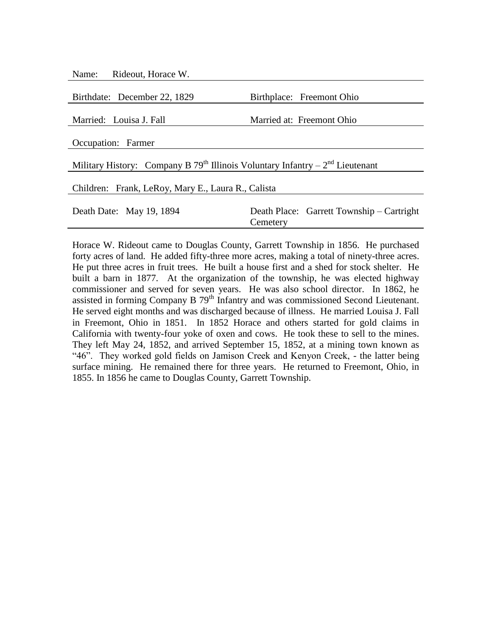| Name: Rideout, Horace W.                                                                    |                                                       |  |  |
|---------------------------------------------------------------------------------------------|-------------------------------------------------------|--|--|
| Birthdate: December 22, 1829                                                                | Birthplace: Freemont Ohio                             |  |  |
|                                                                                             |                                                       |  |  |
| Married: Louisa J. Fall                                                                     | Married at: Freemont Ohio                             |  |  |
| Occupation: Farmer                                                                          |                                                       |  |  |
| Military History: Company B 79 <sup>th</sup> Illinois Voluntary Infantry – $2nd$ Lieutenant |                                                       |  |  |
| Children: Frank, LeRoy, Mary E., Laura R., Calista                                          |                                                       |  |  |
| Death Date: May 19, 1894                                                                    | Death Place: Garrett Township – Cartright<br>Cemetery |  |  |

Horace W. Rideout came to Douglas County, Garrett Township in 1856. He purchased forty acres of land. He added fifty-three more acres, making a total of ninety-three acres. He put three acres in fruit trees. He built a house first and a shed for stock shelter. He built a barn in 1877. At the organization of the township, he was elected highway commissioner and served for seven years. He was also school director. In 1862, he assisted in forming Company B 79<sup>th</sup> Infantry and was commissioned Second Lieutenant. He served eight months and was discharged because of illness. He married Louisa J. Fall in Freemont, Ohio in 1851. In 1852 Horace and others started for gold claims in California with twenty-four yoke of oxen and cows. He took these to sell to the mines. They left May 24, 1852, and arrived September 15, 1852, at a mining town known as "46". They worked gold fields on Jamison Creek and Kenyon Creek, - the latter being surface mining. He remained there for three years. He returned to Freemont, Ohio, in 1855. In 1856 he came to Douglas County, Garrett Township.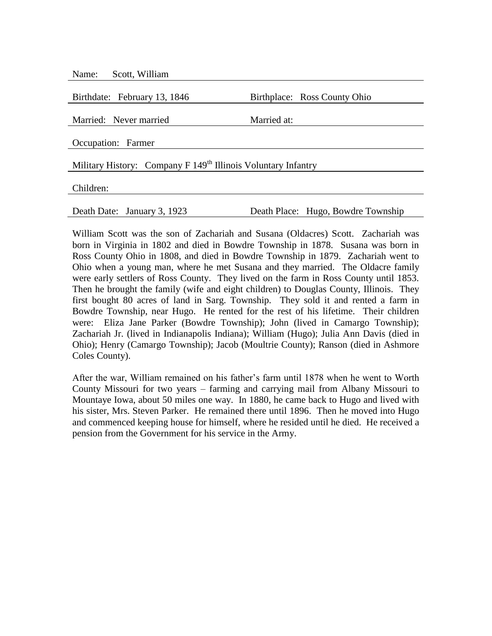| Scott, William<br>Name:                                                   |                                    |
|---------------------------------------------------------------------------|------------------------------------|
| Birthdate: February 13, 1846                                              | Birthplace: Ross County Ohio       |
| Married: Never married                                                    | Married at:                        |
| Occupation: Farmer                                                        |                                    |
| Military History: Company F 149 <sup>th</sup> Illinois Voluntary Infantry |                                    |
| Children:                                                                 |                                    |
| Death Date: January 3, 1923                                               | Death Place: Hugo, Bowdre Township |

William Scott was the son of Zachariah and Susana (Oldacres) Scott. Zachariah was born in Virginia in 1802 and died in Bowdre Township in 1878. Susana was born in Ross County Ohio in 1808, and died in Bowdre Township in 1879. Zachariah went to Ohio when a young man, where he met Susana and they married. The Oldacre family were early settlers of Ross County. They lived on the farm in Ross County until 1853. Then he brought the family (wife and eight children) to Douglas County, Illinois. They first bought 80 acres of land in Sarg. Township. They sold it and rented a farm in Bowdre Township, near Hugo. He rented for the rest of his lifetime. Their children were: Eliza Jane Parker (Bowdre Township); John (lived in Camargo Township); Zachariah Jr. (lived in Indianapolis Indiana); William (Hugo); Julia Ann Davis (died in Ohio); Henry (Camargo Township); Jacob (Moultrie County); Ranson (died in Ashmore Coles County).

After the war, William remained on his father's farm until 1878 when he went to Worth County Missouri for two years – farming and carrying mail from Albany Missouri to Mountaye Iowa, about 50 miles one way. In 1880, he came back to Hugo and lived with his sister, Mrs. Steven Parker. He remained there until 1896. Then he moved into Hugo and commenced keeping house for himself, where he resided until he died. He received a pension from the Government for his service in the Army.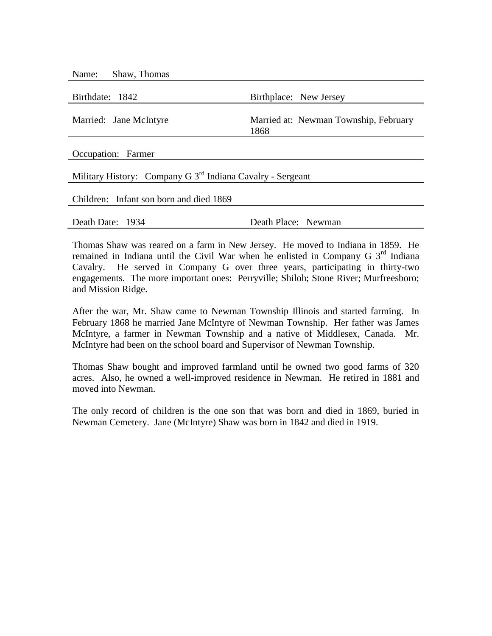| Name:<br>Shaw, Thomas                                                  |                                               |
|------------------------------------------------------------------------|-----------------------------------------------|
| Birthdate: 1842                                                        | Birthplace: New Jersey                        |
| Married: Jane McIntyre                                                 | Married at: Newman Township, February<br>1868 |
| Occupation: Farmer                                                     |                                               |
| Military History: Company G 3 <sup>rd</sup> Indiana Cavalry - Sergeant |                                               |
| Children: Infant son born and died 1869                                |                                               |
| Death Date: 1934                                                       | Death Place: Newman                           |

Thomas Shaw was reared on a farm in New Jersey. He moved to Indiana in 1859. He remained in Indiana until the Civil War when he enlisted in Company G  $3<sup>rd</sup>$  Indiana Cavalry. He served in Company G over three years, participating in thirty-two engagements. The more important ones: Perryville; Shiloh; Stone River; Murfreesboro; and Mission Ridge.

After the war, Mr. Shaw came to Newman Township Illinois and started farming. In February 1868 he married Jane McIntyre of Newman Township. Her father was James McIntyre, a farmer in Newman Township and a native of Middlesex, Canada. Mr. McIntyre had been on the school board and Supervisor of Newman Township.

Thomas Shaw bought and improved farmland until he owned two good farms of 320 acres. Also, he owned a well-improved residence in Newman. He retired in 1881 and moved into Newman.

The only record of children is the one son that was born and died in 1869, buried in Newman Cemetery. Jane (McIntyre) Shaw was born in 1842 and died in 1919.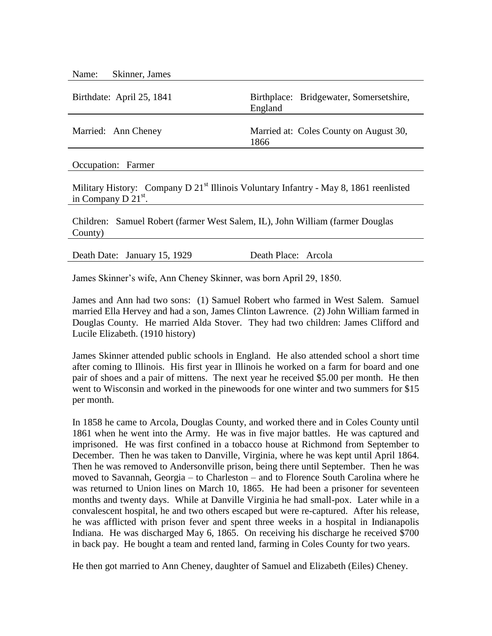| Skinner, James<br>Name:   |                                                    |
|---------------------------|----------------------------------------------------|
| Birthdate: April 25, 1841 | Birthplace: Bridgewater, Somersetshire,<br>England |
| Married: Ann Cheney       | Married at: Coles County on August 30,<br>1866     |
| Occupation: Farmer        |                                                    |

Military History: Company D  $21<sup>st</sup>$  Illinois Voluntary Infantry - May 8, 1861 reenlisted in Company D 21st.

Children: Samuel Robert (farmer West Salem, IL), John William (farmer Douglas County)

|  | Death Date: January 15, 1929 | Death Place: Arcola |  |  |
|--|------------------------------|---------------------|--|--|
|--|------------------------------|---------------------|--|--|

James Skinner's wife, Ann Cheney Skinner, was born April 29, 1850.

James and Ann had two sons: (1) Samuel Robert who farmed in West Salem. Samuel married Ella Hervey and had a son, James Clinton Lawrence. (2) John William farmed in Douglas County. He married Alda Stover. They had two children: James Clifford and Lucile Elizabeth. (1910 history)

James Skinner attended public schools in England. He also attended school a short time after coming to Illinois. His first year in Illinois he worked on a farm for board and one pair of shoes and a pair of mittens. The next year he received \$5.00 per month. He then went to Wisconsin and worked in the pinewoods for one winter and two summers for \$15 per month.

In 1858 he came to Arcola, Douglas County, and worked there and in Coles County until 1861 when he went into the Army. He was in five major battles. He was captured and imprisoned. He was first confined in a tobacco house at Richmond from September to December. Then he was taken to Danville, Virginia, where he was kept until April 1864. Then he was removed to Andersonville prison, being there until September. Then he was moved to Savannah, Georgia – to Charleston – and to Florence South Carolina where he was returned to Union lines on March 10, 1865. He had been a prisoner for seventeen months and twenty days. While at Danville Virginia he had small-pox. Later while in a convalescent hospital, he and two others escaped but were re-captured. After his release, he was afflicted with prison fever and spent three weeks in a hospital in Indianapolis Indiana. He was discharged May 6, 1865. On receiving his discharge he received \$700 in back pay. He bought a team and rented land, farming in Coles County for two years.

He then got married to Ann Cheney, daughter of Samuel and Elizabeth (Eiles) Cheney.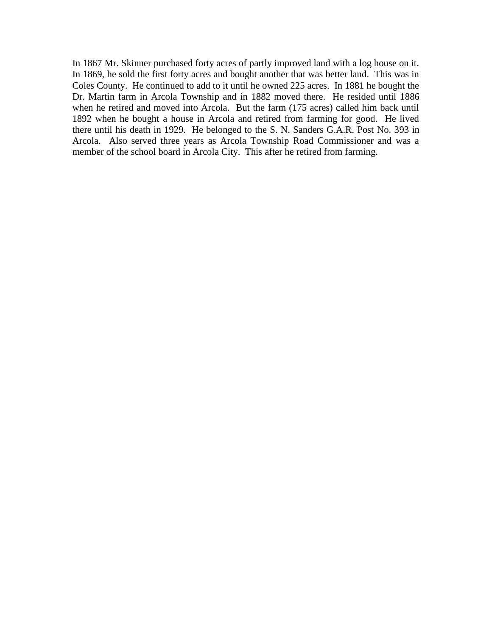In 1867 Mr. Skinner purchased forty acres of partly improved land with a log house on it. In 1869, he sold the first forty acres and bought another that was better land. This was in Coles County. He continued to add to it until he owned 225 acres. In 1881 he bought the Dr. Martin farm in Arcola Township and in 1882 moved there. He resided until 1886 when he retired and moved into Arcola. But the farm (175 acres) called him back until 1892 when he bought a house in Arcola and retired from farming for good. He lived there until his death in 1929. He belonged to the S. N. Sanders G.A.R. Post No. 393 in Arcola. Also served three years as Arcola Township Road Commissioner and was a member of the school board in Arcola City. This after he retired from farming.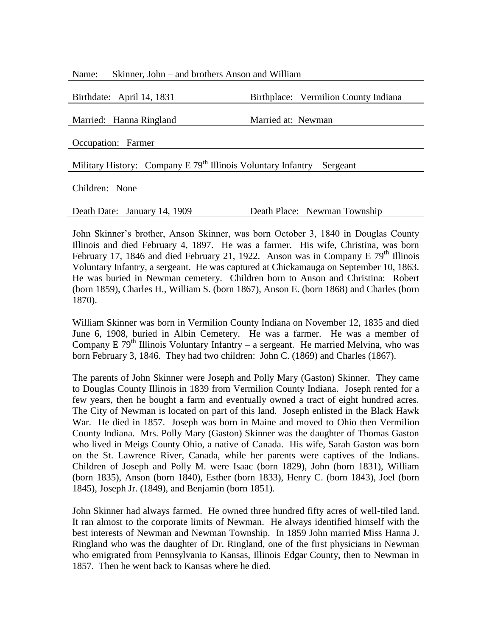| Skinner, John – and brothers Anson and William<br>Name:                   |                                      |  |  |
|---------------------------------------------------------------------------|--------------------------------------|--|--|
| Birthdate: April 14, 1831                                                 | Birthplace: Vermilion County Indiana |  |  |
| Married: Hanna Ringland                                                   | Married at: Newman                   |  |  |
| Occupation: Farmer                                                        |                                      |  |  |
| Military History: Company E $79th$ Illinois Voluntary Infantry – Sergeant |                                      |  |  |
| Children: None                                                            |                                      |  |  |
| Death Date: January 14, 1909                                              | Death Place: Newman Township         |  |  |

John Skinner's brother, Anson Skinner, was born October 3, 1840 in Douglas County Illinois and died February 4, 1897. He was a farmer. His wife, Christina, was born February 17, 1846 and died February 21, 1922. Anson was in Company E  $79<sup>th</sup>$  Illinois Voluntary Infantry, a sergeant. He was captured at Chickamauga on September 10, 1863. He was buried in Newman cemetery. Children born to Anson and Christina: Robert (born 1859), Charles H., William S. (born 1867), Anson E. (born 1868) and Charles (born 1870).

William Skinner was born in Vermilion County Indiana on November 12, 1835 and died June 6, 1908, buried in Albin Cemetery. He was a farmer. He was a member of Company E 79<sup>th</sup> Illinois Voluntary Infantry – a sergeant. He married Melvina, who was born February 3, 1846. They had two children: John C. (1869) and Charles (1867).

The parents of John Skinner were Joseph and Polly Mary (Gaston) Skinner. They came to Douglas County Illinois in 1839 from Vermilion County Indiana. Joseph rented for a few years, then he bought a farm and eventually owned a tract of eight hundred acres. The City of Newman is located on part of this land. Joseph enlisted in the Black Hawk War. He died in 1857. Joseph was born in Maine and moved to Ohio then Vermilion County Indiana. Mrs. Polly Mary (Gaston) Skinner was the daughter of Thomas Gaston who lived in Meigs County Ohio, a native of Canada. His wife, Sarah Gaston was born on the St. Lawrence River, Canada, while her parents were captives of the Indians. Children of Joseph and Polly M. were Isaac (born 1829), John (born 1831), William (born 1835), Anson (born 1840), Esther (born 1833), Henry C. (born 1843), Joel (born 1845), Joseph Jr. (1849), and Benjamin (born 1851).

John Skinner had always farmed. He owned three hundred fifty acres of well-tiled land. It ran almost to the corporate limits of Newman. He always identified himself with the best interests of Newman and Newman Township. In 1859 John married Miss Hanna J. Ringland who was the daughter of Dr. Ringland, one of the first physicians in Newman who emigrated from Pennsylvania to Kansas, Illinois Edgar County, then to Newman in 1857. Then he went back to Kansas where he died.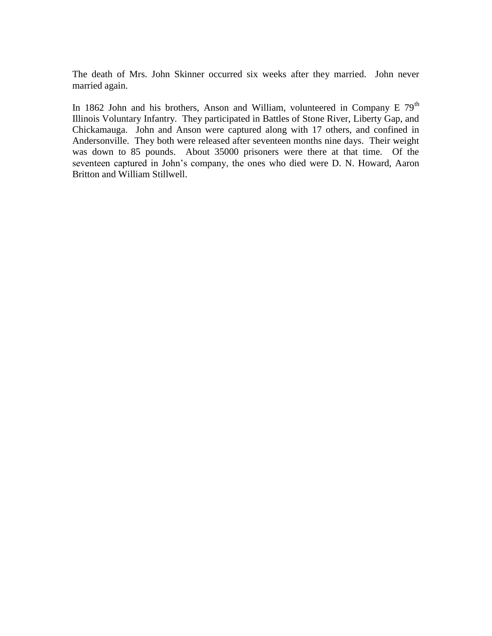The death of Mrs. John Skinner occurred six weeks after they married. John never married again.

In 1862 John and his brothers, Anson and William, volunteered in Company E  $79<sup>th</sup>$ Illinois Voluntary Infantry. They participated in Battles of Stone River, Liberty Gap, and Chickamauga. John and Anson were captured along with 17 others, and confined in Andersonville. They both were released after seventeen months nine days. Their weight was down to 85 pounds. About 35000 prisoners were there at that time. Of the seventeen captured in John's company, the ones who died were D. N. Howard, Aaron Britton and William Stillwell.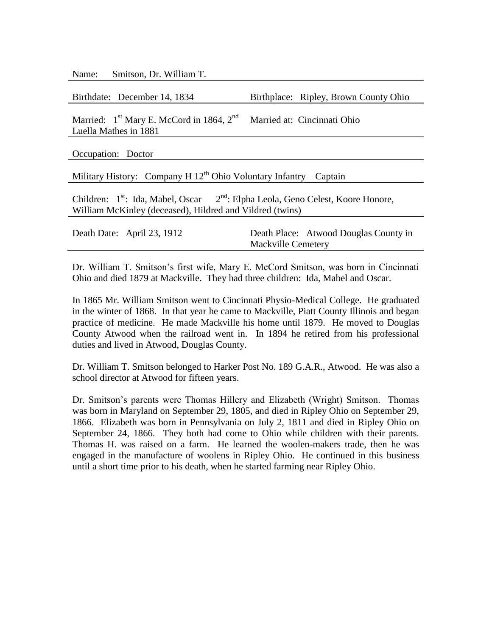Name: Smitson, Dr. William T.

Married:  $1<sup>st</sup>$  Mary E. McCord in 1864,  $2<sup>nd</sup>$ Luella Mathes in 1881 Married at: Cincinnati Ohio

Occupation: Doctor

Military History: Company H  $12<sup>th</sup>$  Ohio Voluntary Infantry – Captain

Children:  $1<sup>st</sup>$ : Ida, Mabel, Oscar  $2<sup>nd</sup>$ : Elpha Leola, Geno Celest, Koore Honore, William McKinley (deceased), Hildred and Vildred (twins)

| Death Date: April 23, 1912 |                           | Death Place: Atwood Douglas County in |
|----------------------------|---------------------------|---------------------------------------|
|                            | <b>Mackville Cemetery</b> |                                       |

Dr. William T. Smitson's first wife, Mary E. McCord Smitson, was born in Cincinnati Ohio and died 1879 at Mackville. They had three children: Ida, Mabel and Oscar.

In 1865 Mr. William Smitson went to Cincinnati Physio-Medical College. He graduated in the winter of 1868. In that year he came to Mackville, Piatt County Illinois and began practice of medicine. He made Mackville his home until 1879. He moved to Douglas County Atwood when the railroad went in. In 1894 he retired from his professional duties and lived in Atwood, Douglas County.

Dr. William T. Smitson belonged to Harker Post No. 189 G.A.R., Atwood. He was also a school director at Atwood for fifteen years.

Dr. Smitson's parents were Thomas Hillery and Elizabeth (Wright) Smitson. Thomas was born in Maryland on September 29, 1805, and died in Ripley Ohio on September 29, 1866. Elizabeth was born in Pennsylvania on July 2, 1811 and died in Ripley Ohio on September 24, 1866. They both had come to Ohio while children with their parents. Thomas H. was raised on a farm. He learned the woolen-makers trade, then he was engaged in the manufacture of woolens in Ripley Ohio. He continued in this business until a short time prior to his death, when he started farming near Ripley Ohio.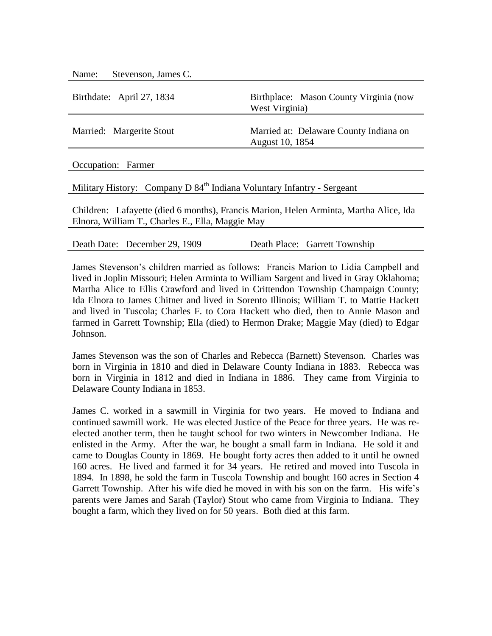| Stevenson, James C.<br>Name:                                                                                                              |                                                           |  |
|-------------------------------------------------------------------------------------------------------------------------------------------|-----------------------------------------------------------|--|
| Birthdate: April 27, 1834                                                                                                                 | Birthplace: Mason County Virginia (now<br>West Virginia)  |  |
| Married: Margerite Stout                                                                                                                  | Married at: Delaware County Indiana on<br>August 10, 1854 |  |
| Occupation: Farmer                                                                                                                        |                                                           |  |
| Military History: Company D 84 <sup>th</sup> Indiana Voluntary Infantry - Sergeant                                                        |                                                           |  |
| Children: Lafayette (died 6 months), Francis Marion, Helen Arminta, Martha Alice, Ida<br>Elnora, William T., Charles E., Ella, Maggie May |                                                           |  |
|                                                                                                                                           |                                                           |  |

James Stevenson's children married as follows: Francis Marion to Lidia Campbell and lived in Joplin Missouri; Helen Arminta to William Sargent and lived in Gray Oklahoma; Martha Alice to Ellis Crawford and lived in Crittendon Township Champaign County; Ida Elnora to James Chitner and lived in Sorento Illinois; William T. to Mattie Hackett and lived in Tuscola; Charles F. to Cora Hackett who died, then to Annie Mason and farmed in Garrett Township; Ella (died) to Hermon Drake; Maggie May (died) to Edgar Johnson.

Death Date: December 29, 1909 Death Place: Garrett Township

James Stevenson was the son of Charles and Rebecca (Barnett) Stevenson. Charles was born in Virginia in 1810 and died in Delaware County Indiana in 1883. Rebecca was born in Virginia in 1812 and died in Indiana in 1886. They came from Virginia to Delaware County Indiana in 1853.

James C. worked in a sawmill in Virginia for two years. He moved to Indiana and continued sawmill work. He was elected Justice of the Peace for three years. He was reelected another term, then he taught school for two winters in Newcomber Indiana. He enlisted in the Army. After the war, he bought a small farm in Indiana. He sold it and came to Douglas County in 1869. He bought forty acres then added to it until he owned 160 acres. He lived and farmed it for 34 years. He retired and moved into Tuscola in 1894. In 1898, he sold the farm in Tuscola Township and bought 160 acres in Section 4 Garrett Township. After his wife died he moved in with his son on the farm. His wife's parents were James and Sarah (Taylor) Stout who came from Virginia to Indiana. They bought a farm, which they lived on for 50 years. Both died at this farm.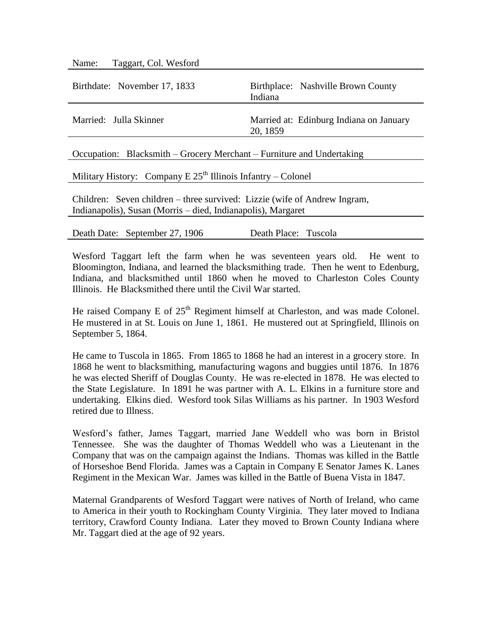| Taggart, Col. Wesford<br>Name:                                           |                                                     |  |  |
|--------------------------------------------------------------------------|-----------------------------------------------------|--|--|
| Birthdate: November 17, 1833                                             | Birthplace: Nashville Brown County<br>Indiana       |  |  |
| Married: Julla Skinner                                                   | Married at: Edinburg Indiana on January<br>20, 1859 |  |  |
| Occupation: Blacksmith – Grocery Merchant – Furniture and Undertaking    |                                                     |  |  |
| Military History: Company E $25th$ Illinois Infantry – Colonel           |                                                     |  |  |
| Children: Savon objector three survived: Lizzie (wife of Andrew Ingress) |                                                     |  |  |

Children: Seven children – three survived: Lizzie (wife of Andrew Ingram, Indianapolis), Susan (Morris – died, Indianapolis), Margaret

| Death Date: September 27, 1906 | Death Place: Tuscola |  |
|--------------------------------|----------------------|--|
|                                |                      |  |

Wesford Taggart left the farm when he was seventeen years old. He went to Bloomington, Indiana, and learned the blacksmithing trade. Then he went to Edenburg, Indiana, and blacksmithed until 1860 when he moved to Charleston Coles County Illinois. He Blacksmithed there until the Civil War started.

He raised Company E of  $25<sup>th</sup>$  Regiment himself at Charleston, and was made Colonel. He mustered in at St. Louis on June 1, 1861. He mustered out at Springfield, Illinois on September 5, 1864.

He came to Tuscola in 1865. From 1865 to 1868 he had an interest in a grocery store. In 1868 he went to blacksmithing, manufacturing wagons and buggies until 1876. In 1876 he was elected Sheriff of Douglas County. He was re-elected in 1878. He was elected to the State Legislature. In 1891 he was partner with A. L. Elkins in a furniture store and undertaking. Elkins died. Wesford took Silas Williams as his partner. In 1903 Wesford retired due to Illness.

Wesford's father, James Taggart, married Jane Weddell who was born in Bristol Tennessee. She was the daughter of Thomas Weddell who was a Lieutenant in the Company that was on the campaign against the Indians. Thomas was killed in the Battle of Horseshoe Bend Florida. James was a Captain in Company E Senator James K. Lanes Regiment in the Mexican War. James was killed in the Battle of Buena Vista in 1847.

Maternal Grandparents of Wesford Taggart were natives of North of Ireland, who came to America in their youth to Rockingham County Virginia. They later moved to Indiana territory, Crawford County Indiana. Later they moved to Brown County Indiana where Mr. Taggart died at the age of 92 years.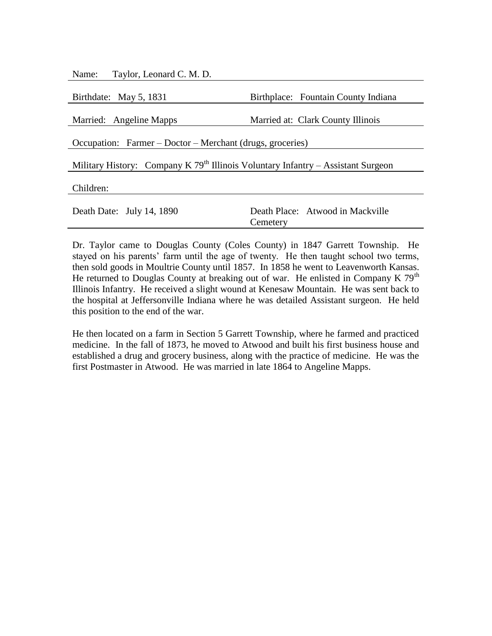| Taylor, Leonard C. M. D.<br>Name:                                                  |                                     |  |
|------------------------------------------------------------------------------------|-------------------------------------|--|
|                                                                                    |                                     |  |
| Birthdate: May 5, 1831                                                             | Birthplace: Fountain County Indiana |  |
|                                                                                    |                                     |  |
| Married: Angeline Mapps                                                            | Married at: Clark County Illinois   |  |
|                                                                                    |                                     |  |
| Occupation: Farmer – Doctor – Merchant (drugs, groceries)                          |                                     |  |
|                                                                                    |                                     |  |
| Military History: Company K $79th$ Illinois Voluntary Infantry – Assistant Surgeon |                                     |  |
|                                                                                    |                                     |  |
| Children:                                                                          |                                     |  |
|                                                                                    |                                     |  |
| Death Date: July 14, 1890                                                          | Death Place: Atwood in Mackville    |  |
|                                                                                    | Cemetery                            |  |

Dr. Taylor came to Douglas County (Coles County) in 1847 Garrett Township. He stayed on his parents' farm until the age of twenty. He then taught school two terms, then sold goods in Moultrie County until 1857. In 1858 he went to Leavenworth Kansas. He returned to Douglas County at breaking out of war. He enlisted in Company K  $79<sup>th</sup>$ Illinois Infantry. He received a slight wound at Kenesaw Mountain. He was sent back to the hospital at Jeffersonville Indiana where he was detailed Assistant surgeon. He held this position to the end of the war.

He then located on a farm in Section 5 Garrett Township, where he farmed and practiced medicine. In the fall of 1873, he moved to Atwood and built his first business house and established a drug and grocery business, along with the practice of medicine. He was the first Postmaster in Atwood. He was married in late 1864 to Angeline Mapps.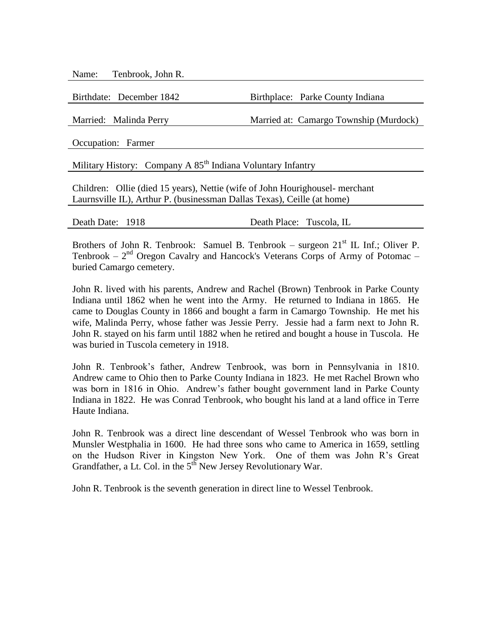Name: Tenbrook, John R.

Birthdate: December 1842 Birthplace: Parke County Indiana

Married: Malinda Perry Married at: Camargo Township (Murdock)

Occupation: Farmer

Military History: Company A  $85<sup>th</sup>$  Indiana Voluntary Infantry

Children: Ollie (died 15 years), Nettie (wife of John Hourighousel- merchant Laurnsville IL), Arthur P. (businessman Dallas Texas), Ceille (at home)

|  | Death Date: |  | 1918 |
|--|-------------|--|------|
|--|-------------|--|------|

Death Place: Tuscola, IL

Brothers of John R. Tenbrook: Samuel B. Tenbrook – surgeon  $21<sup>st</sup>$  IL Inf.; Oliver P. Tenbrook  $-2<sup>nd</sup>$  Oregon Cavalry and Hancock's Veterans Corps of Army of Potomac  $$ buried Camargo cemetery.

John R. lived with his parents, Andrew and Rachel (Brown) Tenbrook in Parke County Indiana until 1862 when he went into the Army. He returned to Indiana in 1865. He came to Douglas County in 1866 and bought a farm in Camargo Township. He met his wife, Malinda Perry, whose father was Jessie Perry. Jessie had a farm next to John R. John R. stayed on his farm until 1882 when he retired and bought a house in Tuscola. He was buried in Tuscola cemetery in 1918.

John R. Tenbrook's father, Andrew Tenbrook, was born in Pennsylvania in 1810. Andrew came to Ohio then to Parke County Indiana in 1823. He met Rachel Brown who was born in 1816 in Ohio. Andrew's father bought government land in Parke County Indiana in 1822. He was Conrad Tenbrook, who bought his land at a land office in Terre Haute Indiana.

John R. Tenbrook was a direct line descendant of Wessel Tenbrook who was born in Munsler Westphalia in 1600. He had three sons who came to America in 1659, settling on the Hudson River in Kingston New York. One of them was John R's Great Grandfather, a Lt. Col. in the  $5^{th}$  New Jersey Revolutionary War.

John R. Tenbrook is the seventh generation in direct line to Wessel Tenbrook.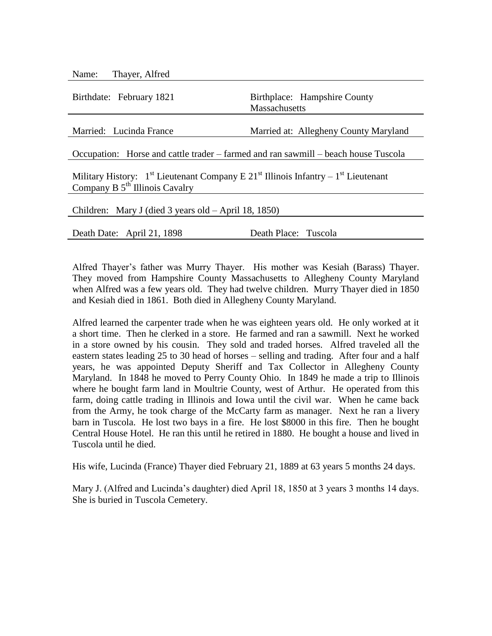| Thayer, Alfred<br>Name:                                                                                                                      |                                                      |  |  |
|----------------------------------------------------------------------------------------------------------------------------------------------|------------------------------------------------------|--|--|
| Birthdate: February 1821                                                                                                                     | Birthplace: Hampshire County<br><b>Massachusetts</b> |  |  |
| Married: Lucinda France                                                                                                                      | Married at: Allegheny County Maryland                |  |  |
| Occupation: Horse and cattle trader – farmed and ran sawmill – beach house Tuscola                                                           |                                                      |  |  |
| Military History: $1^{st}$ Lieutenant Company E 21 <sup>st</sup> Illinois Infantry – $1^{st}$ Lieutenant<br>Company B $5th$ Illinois Cavalry |                                                      |  |  |
| Children: Mary J (died 3 years old – April 18, 1850)                                                                                         |                                                      |  |  |
| Death Date: April 21, 1898                                                                                                                   | Death Place: Tuscola                                 |  |  |
|                                                                                                                                              |                                                      |  |  |

Alfred Thayer's father was Murry Thayer. His mother was Kesiah (Barass) Thayer. They moved from Hampshire County Massachusetts to Allegheny County Maryland when Alfred was a few years old. They had twelve children. Murry Thayer died in 1850 and Kesiah died in 1861. Both died in Allegheny County Maryland.

Alfred learned the carpenter trade when he was eighteen years old. He only worked at it a short time. Then he clerked in a store. He farmed and ran a sawmill. Next he worked in a store owned by his cousin. They sold and traded horses. Alfred traveled all the eastern states leading 25 to 30 head of horses – selling and trading. After four and a half years, he was appointed Deputy Sheriff and Tax Collector in Allegheny County Maryland. In 1848 he moved to Perry County Ohio. In 1849 he made a trip to Illinois where he bought farm land in Moultrie County, west of Arthur. He operated from this farm, doing cattle trading in Illinois and Iowa until the civil war. When he came back from the Army, he took charge of the McCarty farm as manager. Next he ran a livery barn in Tuscola. He lost two bays in a fire. He lost \$8000 in this fire. Then he bought Central House Hotel. He ran this until he retired in 1880. He bought a house and lived in Tuscola until he died.

His wife, Lucinda (France) Thayer died February 21, 1889 at 63 years 5 months 24 days.

Mary J. (Alfred and Lucinda's daughter) died April 18, 1850 at 3 years 3 months 14 days. She is buried in Tuscola Cemetery.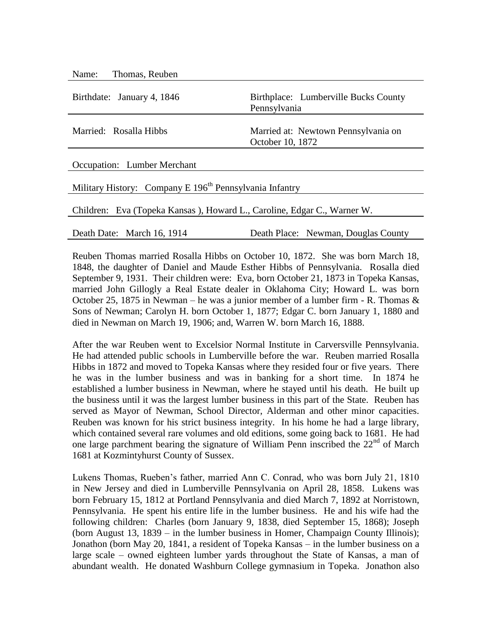| Name: Thomas, Reuben                                                    |                                                         |  |  |
|-------------------------------------------------------------------------|---------------------------------------------------------|--|--|
| Birthdate: January 4, 1846                                              | Birthplace: Lumberville Bucks County<br>Pennsylvania    |  |  |
| Married: Rosalla Hibbs                                                  | Married at: Newtown Pennsylvania on<br>October 10, 1872 |  |  |
| Occupation: Lumber Merchant                                             |                                                         |  |  |
| Military History: Company E 196 <sup>th</sup> Pennsylvania Infantry     |                                                         |  |  |
| Children: Eva (Topeka Kansas), Howard L., Caroline, Edgar C., Warner W. |                                                         |  |  |
| Death Date: March 16, 1914                                              | Death Place: Newman, Douglas County                     |  |  |

Reuben Thomas married Rosalla Hibbs on October 10, 1872. She was born March 18, 1848, the daughter of Daniel and Maude Esther Hibbs of Pennsylvania. Rosalla died September 9, 1931. Their children were: Eva, born October 21, 1873 in Topeka Kansas, married John Gillogly a Real Estate dealer in Oklahoma City; Howard L. was born October 25, 1875 in Newman – he was a junior member of a lumber firm - R. Thomas  $\&$ Sons of Newman; Carolyn H. born October 1, 1877; Edgar C. born January 1, 1880 and died in Newman on March 19, 1906; and, Warren W. born March 16, 1888.

After the war Reuben went to Excelsior Normal Institute in Carversville Pennsylvania. He had attended public schools in Lumberville before the war. Reuben married Rosalla Hibbs in 1872 and moved to Topeka Kansas where they resided four or five years. There he was in the lumber business and was in banking for a short time. In 1874 he established a lumber business in Newman, where he stayed until his death. He built up the business until it was the largest lumber business in this part of the State. Reuben has served as Mayor of Newman, School Director, Alderman and other minor capacities. Reuben was known for his strict business integrity. In his home he had a large library, which contained several rare volumes and old editions, some going back to 1681. He had one large parchment bearing the signature of William Penn inscribed the  $22<sup>nd</sup>$  of March 1681 at Kozmintyhurst County of Sussex.

Lukens Thomas, Rueben's father, married Ann C. Conrad, who was born July 21, 1810 in New Jersey and died in Lumberville Pennsylvania on April 28, 1858. Lukens was born February 15, 1812 at Portland Pennsylvania and died March 7, 1892 at Norristown, Pennsylvania. He spent his entire life in the lumber business. He and his wife had the following children: Charles (born January 9, 1838, died September 15, 1868); Joseph (born August 13, 1839 – in the lumber business in Homer, Champaign County Illinois); Jonathon (born May 20, 1841, a resident of Topeka Kansas – in the lumber business on a large scale – owned eighteen lumber yards throughout the State of Kansas, a man of abundant wealth. He donated Washburn College gymnasium in Topeka. Jonathon also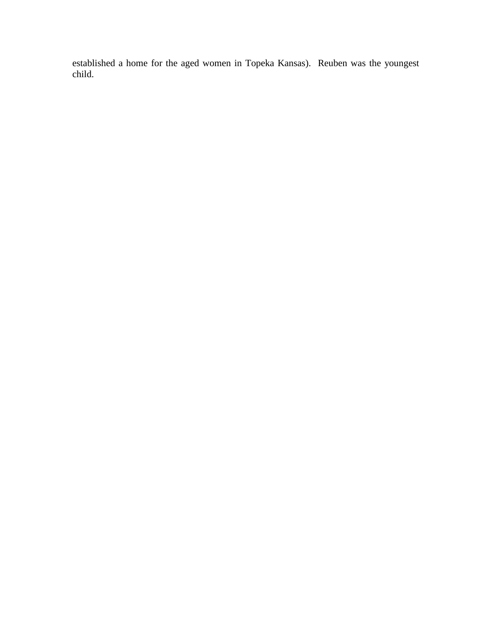established a home for the aged women in Topeka Kansas). Reuben was the youngest child.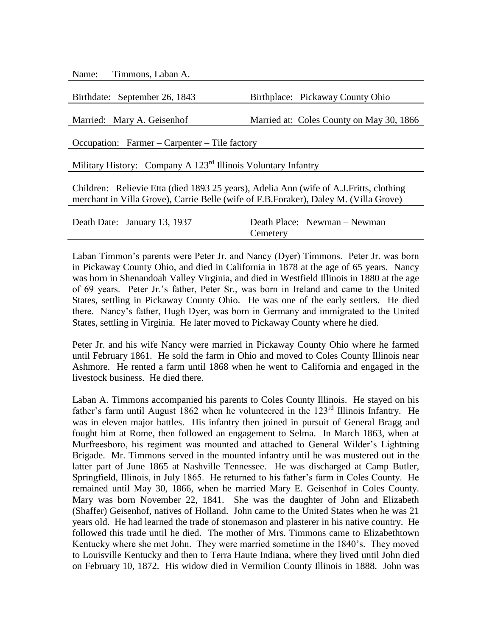Name: Timmons, Laban A.

Birthdate: September 26, 1843 Birthplace: Pickaway County Ohio

Married: Mary A. Geisenhof Married at: Coles County on May 30, 1866

Occupation: Farmer – Carpenter – Tile factory

Military History: Company A 123<sup>rd</sup> Illinois Voluntary Infantry

Children: Relievie Etta (died 1893 25 years), Adelia Ann (wife of A.J.Fritts, clothing merchant in Villa Grove), Carrie Belle (wife of F.B.Foraker), Daley M. (Villa Grove)

| Death Date: January 13, 1937 |          | Death Place: Newman – Newman |
|------------------------------|----------|------------------------------|
|                              | Cemetery |                              |

Laban Timmon's parents were Peter Jr. and Nancy (Dyer) Timmons. Peter Jr. was born in Pickaway County Ohio, and died in California in 1878 at the age of 65 years. Nancy was born in Shenandoah Valley Virginia, and died in Westfield Illinois in 1880 at the age of 69 years. Peter Jr.'s father, Peter Sr., was born in Ireland and came to the United States, settling in Pickaway County Ohio. He was one of the early settlers. He died there. Nancy's father, Hugh Dyer, was born in Germany and immigrated to the United States, settling in Virginia. He later moved to Pickaway County where he died.

Peter Jr. and his wife Nancy were married in Pickaway County Ohio where he farmed until February 1861. He sold the farm in Ohio and moved to Coles County Illinois near Ashmore. He rented a farm until 1868 when he went to California and engaged in the livestock business. He died there.

Laban A. Timmons accompanied his parents to Coles County Illinois. He stayed on his father's farm until August 1862 when he volunteered in the  $123<sup>rd</sup>$  Illinois Infantry. He was in eleven major battles. His infantry then joined in pursuit of General Bragg and fought him at Rome, then followed an engagement to Selma. In March 1863, when at Murfreesboro, his regiment was mounted and attached to General Wilder's Lightning Brigade. Mr. Timmons served in the mounted infantry until he was mustered out in the latter part of June 1865 at Nashville Tennessee. He was discharged at Camp Butler, Springfield, Illinois, in July 1865. He returned to his father's farm in Coles County. He remained until May 30, 1866, when he married Mary E. Geisenhof in Coles County. Mary was born November 22, 1841. She was the daughter of John and Elizabeth (Shaffer) Geisenhof, natives of Holland. John came to the United States when he was 21 years old. He had learned the trade of stonemason and plasterer in his native country. He followed this trade until he died. The mother of Mrs. Timmons came to Elizabethtown Kentucky where she met John. They were married sometime in the 1840's. They moved to Louisville Kentucky and then to Terra Haute Indiana, where they lived until John died on February 10, 1872. His widow died in Vermilion County Illinois in 1888. John was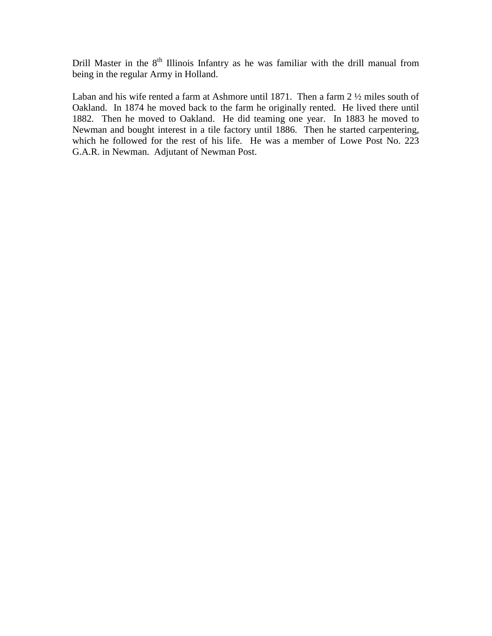Drill Master in the 8<sup>th</sup> Illinois Infantry as he was familiar with the drill manual from being in the regular Army in Holland.

Laban and his wife rented a farm at Ashmore until 1871. Then a farm 2 ½ miles south of Oakland. In 1874 he moved back to the farm he originally rented. He lived there until 1882. Then he moved to Oakland. He did teaming one year. In 1883 he moved to Newman and bought interest in a tile factory until 1886. Then he started carpentering, which he followed for the rest of his life. He was a member of Lowe Post No. 223 G.A.R. in Newman. Adjutant of Newman Post.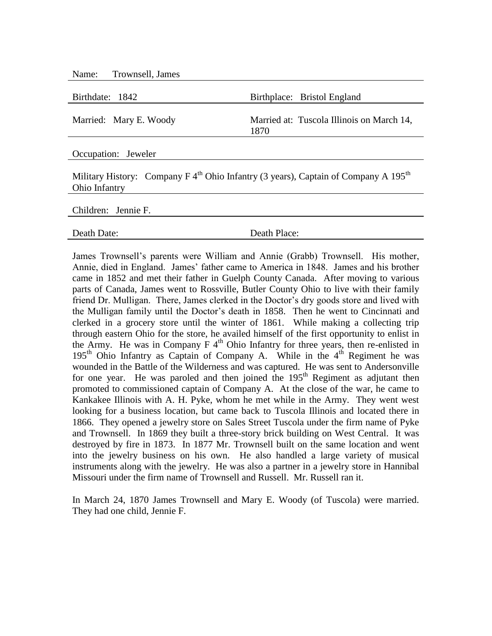| Name: Trownsell, James                                                                                                       |                                                   |
|------------------------------------------------------------------------------------------------------------------------------|---------------------------------------------------|
| Birthdate: 1842                                                                                                              | Birthplace: Bristol England                       |
| Married: Mary E. Woody                                                                                                       | Married at: Tuscola Illinois on March 14,<br>1870 |
| Occupation: Jeweler                                                                                                          |                                                   |
| Military History: Company F $4^{\text{th}}$ Ohio Infantry (3 years), Captain of Company A 195 <sup>th</sup><br>Ohio Infantry |                                                   |

Children: Jennie F.

Death Date: Death Place:

James Trownsell's parents were William and Annie (Grabb) Trownsell. His mother, Annie, died in England. James' father came to America in 1848. James and his brother came in 1852 and met their father in Guelph County Canada. After moving to various parts of Canada, James went to Rossville, Butler County Ohio to live with their family friend Dr. Mulligan. There, James clerked in the Doctor's dry goods store and lived with the Mulligan family until the Doctor's death in 1858. Then he went to Cincinnati and clerked in a grocery store until the winter of 1861. While making a collecting trip through eastern Ohio for the store, he availed himself of the first opportunity to enlist in the Army. He was in Company  $F 4<sup>th</sup>$  Ohio Infantry for three years, then re-enlisted in 195<sup>th</sup> Ohio Infantry as Captain of Company A. While in the  $4<sup>th</sup>$  Regiment he was wounded in the Battle of the Wilderness and was captured. He was sent to Andersonville for one year. He was paroled and then joined the  $195<sup>th</sup>$  Regiment as adjutant then promoted to commissioned captain of Company A. At the close of the war, he came to Kankakee Illinois with A. H. Pyke, whom he met while in the Army. They went west looking for a business location, but came back to Tuscola Illinois and located there in 1866. They opened a jewelry store on Sales Street Tuscola under the firm name of Pyke and Trownsell. In 1869 they built a three-story brick building on West Central. It was destroyed by fire in 1873. In 1877 Mr. Trownsell built on the same location and went into the jewelry business on his own. He also handled a large variety of musical instruments along with the jewelry. He was also a partner in a jewelry store in Hannibal Missouri under the firm name of Trownsell and Russell. Mr. Russell ran it.

In March 24, 1870 James Trownsell and Mary E. Woody (of Tuscola) were married. They had one child, Jennie F.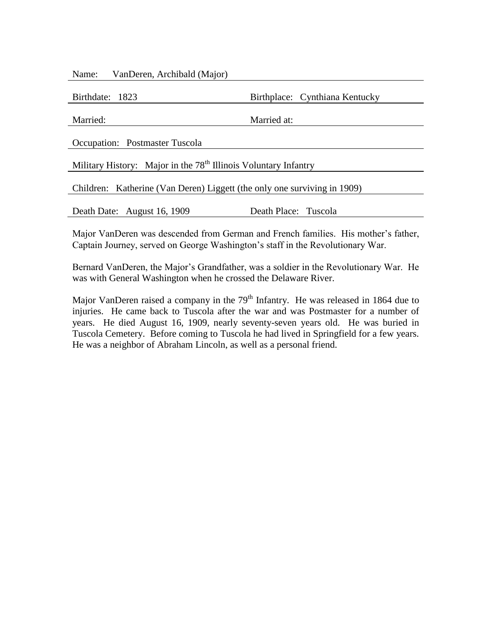| VanDeren, Archibald (Major)<br>Name:                                        |                                |  |
|-----------------------------------------------------------------------------|--------------------------------|--|
| Birthdate: 1823                                                             | Birthplace: Cynthiana Kentucky |  |
| Married:                                                                    | Married at:                    |  |
| <b>Occupation:</b> Postmaster Tuscola                                       |                                |  |
| Military History: Major in the 78 <sup>th</sup> Illinois Voluntary Infantry |                                |  |
| Children: Katherine (Van Deren) Liggett (the only one surviving in 1909)    |                                |  |
| Death Date: August 16, 1909                                                 | Death Place: Tuscola           |  |
|                                                                             |                                |  |

Major VanDeren was descended from German and French families. His mother's father, Captain Journey, served on George Washington's staff in the Revolutionary War.

Bernard VanDeren, the Major's Grandfather, was a soldier in the Revolutionary War. He was with General Washington when he crossed the Delaware River.

Major VanDeren raised a company in the  $79<sup>th</sup>$  Infantry. He was released in 1864 due to injuries. He came back to Tuscola after the war and was Postmaster for a number of years. He died August 16, 1909, nearly seventy-seven years old. He was buried in Tuscola Cemetery. Before coming to Tuscola he had lived in Springfield for a few years. He was a neighbor of Abraham Lincoln, as well as a personal friend.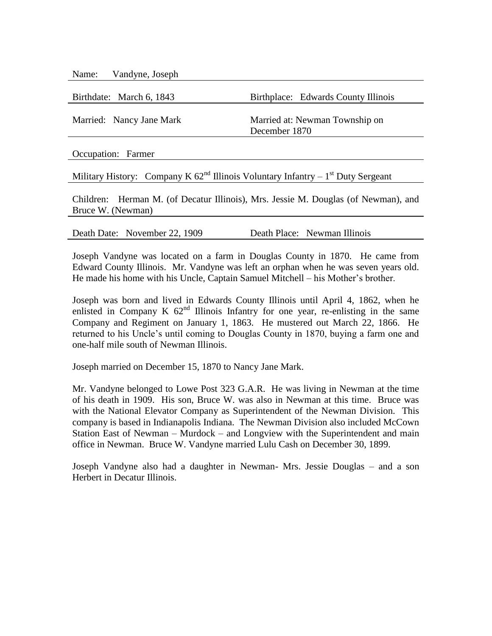| Vandyne, Joseph<br>Name:                                                                                |                                                 |  |
|---------------------------------------------------------------------------------------------------------|-------------------------------------------------|--|
| Birthdate: March 6, 1843                                                                                | Birthplace: Edwards County Illinois             |  |
| Married: Nancy Jane Mark                                                                                | Married at: Newman Township on<br>December 1870 |  |
| Occupation: Farmer                                                                                      |                                                 |  |
| Military History: Company K $62nd$ Illinois Voluntary Infantry – 1 <sup>st</sup> Duty Sergeant          |                                                 |  |
| Children: Herman M. (of Decatur Illinois), Mrs. Jessie M. Douglas (of Newman), and<br>Bruce W. (Newman) |                                                 |  |

Death Date: November 22, 1909 Death Place: Newman Illinois

Joseph Vandyne was located on a farm in Douglas County in 1870. He came from Edward County Illinois. Mr. Vandyne was left an orphan when he was seven years old. He made his home with his Uncle, Captain Samuel Mitchell – his Mother's brother.

Joseph was born and lived in Edwards County Illinois until April 4, 1862, when he enlisted in Company K  $62<sup>nd</sup>$  Illinois Infantry for one year, re-enlisting in the same Company and Regiment on January 1, 1863. He mustered out March 22, 1866. He returned to his Uncle's until coming to Douglas County in 1870, buying a farm one and one-half mile south of Newman Illinois.

Joseph married on December 15, 1870 to Nancy Jane Mark.

Mr. Vandyne belonged to Lowe Post 323 G.A.R. He was living in Newman at the time of his death in 1909. His son, Bruce W. was also in Newman at this time. Bruce was with the National Elevator Company as Superintendent of the Newman Division. This company is based in Indianapolis Indiana. The Newman Division also included McCown Station East of Newman – Murdock – and Longview with the Superintendent and main office in Newman. Bruce W. Vandyne married Lulu Cash on December 30, 1899.

Joseph Vandyne also had a daughter in Newman- Mrs. Jessie Douglas – and a son Herbert in Decatur Illinois.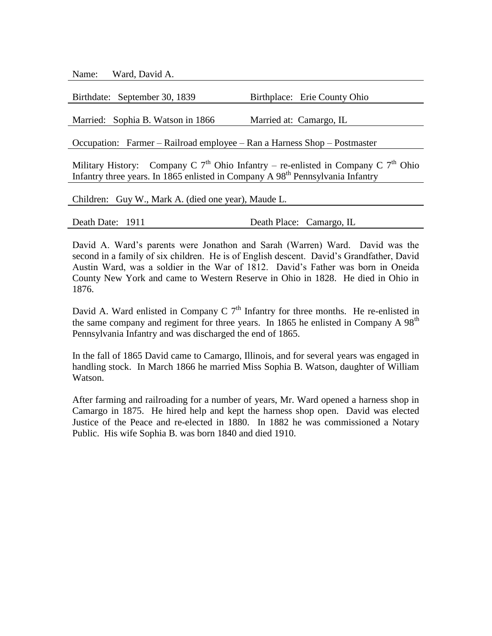Name: Ward, David A.

| Birthdate: September 30, 1839                                                         | Birthplace: Erie County Ohio |
|---------------------------------------------------------------------------------------|------------------------------|
| Married: Sophia B. Watson in 1866                                                     | Married at: Camargo, IL      |
| Occupation: Farmer – Railroad employee – Ran a Harness Shop – Postmaster              |                              |
| Military History: Company C $7th$ Ohio Infantry – re-enlisted in Company C $7th$ Ohio |                              |

Infantry three years. In 1865 enlisted in Company A  $98<sup>th</sup>$  Pennsylvania Infantry

Children: Guy W., Mark A. (died one year), Maude L.

Death Date: 1911 Death Place: Camargo, IL

David A. Ward's parents were Jonathon and Sarah (Warren) Ward. David was the second in a family of six children. He is of English descent. David's Grandfather, David Austin Ward, was a soldier in the War of 1812. David's Father was born in Oneida County New York and came to Western Reserve in Ohio in 1828. He died in Ohio in 1876.

David A. Ward enlisted in Company C  $7<sup>th</sup>$  Infantry for three months. He re-enlisted in the same company and regiment for three years. In 1865 he enlisted in Company A 98<sup>th</sup> Pennsylvania Infantry and was discharged the end of 1865.

In the fall of 1865 David came to Camargo, Illinois, and for several years was engaged in handling stock. In March 1866 he married Miss Sophia B. Watson, daughter of William Watson.

After farming and railroading for a number of years, Mr. Ward opened a harness shop in Camargo in 1875. He hired help and kept the harness shop open. David was elected Justice of the Peace and re-elected in 1880. In 1882 he was commissioned a Notary Public. His wife Sophia B. was born 1840 and died 1910.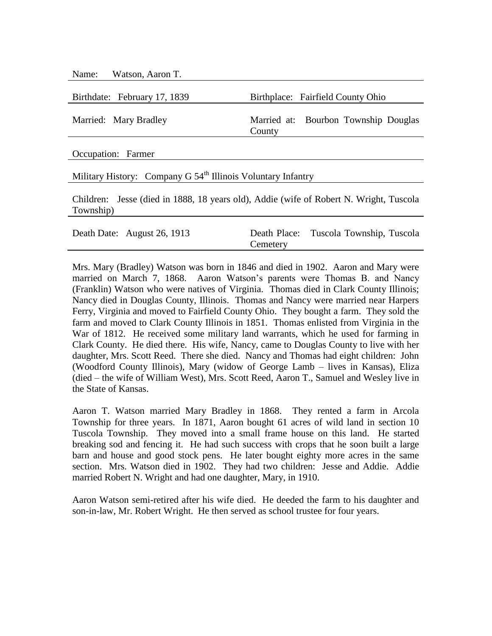| Name: Watson, Aaron T.                                                                                               |                                                                             |  |
|----------------------------------------------------------------------------------------------------------------------|-----------------------------------------------------------------------------|--|
| Birthdate: February 17, 1839                                                                                         | Birthplace: Fairfield County Ohio                                           |  |
| Married: Mary Bradley                                                                                                | Married at: Bourbon Township Douglas<br>County                              |  |
| Occupation: Farmer                                                                                                   |                                                                             |  |
| Military History: Company G 54 <sup>th</sup> Illinois Voluntary Infantry                                             |                                                                             |  |
| Children: Jesse (died in 1888, 18 years old), Addie (wife of Robert N. Wright, Tuscola<br>Township)                  |                                                                             |  |
| $\mathbf{D}$ $\mathbf{D}$ $\mathbf{D}$ $\mathbf{A}$ $\mathbf{A}$ $\mathbf{A}$ $\mathbf{A}$ $\mathbf{A}$ $\mathbf{A}$ | $\mathbf{m}$ in item<br>$\mathbf{D}$ $\mathbf{I}$ $\mathbf{D}$ $\mathbf{I}$ |  |

| Death Date: August 26, 1913 |          | Death Place: Tuscola Township, Tuscola |
|-----------------------------|----------|----------------------------------------|
|                             | Cemetery |                                        |
|                             |          |                                        |

Mrs. Mary (Bradley) Watson was born in 1846 and died in 1902. Aaron and Mary were married on March 7, 1868. Aaron Watson's parents were Thomas B. and Nancy (Franklin) Watson who were natives of Virginia. Thomas died in Clark County Illinois; Nancy died in Douglas County, Illinois. Thomas and Nancy were married near Harpers Ferry, Virginia and moved to Fairfield County Ohio. They bought a farm. They sold the farm and moved to Clark County Illinois in 1851. Thomas enlisted from Virginia in the War of 1812. He received some military land warrants, which he used for farming in Clark County. He died there. His wife, Nancy, came to Douglas County to live with her daughter, Mrs. Scott Reed. There she died. Nancy and Thomas had eight children: John (Woodford County Illinois), Mary (widow of George Lamb – lives in Kansas), Eliza (died – the wife of William West), Mrs. Scott Reed, Aaron T., Samuel and Wesley live in the State of Kansas.

Aaron T. Watson married Mary Bradley in 1868. They rented a farm in Arcola Township for three years. In 1871, Aaron bought 61 acres of wild land in section 10 Tuscola Township. They moved into a small frame house on this land. He started breaking sod and fencing it. He had such success with crops that he soon built a large barn and house and good stock pens. He later bought eighty more acres in the same section. Mrs. Watson died in 1902. They had two children: Jesse and Addie. Addie married Robert N. Wright and had one daughter, Mary, in 1910.

Aaron Watson semi-retired after his wife died. He deeded the farm to his daughter and son-in-law, Mr. Robert Wright. He then served as school trustee for four years.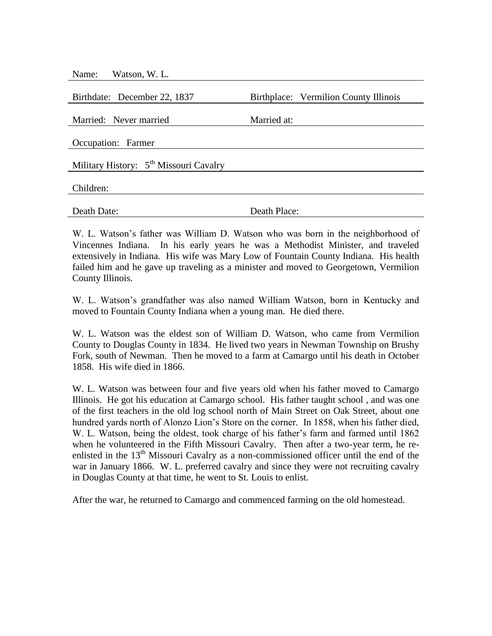| Watson, W. L.<br>Name:                             |                                       |
|----------------------------------------------------|---------------------------------------|
| Birthdate: December 22, 1837                       | Birthplace: Vermilion County Illinois |
|                                                    |                                       |
| Married: Never married                             | Married at:                           |
| Occupation: Farmer                                 |                                       |
| Military History: 5 <sup>th</sup> Missouri Cavalry |                                       |
| Children:                                          |                                       |
| Death Date:                                        | Death Place:                          |

W. L. Watson's father was William D. Watson who was born in the neighborhood of Vincennes Indiana. In his early years he was a Methodist Minister, and traveled extensively in Indiana. His wife was Mary Low of Fountain County Indiana. His health failed him and he gave up traveling as a minister and moved to Georgetown, Vermilion County Illinois.

W. L. Watson's grandfather was also named William Watson, born in Kentucky and moved to Fountain County Indiana when a young man. He died there.

W. L. Watson was the eldest son of William D. Watson, who came from Vermilion County to Douglas County in 1834. He lived two years in Newman Township on Brushy Fork, south of Newman. Then he moved to a farm at Camargo until his death in October 1858. His wife died in 1866.

W. L. Watson was between four and five years old when his father moved to Camargo Illinois. He got his education at Camargo school. His father taught school , and was one of the first teachers in the old log school north of Main Street on Oak Street, about one hundred yards north of Alonzo Lion's Store on the corner. In 1858, when his father died, W. L. Watson, being the oldest, took charge of his father's farm and farmed until 1862 when he volunteered in the Fifth Missouri Cavalry. Then after a two-year term, he reenlisted in the  $13<sup>th</sup>$  Missouri Cavalry as a non-commissioned officer until the end of the war in January 1866. W. L. preferred cavalry and since they were not recruiting cavalry in Douglas County at that time, he went to St. Louis to enlist.

After the war, he returned to Camargo and commenced farming on the old homestead.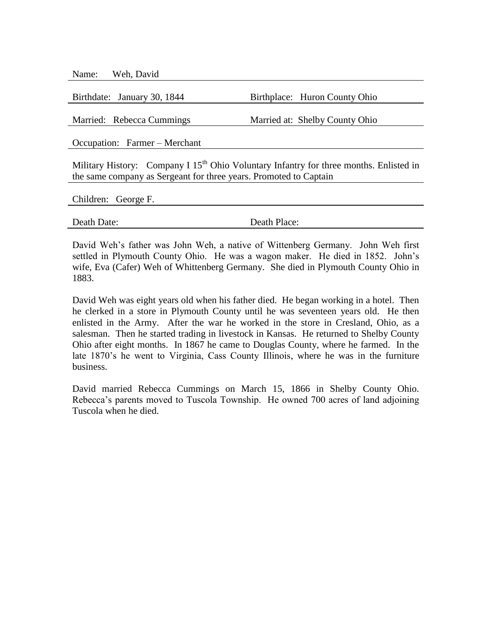Name: Weh, David

Birthdate: January 30, 1844 Birthplace: Huron County Ohio

Married: Rebecca Cummings Married at: Shelby County Ohio

Occupation: Farmer – Merchant

Military History: Company I  $15<sup>th</sup>$  Ohio Voluntary Infantry for three months. Enlisted in the same company as Sergeant for three years. Promoted to Captain

Children: George F.

Death Date: Death Place:

David Weh's father was John Weh, a native of Wittenberg Germany. John Weh first settled in Plymouth County Ohio. He was a wagon maker. He died in 1852. John's wife, Eva (Cafer) Weh of Whittenberg Germany. She died in Plymouth County Ohio in 1883.

David Weh was eight years old when his father died. He began working in a hotel. Then he clerked in a store in Plymouth County until he was seventeen years old. He then enlisted in the Army. After the war he worked in the store in Cresland, Ohio, as a salesman. Then he started trading in livestock in Kansas. He returned to Shelby County Ohio after eight months. In 1867 he came to Douglas County, where he farmed. In the late 1870's he went to Virginia, Cass County Illinois, where he was in the furniture business.

David married Rebecca Cummings on March 15, 1866 in Shelby County Ohio. Rebecca's parents moved to Tuscola Township. He owned 700 acres of land adjoining Tuscola when he died.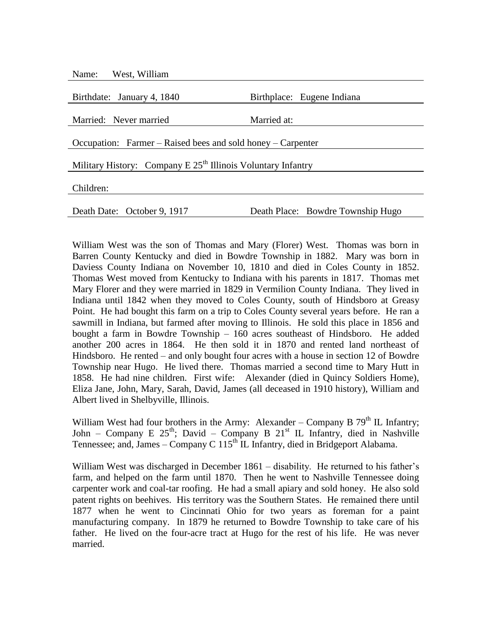| Name: West, William                                            |                                   |  |
|----------------------------------------------------------------|-----------------------------------|--|
|                                                                |                                   |  |
| Birthdate: January 4, 1840                                     | Birthplace: Eugene Indiana        |  |
|                                                                |                                   |  |
| Married: Never married                                         | Married at:                       |  |
|                                                                |                                   |  |
| Occupation: Farmer – Raised bees and sold honey – Carpenter    |                                   |  |
|                                                                |                                   |  |
| Military History: Company E $25th$ Illinois Voluntary Infantry |                                   |  |
|                                                                |                                   |  |
| Children:                                                      |                                   |  |
|                                                                |                                   |  |
| Death Date: October 9, 1917                                    | Death Place: Bowdre Township Hugo |  |

William West was the son of Thomas and Mary (Florer) West. Thomas was born in Barren County Kentucky and died in Bowdre Township in 1882. Mary was born in Daviess County Indiana on November 10, 1810 and died in Coles County in 1852. Thomas West moved from Kentucky to Indiana with his parents in 1817. Thomas met Mary Florer and they were married in 1829 in Vermilion County Indiana. They lived in Indiana until 1842 when they moved to Coles County, south of Hindsboro at Greasy Point. He had bought this farm on a trip to Coles County several years before. He ran a sawmill in Indiana, but farmed after moving to Illinois. He sold this place in 1856 and bought a farm in Bowdre Township – 160 acres southeast of Hindsboro. He added another 200 acres in 1864. He then sold it in 1870 and rented land northeast of Hindsboro. He rented – and only bought four acres with a house in section 12 of Bowdre Township near Hugo. He lived there. Thomas married a second time to Mary Hutt in 1858. He had nine children. First wife: Alexander (died in Quincy Soldiers Home), Eliza Jane, John, Mary, Sarah, David, James (all deceased in 1910 history), William and Albert lived in Shelbyville, Illinois.

William West had four brothers in the Army: Alexander – Company B  $79<sup>th</sup>$  IL Infantry; John – Company E  $25<sup>th</sup>$ ; David – Company B  $21<sup>st</sup>$  IL Infantry, died in Nashville Tennessee; and, James – Company C  $115<sup>th</sup>$  IL Infantry, died in Bridgeport Alabama.

William West was discharged in December 1861 – disability. He returned to his father's farm, and helped on the farm until 1870. Then he went to Nashville Tennessee doing carpenter work and coal-tar roofing. He had a small apiary and sold honey. He also sold patent rights on beehives. His territory was the Southern States. He remained there until 1877 when he went to Cincinnati Ohio for two years as foreman for a paint manufacturing company. In 1879 he returned to Bowdre Township to take care of his father. He lived on the four-acre tract at Hugo for the rest of his life. He was never married.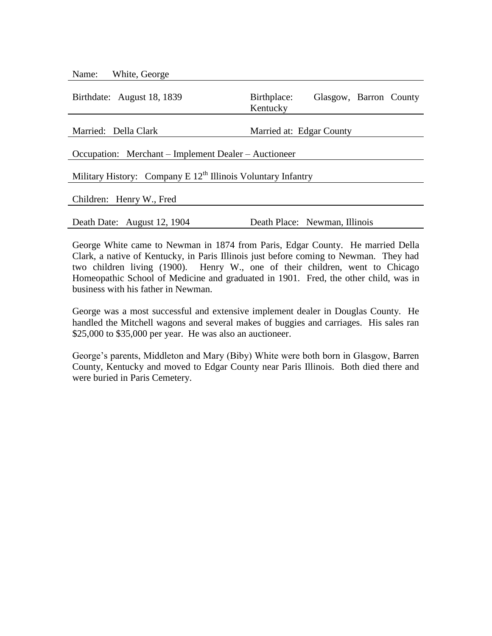| Name: White, George                                            |                                                   |  |
|----------------------------------------------------------------|---------------------------------------------------|--|
| Birthdate: August 18, 1839                                     | Birthplace:<br>Glasgow, Barron County<br>Kentucky |  |
| Married: Della Clark                                           | Married at: Edgar County                          |  |
| Occupation: Merchant – Implement Dealer – Auctioneer           |                                                   |  |
| Military History: Company E $12th$ Illinois Voluntary Infantry |                                                   |  |
| Children: Henry W., Fred                                       |                                                   |  |
| Death Date: August 12, 1904                                    | Death Place: Newman, Illinois                     |  |

George White came to Newman in 1874 from Paris, Edgar County. He married Della Clark, a native of Kentucky, in Paris Illinois just before coming to Newman. They had two children living (1900). Henry W., one of their children, went to Chicago Homeopathic School of Medicine and graduated in 1901. Fred, the other child, was in business with his father in Newman.

George was a most successful and extensive implement dealer in Douglas County. He handled the Mitchell wagons and several makes of buggies and carriages. His sales ran \$25,000 to \$35,000 per year. He was also an auctioneer.

George's parents, Middleton and Mary (Biby) White were both born in Glasgow, Barren County, Kentucky and moved to Edgar County near Paris Illinois. Both died there and were buried in Paris Cemetery.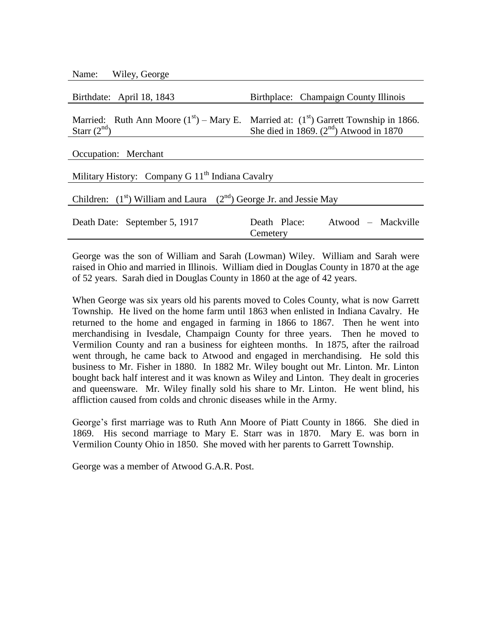| Name: |  | Wiley, George |
|-------|--|---------------|
|-------|--|---------------|

| Birthdate: April 18, 1843 | Birthplace: Champaign County Illinois                                                                                               |
|---------------------------|-------------------------------------------------------------------------------------------------------------------------------------|
| Starr $(2nd)$             | Married: Ruth Ann Moore $(1st)$ – Mary E. Married at: $(1st)$ Garrett Township in 1866.<br>She died in 1869. $(2nd)$ Atwood in 1870 |
| Occupation: Merchant      |                                                                                                                                     |

| Military History: Company G 11 <sup>th</sup> Indiana Cavalry                |                                    |  |
|-----------------------------------------------------------------------------|------------------------------------|--|
| Children: $(1^{st})$ William and Laura $(2^{nd})$ George Jr. and Jessie May |                                    |  |
|                                                                             |                                    |  |
| Death Date: September 5, 1917                                               | Atwood – Mackville<br>Death Place: |  |
|                                                                             | Cemetery                           |  |

George was the son of William and Sarah (Lowman) Wiley. William and Sarah were raised in Ohio and married in Illinois. William died in Douglas County in 1870 at the age of 52 years. Sarah died in Douglas County in 1860 at the age of 42 years.

When George was six years old his parents moved to Coles County, what is now Garrett Township. He lived on the home farm until 1863 when enlisted in Indiana Cavalry. He returned to the home and engaged in farming in 1866 to 1867. Then he went into merchandising in Ivesdale, Champaign County for three years. Then he moved to Vermilion County and ran a business for eighteen months. In 1875, after the railroad went through, he came back to Atwood and engaged in merchandising. He sold this business to Mr. Fisher in 1880. In 1882 Mr. Wiley bought out Mr. Linton. Mr. Linton bought back half interest and it was known as Wiley and Linton. They dealt in groceries and queensware. Mr. Wiley finally sold his share to Mr. Linton. He went blind, his affliction caused from colds and chronic diseases while in the Army.

George's first marriage was to Ruth Ann Moore of Piatt County in 1866. She died in 1869. His second marriage to Mary E. Starr was in 1870. Mary E. was born in Vermilion County Ohio in 1850. She moved with her parents to Garrett Township.

George was a member of Atwood G.A.R. Post.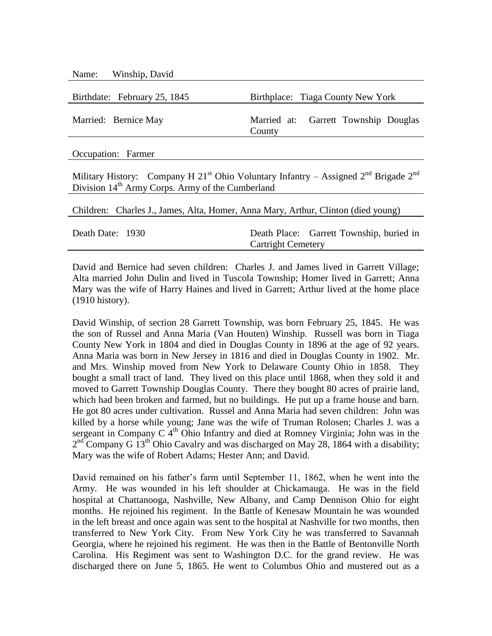| Name: Winship, David         |                                                |
|------------------------------|------------------------------------------------|
| Birthdate: February 25, 1845 | Birthplace: Tiaga County New York              |
| Married: Bernice May         | Married at: Garrett Township Douglas<br>County |
|                              |                                                |

Occupation: Farmer

Military History: Company H 21<sup>st</sup> Ohio Voluntary Infantry – Assigned  $2^{nd}$  Brigade  $2^{nd}$ Division  $14<sup>th</sup>$  Army Corps. Army of the Cumberland

|                  | Children: Charles J., James, Alta, Homer, Anna Mary, Arthur, Clinton (died young) |                           |                                          |
|------------------|-----------------------------------------------------------------------------------|---------------------------|------------------------------------------|
| Death Date: 1930 |                                                                                   | <b>Cartright Cemetery</b> | Death Place: Garrett Township, buried in |

David and Bernice had seven children: Charles J. and James lived in Garrett Village; Alta married John Dulin and lived in Tuscola Township; Homer lived in Garrett; Anna Mary was the wife of Harry Haines and lived in Garrett; Arthur lived at the home place (1910 history).

David Winship, of section 28 Garrett Township, was born February 25, 1845. He was the son of Russel and Anna Maria (Van Houten) Winship. Russell was born in Tiaga County New York in 1804 and died in Douglas County in 1896 at the age of 92 years. Anna Maria was born in New Jersey in 1816 and died in Douglas County in 1902. Mr. and Mrs. Winship moved from New York to Delaware County Ohio in 1858. They bought a small tract of land. They lived on this place until 1868, when they sold it and moved to Garrett Township Douglas County. There they bought 80 acres of prairie land, which had been broken and farmed, but no buildings. He put up a frame house and barn. He got 80 acres under cultivation. Russel and Anna Maria had seven children: John was killed by a horse while young; Jane was the wife of Truman Rolosen; Charles J. was a sergeant in Company C  $4<sup>th</sup>$  Ohio Infantry and died at Romney Virginia; John was in the  $2<sup>nd</sup>$  Company G  $13<sup>th</sup>$  Ohio Cavalry and was discharged on May 28, 1864 with a disability; Mary was the wife of Robert Adams; Hester Ann; and David.

David remained on his father's farm until September 11, 1862, when he went into the Army. He was wounded in his left shoulder at Chickamauga. He was in the field hospital at Chattanooga, Nashville, New Albany, and Camp Dennison Ohio for eight months. He rejoined his regiment. In the Battle of Kenesaw Mountain he was wounded in the left breast and once again was sent to the hospital at Nashville for two months, then transferred to New York City. From New York City he was transferred to Savannah Georgia, where he rejoined his regiment. He was then in the Battle of Bentonville North Carolina. His Regiment was sent to Washington D.C. for the grand review. He was discharged there on June 5, 1865. He went to Columbus Ohio and mustered out as a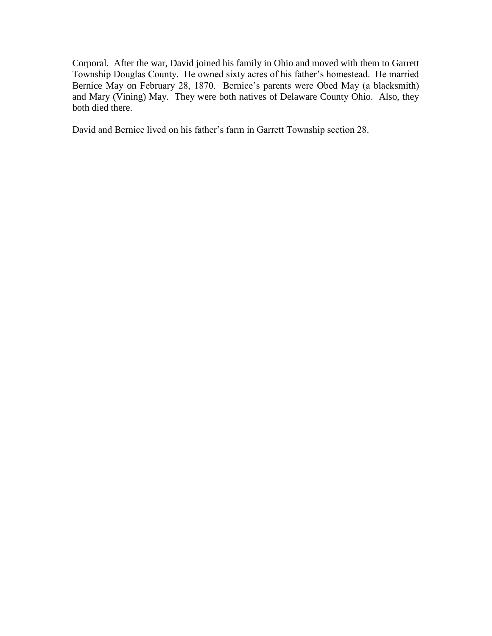Corporal. After the war, David joined his family in Ohio and moved with them to Garrett Township Douglas County. He owned sixty acres of his father's homestead. He married Bernice May on February 28, 1870. Bernice's parents were Obed May (a blacksmith) and Mary (Vining) May. They were both natives of Delaware County Ohio. Also, they both died there.

David and Bernice lived on his father's farm in Garrett Township section 28.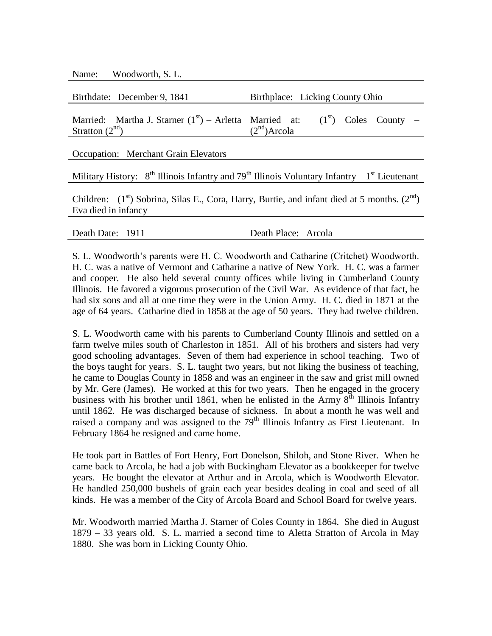Name: Woodworth, S. L.

| Birthdate: December 9, 1841 | Birthplace: Licking County Ohio                                                                         |
|-----------------------------|---------------------------------------------------------------------------------------------------------|
| Stratton $(2nd)$            | Married: Martha J. Starner $(1^{st})$ – Arletta Married at: $(1^{st})$ Coles County –<br>$(2nd)$ Arcola |

Occupation: Merchant Grain Elevators

Military History:  $8<sup>th</sup>$  Illinois Infantry and 79<sup>th</sup> Illinois Voluntary Infantry – 1<sup>st</sup> Lieutenant

Children:  $(1<sup>st</sup>)$  Sobrina, Silas E., Cora, Harry, Burtie, and infant died at 5 months.  $(2<sup>nd</sup>)$ Eva died in infancy

Death Date: 1911 Death Place: Arcola

S. L. Woodworth's parents were H. C. Woodworth and Catharine (Critchet) Woodworth. H. C. was a native of Vermont and Catharine a native of New York. H. C. was a farmer and cooper. He also held several county offices while living in Cumberland County Illinois. He favored a vigorous prosecution of the Civil War. As evidence of that fact, he had six sons and all at one time they were in the Union Army. H. C. died in 1871 at the age of 64 years. Catharine died in 1858 at the age of 50 years. They had twelve children.

S. L. Woodworth came with his parents to Cumberland County Illinois and settled on a farm twelve miles south of Charleston in 1851. All of his brothers and sisters had very good schooling advantages. Seven of them had experience in school teaching. Two of the boys taught for years. S. L. taught two years, but not liking the business of teaching, he came to Douglas County in 1858 and was an engineer in the saw and grist mill owned by Mr. Gere (James). He worked at this for two years. Then he engaged in the grocery business with his brother until 1861, when he enlisted in the Army  $8<sup>th</sup>$  Illinois Infantry until 1862. He was discharged because of sickness. In about a month he was well and raised a company and was assigned to the  $79<sup>th</sup>$  Illinois Infantry as First Lieutenant. In February 1864 he resigned and came home.

He took part in Battles of Fort Henry, Fort Donelson, Shiloh, and Stone River. When he came back to Arcola, he had a job with Buckingham Elevator as a bookkeeper for twelve years. He bought the elevator at Arthur and in Arcola, which is Woodworth Elevator. He handled 250,000 bushels of grain each year besides dealing in coal and seed of all kinds. He was a member of the City of Arcola Board and School Board for twelve years.

Mr. Woodworth married Martha J. Starner of Coles County in 1864. She died in August 1879 – 33 years old. S. L. married a second time to Aletta Stratton of Arcola in May 1880. She was born in Licking County Ohio.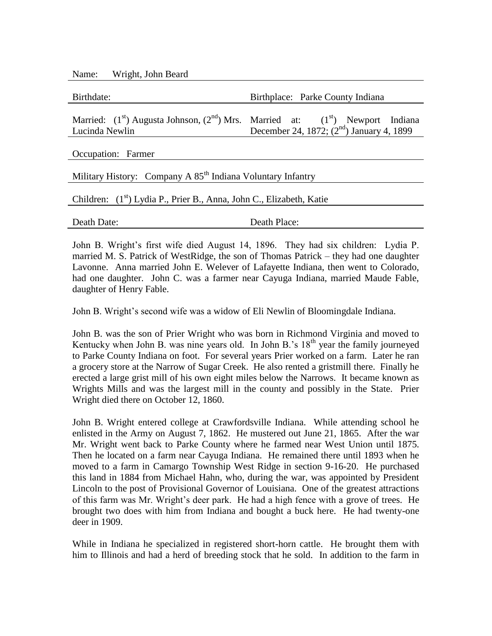Name: Wright, John Beard

| Birthdate:     | Birthplace: Parke County Indiana                                                                                                 |
|----------------|----------------------------------------------------------------------------------------------------------------------------------|
| Lucinda Newlin | Married: $(1st)$ Augusta Johnson, $(2nd)$ Mrs. Married at: $(1st)$ Newport Indiana<br>December 24, 1872; $(2nd)$ January 4, 1899 |
|                |                                                                                                                                  |

Occupation: Farmer

Military History: Company A  $85<sup>th</sup>$  Indiana Voluntary Infantry

Children: (1<sup>st</sup>) Lydia P., Prier B., Anna, John C., Elizabeth, Katie

Death Date: Death Place:

John B. Wright's first wife died August 14, 1896. They had six children: Lydia P. married M. S. Patrick of WestRidge, the son of Thomas Patrick – they had one daughter Lavonne. Anna married John E. Welever of Lafayette Indiana, then went to Colorado, had one daughter. John C. was a farmer near Cayuga Indiana, married Maude Fable, daughter of Henry Fable.

John B. Wright's second wife was a widow of Eli Newlin of Bloomingdale Indiana.

John B. was the son of Prier Wright who was born in Richmond Virginia and moved to Kentucky when John B. was nine years old. In John B.'s  $18<sup>th</sup>$  year the family journeyed to Parke County Indiana on foot. For several years Prier worked on a farm. Later he ran a grocery store at the Narrow of Sugar Creek. He also rented a gristmill there. Finally he erected a large grist mill of his own eight miles below the Narrows. It became known as Wrights Mills and was the largest mill in the county and possibly in the State. Prier Wright died there on October 12, 1860.

John B. Wright entered college at Crawfordsville Indiana. While attending school he enlisted in the Army on August 7, 1862. He mustered out June 21, 1865. After the war Mr. Wright went back to Parke County where he farmed near West Union until 1875. Then he located on a farm near Cayuga Indiana. He remained there until 1893 when he moved to a farm in Camargo Township West Ridge in section 9-16-20. He purchased this land in 1884 from Michael Hahn, who, during the war, was appointed by President Lincoln to the post of Provisional Governor of Louisiana. One of the greatest attractions of this farm was Mr. Wright's deer park. He had a high fence with a grove of trees. He brought two does with him from Indiana and bought a buck here. He had twenty-one deer in 1909.

While in Indiana he specialized in registered short-horn cattle. He brought them with him to Illinois and had a herd of breeding stock that he sold. In addition to the farm in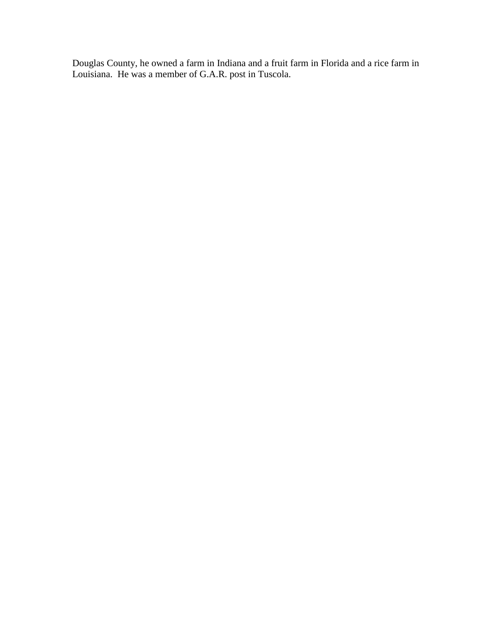Douglas County, he owned a farm in Indiana and a fruit farm in Florida and a rice farm in Louisiana. He was a member of G.A.R. post in Tuscola.